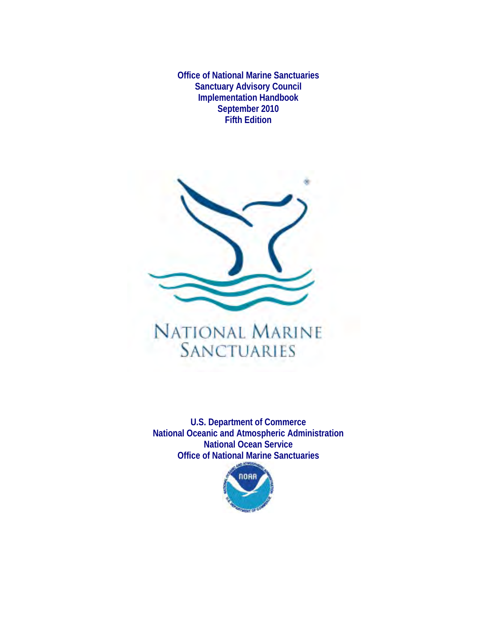**Office of National Marine Sanctuaries Sanctuary Advisory Council Implementation Handbook September 2010 Fifth Edition**



# NATIONAL MARINE **SANCTUARIES**

**U.S. Department of Commerce National Oceanic and Atmospheric Administration National Ocean Service Office of National Marine Sanctuaries**

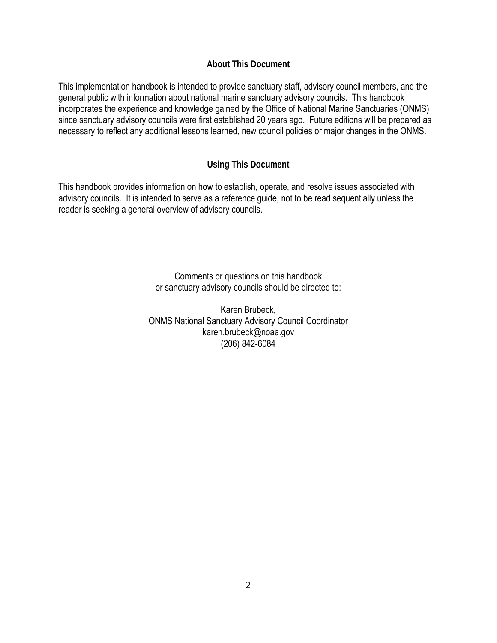## **About This Document**

This implementation handbook is intended to provide sanctuary staff, advisory council members, and the general public with information about national marine sanctuary advisory councils. This handbook incorporates the experience and knowledge gained by the Office of National Marine Sanctuaries (ONMS) since sanctuary advisory councils were first established 20 years ago. Future editions will be prepared as necessary to reflect any additional lessons learned, new council policies or major changes in the ONMS.

## **Using This Document**

This handbook provides information on how to establish, operate, and resolve issues associated with advisory councils. It is intended to serve as a reference guide, not to be read sequentially unless the reader is seeking a general overview of advisory councils.

> Comments or questions on this handbook or sanctuary advisory councils should be directed to:

Karen Brubeck, ONMS National Sanctuary Advisory Council Coordinator karen.brubeck@noaa.gov (206) 842-6084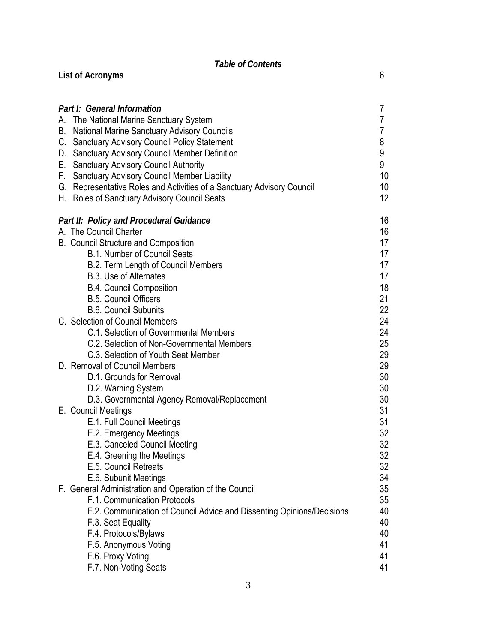## *Table of Contents* **List of Acronyms** 6

| Part I: General Information                                               | 7  |
|---------------------------------------------------------------------------|----|
| The National Marine Sanctuary System<br>А.                                | 7  |
| <b>National Marine Sanctuary Advisory Councils</b><br>В.                  | 7  |
| <b>Sanctuary Advisory Council Policy Statement</b><br>C.                  | 8  |
| <b>Sanctuary Advisory Council Member Definition</b><br>D.                 | 9  |
| <b>Sanctuary Advisory Council Authority</b><br>Е.                         | 9  |
| <b>Sanctuary Advisory Council Member Liability</b><br>F.                  | 10 |
| Representative Roles and Activities of a Sanctuary Advisory Council<br>G. | 10 |
| H. Roles of Sanctuary Advisory Council Seats                              | 12 |
| Part II: Policy and Procedural Guidance                                   | 16 |
| A. The Council Charter                                                    | 16 |
| <b>B. Council Structure and Composition</b>                               | 17 |
| <b>B.1. Number of Council Seats</b>                                       | 17 |
| B.2. Term Length of Council Members                                       | 17 |
| <b>B.3. Use of Alternates</b>                                             | 17 |
| <b>B.4. Council Composition</b>                                           | 18 |
| <b>B.5. Council Officers</b>                                              | 21 |
| <b>B.6. Council Subunits</b>                                              | 22 |
| C. Selection of Council Members                                           | 24 |
| C.1. Selection of Governmental Members                                    | 24 |
| C.2. Selection of Non-Governmental Members                                | 25 |
| C.3. Selection of Youth Seat Member                                       | 29 |
| D. Removal of Council Members                                             | 29 |
| D.1. Grounds for Removal                                                  | 30 |
| D.2. Warning System                                                       | 30 |
| D.3. Governmental Agency Removal/Replacement                              | 30 |
| E. Council Meetings                                                       | 31 |
| E.1. Full Council Meetings                                                | 31 |
| E.2. Emergency Meetings                                                   | 32 |
| E.3. Canceled Council Meeting                                             | 32 |
| E.4. Greening the Meetings                                                | 32 |
| E.5. Council Retreats                                                     | 32 |
| E.6. Subunit Meetings                                                     | 34 |
| F. General Administration and Operation of the Council                    | 35 |
| F.1. Communication Protocols                                              | 35 |
| F.2. Communication of Council Advice and Dissenting Opinions/Decisions    | 40 |
| F.3. Seat Equality                                                        | 40 |
| F.4. Protocols/Bylaws                                                     | 40 |
| F.5. Anonymous Voting                                                     | 41 |
| F.6. Proxy Voting                                                         | 41 |
| F.7. Non-Voting Seats                                                     | 41 |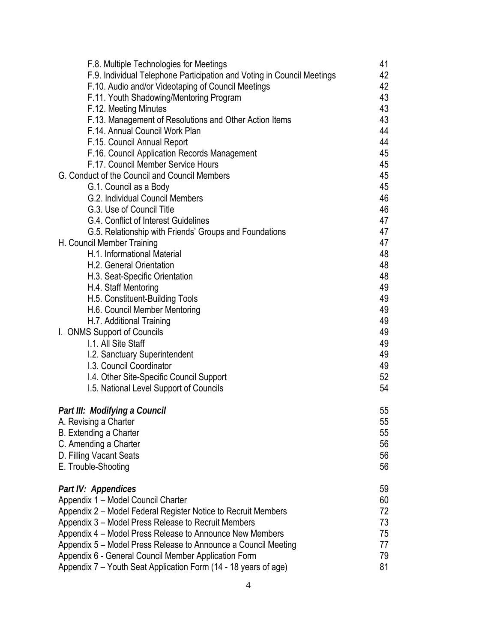| F.8. Multiple Technologies for Meetings                                | 41 |
|------------------------------------------------------------------------|----|
| F.9. Individual Telephone Participation and Voting in Council Meetings | 42 |
| F.10. Audio and/or Videotaping of Council Meetings                     | 42 |
| F.11. Youth Shadowing/Mentoring Program                                | 43 |
| F.12. Meeting Minutes                                                  | 43 |
| F.13. Management of Resolutions and Other Action Items                 | 43 |
| F.14. Annual Council Work Plan                                         | 44 |
| F.15. Council Annual Report                                            | 44 |
| F.16. Council Application Records Management                           | 45 |
| F.17. Council Member Service Hours                                     | 45 |
| G. Conduct of the Council and Council Members                          | 45 |
| G.1. Council as a Body                                                 | 45 |
| G.2. Individual Council Members                                        | 46 |
| G.3. Use of Council Title                                              | 46 |
| G.4. Conflict of Interest Guidelines                                   | 47 |
| G.5. Relationship with Friends' Groups and Foundations                 | 47 |
| H. Council Member Training                                             | 47 |
| H.1. Informational Material                                            | 48 |
| H.2. General Orientation                                               | 48 |
| H.3. Seat-Specific Orientation                                         | 48 |
| H.4. Staff Mentoring                                                   | 49 |
| H.5. Constituent-Building Tools                                        | 49 |
| H.6. Council Member Mentoring                                          | 49 |
| H.7. Additional Training                                               | 49 |
| I. ONMS Support of Councils                                            | 49 |
| I.1. All Site Staff                                                    | 49 |
| I.2. Sanctuary Superintendent                                          | 49 |
| I.3. Council Coordinator                                               | 49 |
| 1.4. Other Site-Specific Council Support                               | 52 |
| 1.5. National Level Support of Councils                                | 54 |
|                                                                        |    |
| Part III: Modifying a Council                                          | 55 |
| A. Revising a Charter                                                  | 55 |
| B. Extending a Charter                                                 | 55 |
| C. Amending a Charter                                                  | 56 |
| D. Filling Vacant Seats                                                | 56 |
| E. Trouble-Shooting                                                    | 56 |
| Part IV: Appendices                                                    | 59 |
| Appendix 1 - Model Council Charter                                     | 60 |
| Appendix 2 – Model Federal Register Notice to Recruit Members          | 72 |
| Appendix 3 – Model Press Release to Recruit Members                    | 73 |
| Appendix 4 – Model Press Release to Announce New Members               | 75 |
| Appendix 5 – Model Press Release to Announce a Council Meeting         | 77 |
| Appendix 6 - General Council Member Application Form                   | 79 |
| Appendix 7 – Youth Seat Application Form (14 - 18 years of age)        | 81 |
|                                                                        |    |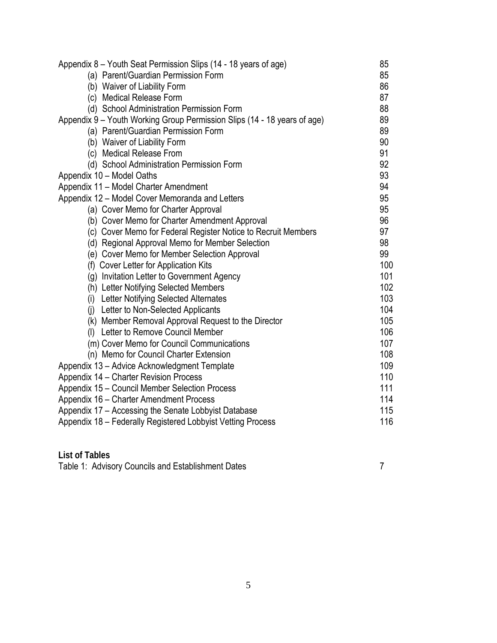| Appendix 8 - Youth Seat Permission Slips (14 - 18 years of age)          | 85         |  |
|--------------------------------------------------------------------------|------------|--|
| (a) Parent/Guardian Permission Form                                      | 85         |  |
| (b) Waiver of Liability Form                                             | 86         |  |
| (c) Medical Release Form                                                 | 87         |  |
| (d) School Administration Permission Form                                | 88         |  |
| Appendix 9 – Youth Working Group Permission Slips (14 - 18 years of age) | 89         |  |
| (a) Parent/Guardian Permission Form                                      | 89         |  |
| (b) Waiver of Liability Form                                             | 90         |  |
| (c) Medical Release From                                                 | 91         |  |
| (d) School Administration Permission Form                                | 92         |  |
| Appendix 10 - Model Oaths                                                | 93         |  |
| Appendix 11 - Model Charter Amendment                                    | 94         |  |
| Appendix 12 - Model Cover Memoranda and Letters                          | 95         |  |
| (a) Cover Memo for Charter Approval                                      | 95         |  |
| (b) Cover Memo for Charter Amendment Approval                            | 96         |  |
| (c) Cover Memo for Federal Register Notice to Recruit Members            | 97         |  |
| (d) Regional Approval Memo for Member Selection                          | 98         |  |
| (e) Cover Memo for Member Selection Approval                             | 99         |  |
| (f) Cover Letter for Application Kits                                    | 100        |  |
| (g) Invitation Letter to Government Agency                               | 101        |  |
| (h) Letter Notifying Selected Members                                    | 102        |  |
| (i) Letter Notifying Selected Alternates                                 | 103        |  |
| (j) Letter to Non-Selected Applicants                                    | 104        |  |
| (k) Member Removal Approval Request to the Director                      | 105        |  |
| (I) Letter to Remove Council Member                                      | 106        |  |
| (m) Cover Memo for Council Communications                                | 107        |  |
| (n) Memo for Council Charter Extension                                   | 108        |  |
| Appendix 13 - Advice Acknowledgment Template                             | 109        |  |
| Appendix 14 – Charter Revision Process                                   | 110        |  |
| Appendix 15 - Council Member Selection Process                           | 111<br>114 |  |
| Appendix 16 - Charter Amendment Process                                  |            |  |
| Appendix 17 – Accessing the Senate Lobbyist Database                     | 115        |  |
| Appendix 18 - Federally Registered Lobbyist Vetting Process              | 116        |  |
|                                                                          |            |  |

| <b>List of Tables</b>                              |  |
|----------------------------------------------------|--|
| Table 1: Advisory Councils and Establishment Dates |  |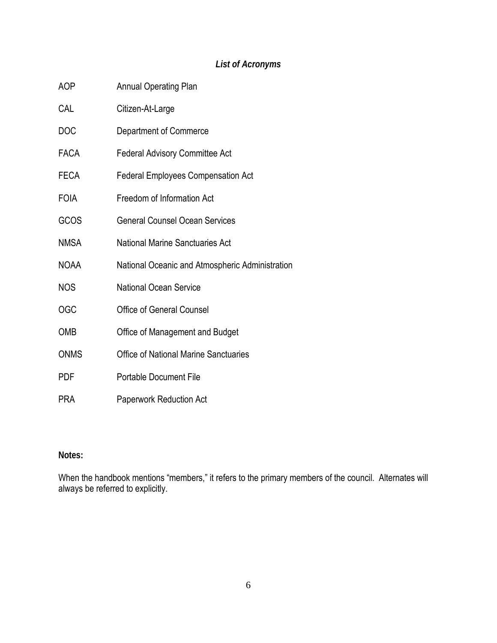# *List of Acronyms*

| AOP         | <b>Annual Operating Plan</b>                    |
|-------------|-------------------------------------------------|
| CAL         | Citizen-At-Large                                |
| <b>DOC</b>  | Department of Commerce                          |
| FACA        | <b>Federal Advisory Committee Act</b>           |
| FECA        | <b>Federal Employees Compensation Act</b>       |
| <b>FOIA</b> | Freedom of Information Act                      |
| GCOS        | <b>General Counsel Ocean Services</b>           |
| <b>NMSA</b> | <b>National Marine Sanctuaries Act</b>          |
| NOAA        | National Oceanic and Atmospheric Administration |
| <b>NOS</b>  | <b>National Ocean Service</b>                   |
| OGC         | <b>Office of General Counsel</b>                |
| OMB         | Office of Management and Budget                 |
| <b>ONMS</b> | <b>Office of National Marine Sanctuaries</b>    |
| PDF         | <b>Portable Document File</b>                   |
| PRA         | <b>Paperwork Reduction Act</b>                  |

## **Notes:**

When the handbook mentions "members," it refers to the primary members of the council. Alternates will always be referred to explicitly.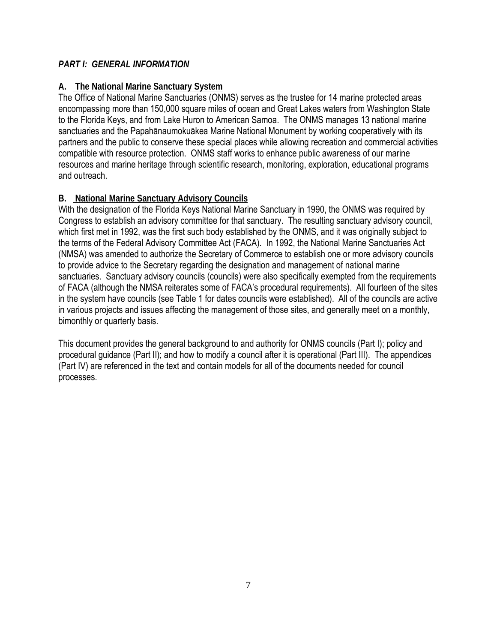## *PART I: GENERAL INFORMATION*

## **A. The National Marine Sanctuary System**

The Office of National Marine Sanctuaries (ONMS) serves as the trustee for 14 marine protected areas encompassing more than 150,000 square miles of ocean and Great Lakes waters from Washington State to the Florida Keys, and from Lake Huron to American Samoa. The ONMS manages 13 national marine sanctuaries and the Papahānaumokuākea Marine National Monument by working cooperatively with its partners and the public to conserve these special places while allowing recreation and commercial activities compatible with resource protection. ONMS staff works to enhance public awareness of our marine resources and marine heritage through scientific research, monitoring, exploration, educational programs and outreach.

## **B. National Marine Sanctuary Advisory Councils**

With the designation of the Florida Keys National Marine Sanctuary in 1990, the ONMS was required by Congress to establish an advisory committee for that sanctuary. The resulting sanctuary advisory council, which first met in 1992, was the first such body established by the ONMS, and it was originally subject to the terms of the Federal Advisory Committee Act (FACA). In 1992, the National Marine Sanctuaries Act (NMSA) was amended to authorize the Secretary of Commerce to establish one or more advisory councils to provide advice to the Secretary regarding the designation and management of national marine sanctuaries. Sanctuary advisory councils (councils) were also specifically exempted from the requirements of FACA (although the NMSA reiterates some of FACA's procedural requirements). All fourteen of the sites in the system have councils (see Table 1 for dates councils were established). All of the councils are active in various projects and issues affecting the management of those sites, and generally meet on a monthly, bimonthly or quarterly basis.

This document provides the general background to and authority for ONMS councils (Part I); policy and procedural guidance (Part II); and how to modify a council after it is operational (Part III). The appendices (Part IV) are referenced in the text and contain models for all of the documents needed for council processes.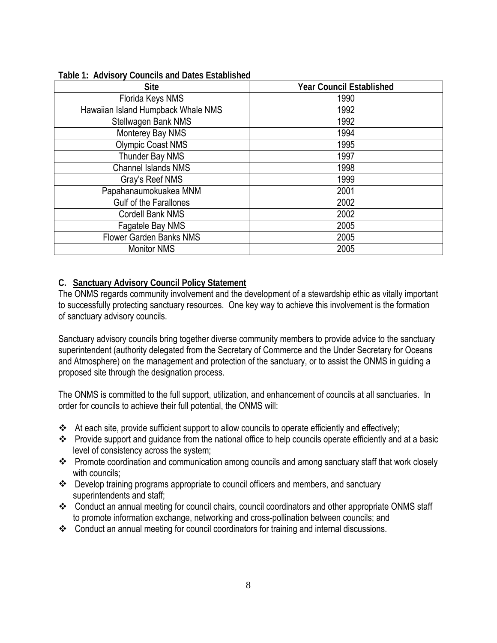| <b>Site</b>                        | <b>Year Council Established</b> |
|------------------------------------|---------------------------------|
| Florida Keys NMS                   | 1990                            |
| Hawaiian Island Humpback Whale NMS | 1992                            |
| Stellwagen Bank NMS                | 1992                            |
| Monterey Bay NMS                   | 1994                            |
| <b>Olympic Coast NMS</b>           | 1995                            |
| Thunder Bay NMS                    | 1997                            |
| <b>Channel Islands NMS</b>         | 1998                            |
| Gray's Reef NMS                    | 1999                            |
| Papahanaumokuakea MNM              | 2001                            |
| <b>Gulf of the Farallones</b>      | 2002                            |
| Cordell Bank NMS                   | 2002                            |
| Fagatele Bay NMS                   | 2005                            |
| <b>Flower Garden Banks NMS</b>     | 2005                            |
| <b>Monitor NMS</b>                 | 2005                            |

#### **Table 1: Advisory Councils and Dates Established**

#### **C. Sanctuary Advisory Council Policy Statement**

The ONMS regards community involvement and the development of a stewardship ethic as vitally important to successfully protecting sanctuary resources. One key way to achieve this involvement is the formation of sanctuary advisory councils.

Sanctuary advisory councils bring together diverse community members to provide advice to the sanctuary superintendent (authority delegated from the Secretary of Commerce and the Under Secretary for Oceans and Atmosphere) on the management and protection of the sanctuary, or to assist the ONMS in guiding a proposed site through the designation process.

The ONMS is committed to the full support, utilization, and enhancement of councils at all sanctuaries. In order for councils to achieve their full potential, the ONMS will:

- \* At each site, provide sufficient support to allow councils to operate efficiently and effectively;
- Provide support and guidance from the national office to help councils operate efficiently and at a basic level of consistency across the system;
- \* Promote coordination and communication among councils and among sanctuary staff that work closely with councils;
- \* Develop training programs appropriate to council officers and members, and sanctuary superintendents and staff;
- \* Conduct an annual meeting for council chairs, council coordinators and other appropriate ONMS staff to promote information exchange, networking and cross-pollination between councils; and
- \* Conduct an annual meeting for council coordinators for training and internal discussions.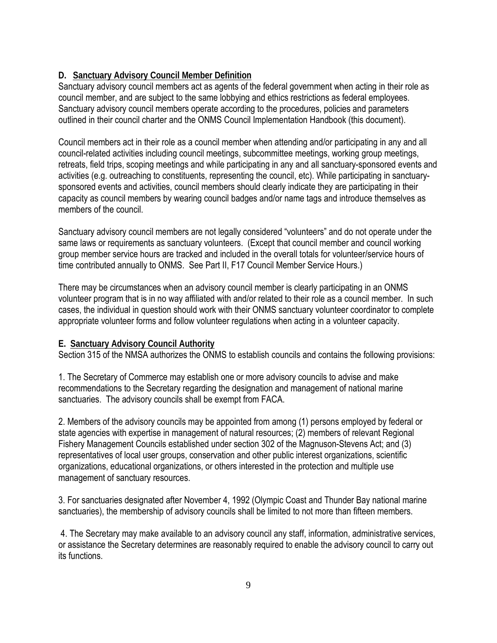## **D. Sanctuary Advisory Council Member Definition**

Sanctuary advisory council members act as agents of the federal government when acting in their role as council member, and are subject to the same lobbying and ethics restrictions as federal employees. Sanctuary advisory council members operate according to the procedures, policies and parameters outlined in their council charter and the ONMS Council Implementation Handbook (this document).

Council members act in their role as a council member when attending and/or participating in any and all council-related activities including council meetings, subcommittee meetings, working group meetings, retreats, field trips, scoping meetings and while participating in any and all sanctuary-sponsored events and activities (e.g. outreaching to constituents, representing the council, etc). While participating in sanctuarysponsored events and activities, council members should clearly indicate they are participating in their capacity as council members by wearing council badges and/or name tags and introduce themselves as members of the council.

Sanctuary advisory council members are not legally considered "volunteers" and do not operate under the same laws or requirements as sanctuary volunteers. (Except that council member and council working group member service hours are tracked and included in the overall totals for volunteer/service hours of time contributed annually to ONMS. See Part II, F17 Council Member Service Hours.)

There may be circumstances when an advisory council member is clearly participating in an ONMS volunteer program that is in no way affiliated with and/or related to their role as a council member. In such cases, the individual in question should work with their ONMS sanctuary volunteer coordinator to complete appropriate volunteer forms and follow volunteer regulations when acting in a volunteer capacity.

## **E. Sanctuary Advisory Council Authority**

Section 315 of the NMSA authorizes the ONMS to establish councils and contains the following provisions:

1. The Secretary of Commerce may establish one or more advisory councils to advise and make recommendations to the Secretary regarding the designation and management of national marine sanctuaries. The advisory councils shall be exempt from FACA.

2. Members of the advisory councils may be appointed from among (1) persons employed by federal or state agencies with expertise in management of natural resources; (2) members of relevant Regional Fishery Management Councils established under section 302 of the Magnuson-Stevens Act; and (3) representatives of local user groups, conservation and other public interest organizations, scientific organizations, educational organizations, or others interested in the protection and multiple use management of sanctuary resources.

3. For sanctuaries designated after November 4, 1992 (Olympic Coast and Thunder Bay national marine sanctuaries), the membership of advisory councils shall be limited to not more than fifteen members.

4. The Secretary may make available to an advisory council any staff, information, administrative services, or assistance the Secretary determines are reasonably required to enable the advisory council to carry out its functions.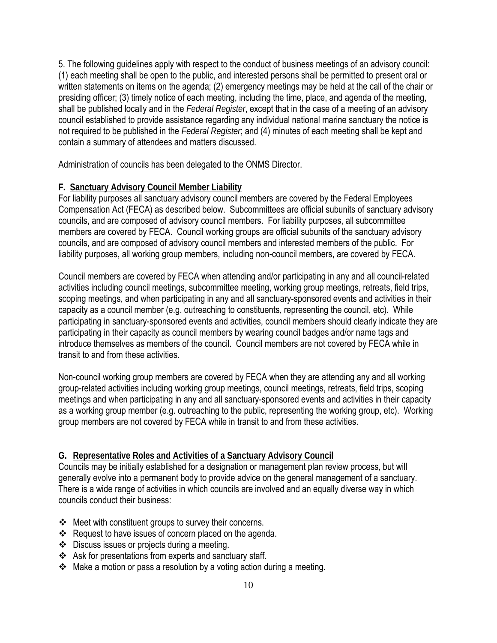5. The following guidelines apply with respect to the conduct of business meetings of an advisory council: (1) each meeting shall be open to the public, and interested persons shall be permitted to present oral or written statements on items on the agenda; (2) emergency meetings may be held at the call of the chair or presiding officer; (3) timely notice of each meeting, including the time, place, and agenda of the meeting, shall be published locally and in the *Federal Register*, except that in the case of a meeting of an advisory council established to provide assistance regarding any individual national marine sanctuary the notice is not required to be published in the *Federal Register*; and (4) minutes of each meeting shall be kept and contain a summary of attendees and matters discussed.

Administration of councils has been delegated to the ONMS Director.

#### **F. Sanctuary Advisory Council Member Liability**

For liability purposes all sanctuary advisory council members are covered by the Federal Employees Compensation Act (FECA) as described below. Subcommittees are official subunits of sanctuary advisory councils, and are composed of advisory council members. For liability purposes, all subcommittee members are covered by FECA. Council working groups are official subunits of the sanctuary advisory councils, and are composed of advisory council members and interested members of the public. For liability purposes, all working group members, including non-council members, are covered by FECA.

Council members are covered by FECA when attending and/or participating in any and all council-related activities including council meetings, subcommittee meeting, working group meetings, retreats, field trips, scoping meetings, and when participating in any and all sanctuary-sponsored events and activities in their capacity as a council member (e.g. outreaching to constituents, representing the council, etc). While participating in sanctuary-sponsored events and activities, council members should clearly indicate they are participating in their capacity as council members by wearing council badges and/or name tags and introduce themselves as members of the council. Council members are not covered by FECA while in transit to and from these activities.

Non-council working group members are covered by FECA when they are attending any and all working group-related activities including working group meetings, council meetings, retreats, field trips, scoping meetings and when participating in any and all sanctuary-sponsored events and activities in their capacity as a working group member (e.g. outreaching to the public, representing the working group, etc). Working group members are not covered by FECA while in transit to and from these activities.

## **G. Representative Roles and Activities of a Sanctuary Advisory Council**

Councils may be initially established for a designation or management plan review process, but will generally evolve into a permanent body to provide advice on the general management of a sanctuary. There is a wide range of activities in which councils are involved and an equally diverse way in which councils conduct their business:

- ❖ Meet with constituent groups to survey their concerns.
- Request to have issues of concern placed on the agenda.
- Discuss issues or projects during a meeting.
- Ask for presentations from experts and sanctuary staff.
- $\cdot$  Make a motion or pass a resolution by a voting action during a meeting.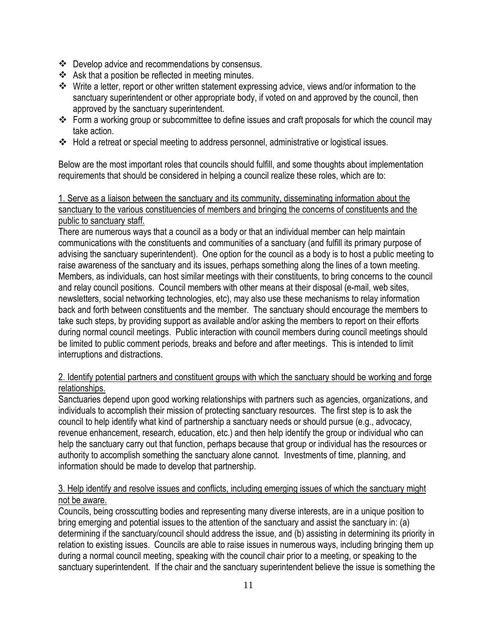- $\div$  Develop advice and recommendations by consensus.
- ❖ Ask that a position be reflected in meeting minutes.
- Write a letter, report or other written statement expressing advice, views and/or information to the sanctuary superintendent or other appropriate body, if voted on and approved by the council, then approved by the sanctuary superintendent.
- Form a working group or subcommittee to define issues and craft proposals for which the council may take action.
- Hold a retreat or special meeting to address personnel, administrative or logistical issues.

Below are the most important roles that councils should fulfill, and some thoughts about implementation requirements that should be considered in helping a council realize these roles, which are to:

## 1. Serve as a liaison between the sanctuary and its community, disseminating information about the sanctuary to the various constituencies of members and bringing the concerns of constituents and the public to sanctuary staff.

There are numerous ways that a council as a body or that an individual member can help maintain communications with the constituents and communities of a sanctuary (and fulfill its primary purpose of advising the sanctuary superintendent). One option for the council as a body is to host a public meeting to raise awareness of the sanctuary and its issues, perhaps something along the lines of a town meeting. Members, as individuals, can host similar meetings with their constituents, to bring concerns to the council and relay council positions. Council members with other means at their disposal (e-mail, web sites, newsletters, social networking technologies, etc), may also use these mechanisms to relay information back and forth between constituents and the member. The sanctuary should encourage the members to take such steps, by providing support as available and/or asking the members to report on their efforts during normal council meetings. Public interaction with council members during council meetings should be limited to public comment periods, breaks and before and after meetings. This is intended to limit interruptions and distractions.

## 2. Identify potential partners and constituent groups with which the sanctuary should be working and forge relationships.

Sanctuaries depend upon good working relationships with partners such as agencies, organizations, and individuals to accomplish their mission of protecting sanctuary resources. The first step is to ask the council to help identify what kind of partnership a sanctuary needs or should pursue (e.g., advocacy, revenue enhancement, research, education, etc.) and then help identify the group or individual who can help the sanctuary carry out that function, perhaps because that group or individual has the resources or authority to accomplish something the sanctuary alone cannot. Investments of time, planning, and information should be made to develop that partnership.

## 3. Help identify and resolve issues and conflicts, including emerging issues of which the sanctuary might not be aware.

Councils, being crosscutting bodies and representing many diverse interests, are in a unique position to bring emerging and potential issues to the attention of the sanctuary and assist the sanctuary in: (a) determining if the sanctuary/council should address the issue, and (b) assisting in determining its priority in relation to existing issues. Councils are able to raise issues in numerous ways, including bringing them up during a normal council meeting, speaking with the council chair prior to a meeting, or speaking to the sanctuary superintendent. If the chair and the sanctuary superintendent believe the issue is something the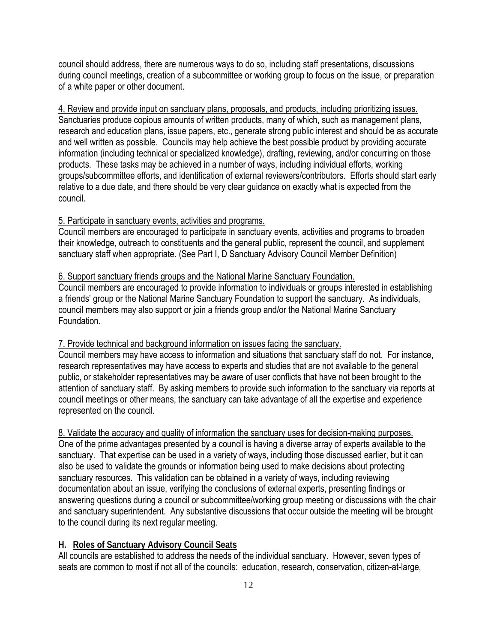council should address, there are numerous ways to do so, including staff presentations, discussions during council meetings, creation of a subcommittee or working group to focus on the issue, or preparation of a white paper or other document.

Sanctuaries produce copious amounts of written products, many of which, such as management plans, research and education plans, issue papers, etc., generate strong public interest and should be as accurate and well written as possible. Councils may help achieve the best possible product by providing accurate information (including technical or specialized knowledge), drafting, reviewing, and/or concurring on those products. These tasks may be achieved in a number of ways, including individual efforts, working groups/subcommittee efforts, and identification of external reviewers/contributors. Efforts should start early relative to a due date, and there should be very clear guidance on exactly what is expected from the council. 4. Review and provide input on sanctuary plans, proposals, and products, including prioritizing issues.

#### 5. Participate in sanctuary events, activities and programs.

Council members are encouraged to participate in sanctuary events, activities and programs to broaden their knowledge, outreach to constituents and the general public, represent the council, and supplement sanctuary staff when appropriate. (See Part I, D Sanctuary Advisory Council Member Definition)

#### 6. Support sanctuary friends groups and the National Marine Sanctuary Foundation.

Council members are encouraged to provide information to individuals or groups interested in establishing a friends' group or the National Marine Sanctuary Foundation to support the sanctuary. As individuals, council members may also support or join a friends group and/or the National Marine Sanctuary Foundation.

#### 7. Provide technical and background information on issues facing the sanctuary.

Council members may have access to information and situations that sanctuary staff do not. For instance, research representatives may have access to experts and studies that are not available to the general public, or stakeholder representatives may be aware of user conflicts that have not been brought to the attention of sanctuary staff. By asking members to provide such information to the sanctuary via reports at council meetings or other means, the sanctuary can take advantage of all the expertise and experience represented on the council.

#### 8. Validate the accuracy and quality of information the sanctuary uses for decision-making purposes.

One of the prime advantages presented by a council is having a diverse array of experts available to the sanctuary. That expertise can be used in a variety of ways, including those discussed earlier, but it can also be used to validate the grounds or information being used to make decisions about protecting sanctuary resources. This validation can be obtained in a variety of ways, including reviewing documentation about an issue, verifying the conclusions of external experts, presenting findings or answering questions during a council or subcommittee/working group meeting or discussions with the chair and sanctuary superintendent. Any substantive discussions that occur outside the meeting will be brought to the council during its next regular meeting.

#### **H. Roles of Sanctuary Advisory Council Seats**

All councils are established to address the needs of the individual sanctuary. However, seven types of seats are common to most if not all of the councils: education, research, conservation, citizen-at-large,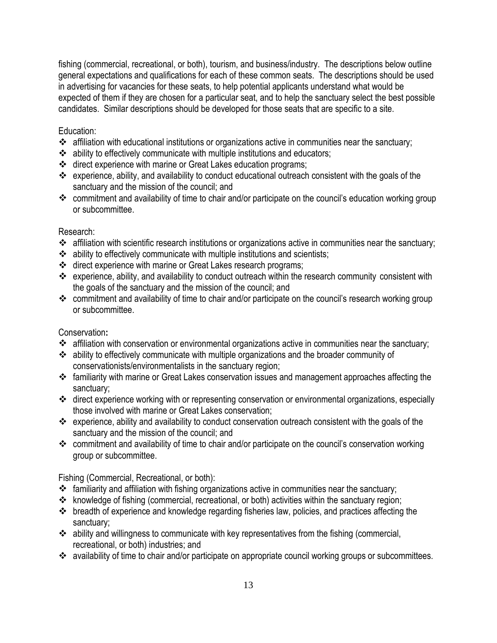fishing (commercial, recreational, or both), tourism, and business/industry. The descriptions below outline general expectations and qualifications for each of these common seats. The descriptions should be used in advertising for vacancies for these seats, to help potential applicants understand what would be expected of them if they are chosen for a particular seat, and to help the sanctuary select the best possible candidates. Similar descriptions should be developed for those seats that are specific to a site.

## Education:

- $\cdot$  affiliation with educational institutions or organizations active in communities near the sanctuary;
- ability to effectively communicate with multiple institutions and educators;
- direct experience with marine or Great Lakes education programs;
- experience, ability, and availability to conduct educational outreach consistent with the goals of the sanctuary and the mission of the council; and
- \* commitment and availability of time to chair and/or participate on the council's education working group or subcommittee.

#### Research:

- \* affiliation with scientific research institutions or organizations active in communities near the sanctuary;
- $\cdot$  ability to effectively communicate with multiple institutions and scientists;
- direct experience with marine or Great Lakes research programs;
- experience, ability, and availability to conduct outreach within the research community consistent with the goals of the sanctuary and the mission of the council; and
- \* commitment and availability of time to chair and/or participate on the council's research working group or subcommittee.

## Conservation**:**

- affiliation with conservation or environmental organizations active in communities near the sanctuary;
- ability to effectively communicate with multiple organizations and the broader community of conservationists/environmentalists in the sanctuary region;
- familiarity with marine or Great Lakes conservation issues and management approaches affecting the sanctuary;
- direct experience working with or representing conservation or environmental organizations, especially those involved with marine or Great Lakes conservation;
- experience, ability and availability to conduct conservation outreach consistent with the goals of the sanctuary and the mission of the council; and
- \* commitment and availability of time to chair and/or participate on the council's conservation working group or subcommittee.

Fishing (Commercial, Recreational, or both):

- $\cdot$  familiarity and affiliation with fishing organizations active in communities near the sanctuary;
- \* knowledge of fishing (commercial, recreational, or both) activities within the sanctuary region;
- $\cdot \cdot$  breadth of experience and knowledge regarding fisheries law, policies, and practices affecting the sanctuary;
- $\cdot$  ability and willingness to communicate with key representatives from the fishing (commercial, recreational, or both) industries; and
- \* availability of time to chair and/or participate on appropriate council working groups or subcommittees.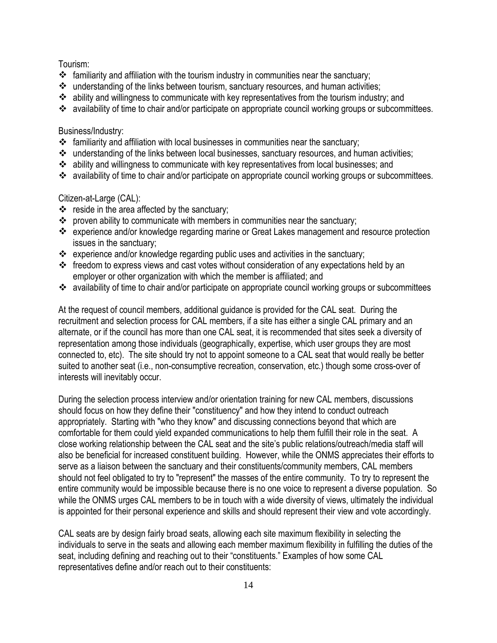#### Tourism:

- $\div$  familiarity and affiliation with the tourism industry in communities near the sanctuary;
- \* understanding of the links between tourism, sanctuary resources, and human activities;
- ability and willingness to communicate with key representatives from the tourism industry; and
- \* availability of time to chair and/or participate on appropriate council working groups or subcommittees.

#### Business/Industry:

- $\cdot$  familiarity and affiliation with local businesses in communities near the sanctuary;
- understanding of the links between local businesses, sanctuary resources, and human activities;
- ability and willingness to communicate with key representatives from local businesses; and
- \* availability of time to chair and/or participate on appropriate council working groups or subcommittees.

#### Citizen-at-Large (CAL):

- $\div$  reside in the area affected by the sanctuary;
- $\cdot \cdot$  proven ability to communicate with members in communities near the sanctuary;
- experience and/or knowledge regarding marine or Great Lakes management and resource protection issues in the sanctuary;
- $\cdot$  experience and/or knowledge regarding public uses and activities in the sanctuary;
- $\cdot \cdot$  freedom to express views and cast votes without consideration of any expectations held by an employer or other organization with which the member is affiliated; and
- \* availability of time to chair and/or participate on appropriate council working groups or subcommittees

At the request of council members, additional guidance is provided for the CAL seat. During the recruitment and selection process for CAL members, if a site has either a single CAL primary and an alternate, or if the council has more than one CAL seat, it is recommended that sites seek a diversity of representation among those individuals (geographically, expertise, which user groups they are most connected to, etc). The site should try not to appoint someone to a CAL seat that would really be better suited to another seat (i.e., non-consumptive recreation, conservation, etc.) though some cross-over of interests will inevitably occur.

During the selection process interview and/or orientation training for new CAL members, discussions should focus on how they define their "constituency" and how they intend to conduct outreach appropriately. Starting with "who they know" and discussing connections beyond that which are comfortable for them could yield expanded communications to help them fulfill their role in the seat. A close working relationship between the CAL seat and the site's public relations/outreach/media staff will also be beneficial for increased constituent building. However, while the ONMS appreciates their efforts to serve as a liaison between the sanctuary and their constituents/community members, CAL members should not feel obligated to try to "represent" the masses of the entire community. To try to represent the entire community would be impossible because there is no one voice to represent a diverse population. So while the ONMS urges CAL members to be in touch with a wide diversity of views, ultimately the individual is appointed for their personal experience and skills and should represent their view and vote accordingly.

CAL seats are by design fairly broad seats, allowing each site maximum flexibility in selecting the individuals to serve in the seats and allowing each member maximum flexibility in fulfilling the duties of the seat, including defining and reaching out to their "constituents." Examples of how some CAL representatives define and/or reach out to their constituents: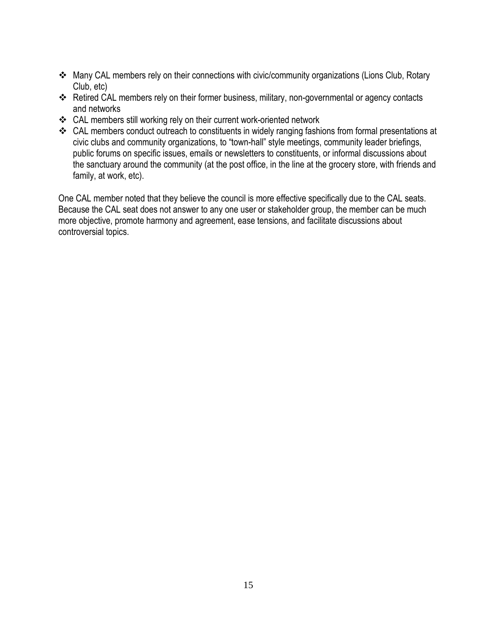- Many CAL members rely on their connections with civic/community organizations (Lions Club, Rotary Club, etc)
- \* Retired CAL members rely on their former business, military, non-governmental or agency contacts and networks
- CAL members still working rely on their current work-oriented network
- CAL members conduct outreach to constituents in widely ranging fashions from formal presentations at civic clubs and community organizations, to "town-hall" style meetings, community leader briefings, public forums on specific issues, emails or newsletters to constituents, or informal discussions about the sanctuary around the community (at the post office, in the line at the grocery store, with friends and family, at work, etc).

One CAL member noted that they believe the council is more effective specifically due to the CAL seats. Because the CAL seat does not answer to any one user or stakeholder group, the member can be much more objective, promote harmony and agreement, ease tensions, and facilitate discussions about controversial topics.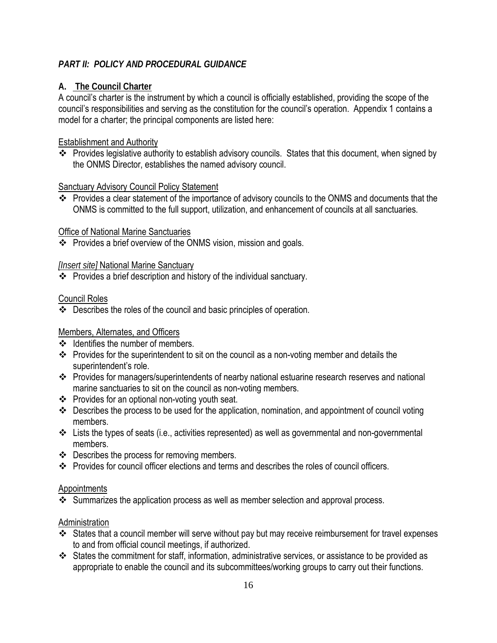## *PART II: POLICY AND PROCEDURAL GUIDANCE*

## **A. The Council Charter**

A council's charter is the instrument by which a council is officially established, providing the scope of the council's responsibilities and serving as the constitution for the council's operation. Appendix 1 contains a model for a charter; the principal components are listed here:

## Establishment and Authority

 Provides legislative authority to establish advisory councils. States that this document, when signed by the ONMS Director, establishes the named advisory council.

## Sanctuary Advisory Council Policy Statement

\* Provides a clear statement of the importance of advisory councils to the ONMS and documents that the ONMS is committed to the full support, utilization, and enhancement of councils at all sanctuaries.

## Office of National Marine Sanctuaries

Provides a brief overview of the ONMS vision, mission and goals.

## *[Insert site]* National Marine Sanctuary

 $\overline{\textbf{L}}$  Provides a brief description and history of the individual sanctuary.

## Council Roles

Describes the roles of the council and basic principles of operation.

## Members, Alternates, and Officers

- $\div$  Identifies the number of members.
- \* Provides for the superintendent to sit on the council as a non-voting member and details the superintendent's role.
- Provides for managers/superintendents of nearby national estuarine research reserves and national marine sanctuaries to sit on the council as non-voting members.
- Provides for an optional non-voting youth seat.
- Describes the process to be used for the application, nomination, and appointment of council voting members.
- Lists the types of seats (i.e., activities represented) as well as governmental and non-governmental members.
- ❖ Describes the process for removing members.
- \* Provides for council officer elections and terms and describes the roles of council officers.

#### Appointments

 $\cdot$  Summarizes the application process as well as member selection and approval process.

## **Administration**

- States that a council member will serve without pay but may receive reimbursement for travel expenses to and from official council meetings, if authorized.
- States the commitment for staff, information, administrative services, or assistance to be provided as appropriate to enable the council and its subcommittees/working groups to carry out their functions.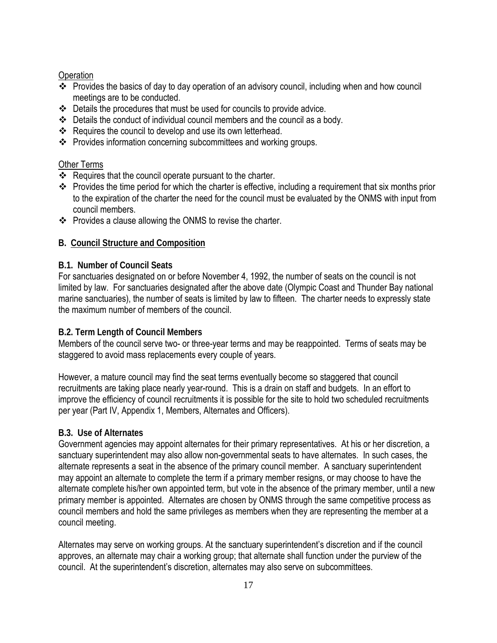## **Operation**

- \* Provides the basics of day to day operation of an advisory council, including when and how council meetings are to be conducted.
- Details the procedures that must be used for councils to provide advice.
- Details the conduct of individual council members and the council as a body.
- $\div$  Requires the council to develop and use its own letterhead.
- Provides information concerning subcommittees and working groups.

#### Other Terms

- $\div$  Requires that the council operate pursuant to the charter.
- \* Provides the time period for which the charter is effective, including a requirement that six months prior to the expiration of the charter the need for the council must be evaluated by the ONMS with input from council members.
- ❖ Provides a clause allowing the ONMS to revise the charter.

#### **B. Council Structure and Composition**

#### **B.1. Number of Council Seats**

For sanctuaries designated on or before November 4, 1992, the number of seats on the council is not limited by law. For sanctuaries designated after the above date (Olympic Coast and Thunder Bay national marine sanctuaries), the number of seats is limited by law to fifteen. The charter needs to expressly state the maximum number of members of the council.

## **B.2. Term Length of Council Members**

Members of the council serve two- or three-year terms and may be reappointed. Terms of seats may be staggered to avoid mass replacements every couple of years.

However, a mature council may find the seat terms eventually become so staggered that council recruitments are taking place nearly year-round. This is a drain on staff and budgets. In an effort to improve the efficiency of council recruitments it is possible for the site to hold two scheduled recruitments per year (Part IV, Appendix 1, Members, Alternates and Officers).

## **B.3. Use of Alternates**

Government agencies may appoint alternates for their primary representatives. At his or her discretion, a sanctuary superintendent may also allow non-governmental seats to have alternates. In such cases, the alternate represents a seat in the absence of the primary council member. A sanctuary superintendent may appoint an alternate to complete the term if a primary member resigns, or may choose to have the alternate complete his/her own appointed term, but vote in the absence of the primary member, until a new primary member is appointed. Alternates are chosen by ONMS through the same competitive process as council members and hold the same privileges as members when they are representing the member at a council meeting.

Alternates may serve on working groups. At the sanctuary superintendent's discretion and if the council approves, an alternate may chair a working group; that alternate shall function under the purview of the council. At the superintendent's discretion, alternates may also serve on subcommittees.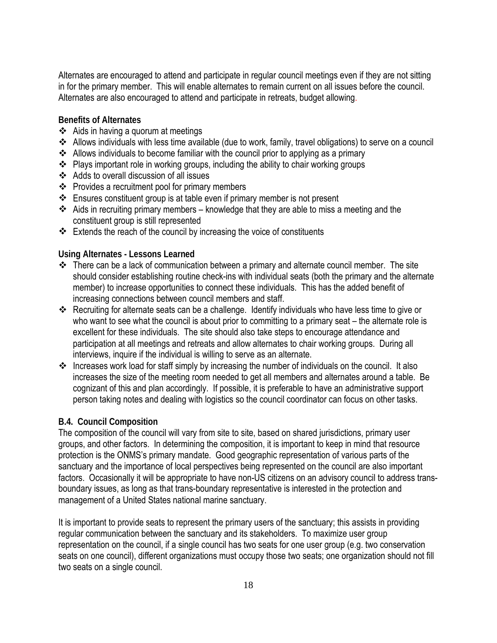Alternates are encouraged to attend and participate in regular council meetings even if they are not sitting in for the primary member. This will enable alternates to remain current on all issues before the council. Alternates are also encouraged to attend and participate in retreats, budget allowing.

## **Benefits of Alternates**

- $\triangleleft$  Aids in having a quorum at meetings
- Allows individuals with less time available (due to work, family, travel obligations) to serve on a council
- Allows individuals to become familiar with the council prior to applying as a primary
- ❖ Plays important role in working groups, including the ability to chair working groups
- Adds to overall discussion of all issues
- $\div$  Provides a recruitment pool for primary members
- Ensures constituent group is at table even if primary member is not present
- Aids in recruiting primary members knowledge that they are able to miss a meeting and the constituent group is still represented
- $\cdot \cdot$  Extends the reach of the council by increasing the voice of constituents

## **Using Alternates - Lessons Learned**

- $\cdot \cdot$  There can be a lack of communication between a primary and alternate council member. The site should consider establishing routine check-ins with individual seats (both the primary and the alternate member) to increase opportunities to connect these individuals. This has the added benefit of increasing connections between council members and staff.
- Recruiting for alternate seats can be a challenge. Identify individuals who have less time to give or who want to see what the council is about prior to committing to a primary seat – the alternate role is excellent for these individuals. The site should also take steps to encourage attendance and participation at all meetings and retreats and allow alternates to chair working groups. During all interviews, inquire if the individual is willing to serve as an alternate.
- \* Increases work load for staff simply by increasing the number of individuals on the council. It also increases the size of the meeting room needed to get all members and alternates around a table. Be cognizant of this and plan accordingly. If possible, it is preferable to have an administrative support person taking notes and dealing with logistics so the council coordinator can focus on other tasks.

## **B.4. Council Composition**

The composition of the council will vary from site to site, based on shared jurisdictions, primary user groups, and other factors. In determining the composition, it is important to keep in mind that resource protection is the ONMS's primary mandate. Good geographic representation of various parts of the sanctuary and the importance of local perspectives being represented on the council are also important factors. Occasionally it will be appropriate to have non-US citizens on an advisory council to address transboundary issues, as long as that trans-boundary representative is interested in the protection and management of a United States national marine sanctuary.

It is important to provide seats to represent the primary users of the sanctuary; this assists in providing regular communication between the sanctuary and its stakeholders. To maximize user group representation on the council, if a single council has two seats for one user group (e.g. two conservation seats on one council), different organizations must occupy those two seats; one organization should not fill two seats on a single council.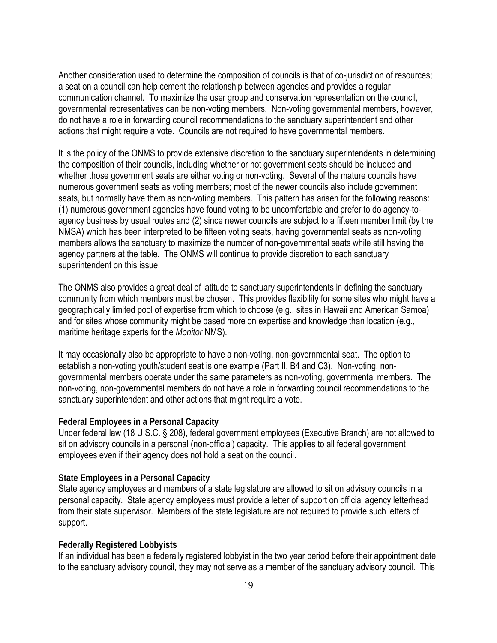Another consideration used to determine the composition of councils is that of co-jurisdiction of resources; a seat on a council can help cement the relationship between agencies and provides a regular communication channel. To maximize the user group and conservation representation on the council, governmental representatives can be non-voting members. Non-voting governmental members, however, do not have a role in forwarding council recommendations to the sanctuary superintendent and other actions that might require a vote. Councils are not required to have governmental members.

It is the policy of the ONMS to provide extensive discretion to the sanctuary superintendents in determining the composition of their councils, including whether or not government seats should be included and whether those government seats are either voting or non-voting. Several of the mature councils have numerous government seats as voting members; most of the newer councils also include government seats, but normally have them as non-voting members. This pattern has arisen for the following reasons: (1) numerous government agencies have found voting to be uncomfortable and prefer to do agency-toagency business by usual routes and (2) since newer councils are subject to a fifteen member limit (by the NMSA) which has been interpreted to be fifteen voting seats, having governmental seats as non-voting members allows the sanctuary to maximize the number of non-governmental seats while still having the agency partners at the table. The ONMS will continue to provide discretion to each sanctuary superintendent on this issue.

The ONMS also provides a great deal of latitude to sanctuary superintendents in defining the sanctuary community from which members must be chosen. This provides flexibility for some sites who might have a geographically limited pool of expertise from which to choose (e.g., sites in Hawaii and American Samoa) and for sites whose community might be based more on expertise and knowledge than location (e.g., maritime heritage experts for the *Monitor* NMS).

It may occasionally also be appropriate to have a non-voting, non-governmental seat. The option to establish a non-voting youth/student seat is one example (Part II, B4 and C3). Non-voting, nongovernmental members operate under the same parameters as non-voting, governmental members. The non-voting, non-governmental members do not have a role in forwarding council recommendations to the sanctuary superintendent and other actions that might require a vote.

#### **Federal Employees in a Personal Capacity**

Under federal law (18 U.S.C. § 208), federal government employees (Executive Branch) are not allowed to sit on advisory councils in a personal (non-official) capacity. This applies to all federal government employees even if their agency does not hold a seat on the council.

#### **State Employees in a Personal Capacity**

State agency employees and members of a state legislature are allowed to sit on advisory councils in a personal capacity. State agency employees must provide a letter of support on official agency letterhead from their state supervisor. Members of the state legislature are not required to provide such letters of support.

#### **Federally Registered Lobbyists**

If an individual has been a federally registered lobbyist in the two year period before their appointment date to the sanctuary advisory council, they may not serve as a member of the sanctuary advisory council. This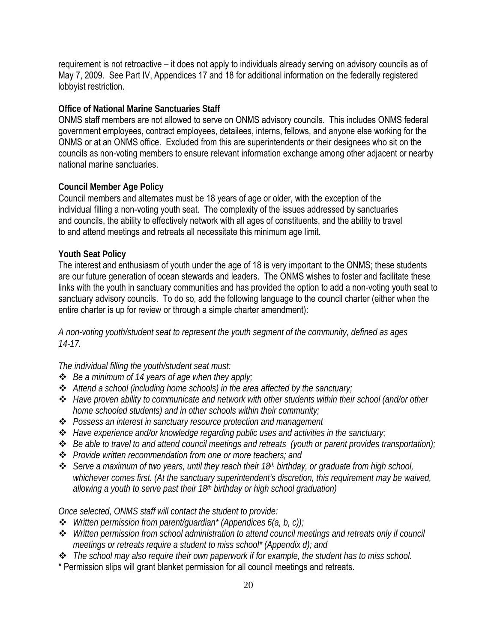requirement is not retroactive – it does not apply to individuals already serving on advisory councils as of May 7, 2009. See Part IV, Appendices 17 and 18 for additional information on the federally registered lobbyist restriction.

#### **Office of National Marine Sanctuaries Staff**

ONMS staff members are not allowed to serve on ONMS advisory councils. This includes ONMS federal government employees, contract employees, detailees, interns, fellows, and anyone else working for the ONMS or at an ONMS office. Excluded from this are superintendents or their designees who sit on the councils as non-voting members to ensure relevant information exchange among other adjacent or nearby national marine sanctuaries.

#### **Council Member Age Policy**

Council members and alternates must be 18 years of age or older, with the exception of the individual filling a non-voting youth seat. The complexity of the issues addressed by sanctuaries and councils, the ability to effectively network with all ages of constituents, and the ability to travel to and attend meetings and retreats all necessitate this minimum age limit.

#### **Youth Seat Policy**

The interest and enthusiasm of youth under the age of 18 is very important to the ONMS; these students are our future generation of ocean stewards and leaders. The ONMS wishes to foster and facilitate these links with the youth in sanctuary communities and has provided the option to add a non-voting youth seat to sanctuary advisory councils. To do so, add the following language to the council charter (either when the entire charter is up for review or through a simple charter amendment):

*A non-voting youth/student seat to represent the youth segment of the community, defined as ages 14-17.*

#### *The individual filling the youth/student seat must:*

- *Be a minimum of 14 years of age when they apply;*
- *Attend a school (including home schools) in the area affected by the sanctuary;*
- *Have proven ability to communicate and network with other students within their school (and/or other home schooled students) and in other schools within their community;*
- *Possess an interest in sanctuary resource protection and management*
- *Have experience and/or knowledge regarding public uses and activities in the sanctuary;*
- *Be able to travel to and attend council meetings and retreats (youth or parent provides transportation);*
- *Provide written recommendation from one or more teachers; and*
- *Serve a maximum of two years, until they reach their 18th birthday, or graduate from high school, whichever comes first. (At the sanctuary superintendent's discretion, this requirement may be waived, allowing a youth to serve past their 18th birthday or high school graduation)*

#### *Once selected, ONMS staff will contact the student to provide:*

- *Written permission from parent/guardian\* (Appendices 6(a, b, c));*
- *Written permission from school administration to attend council meetings and retreats only if council meetings or retreats require a student to miss school\* (Appendix d); and*
- *The school may also require their own paperwork if for example, the student has to miss school.*
- \* Permission slips will grant blanket permission for all council meetings and retreats.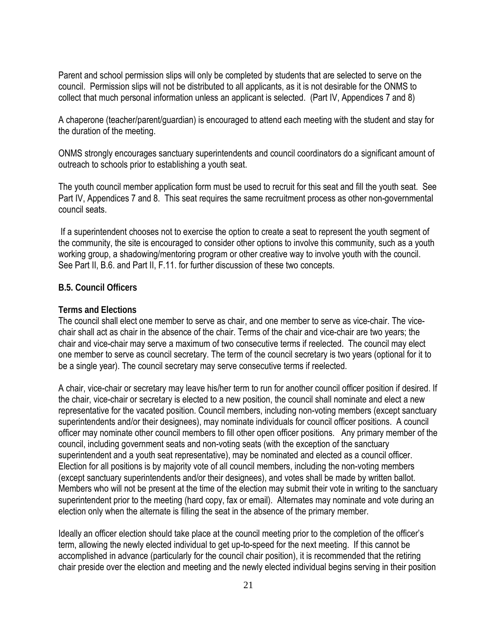Parent and school permission slips will only be completed by students that are selected to serve on the council. Permission slips will not be distributed to all applicants, as it is not desirable for the ONMS to collect that much personal information unless an applicant is selected. (Part IV, Appendices 7 and 8)

A chaperone (teacher/parent/guardian) is encouraged to attend each meeting with the student and stay for the duration of the meeting.

ONMS strongly encourages sanctuary superintendents and council coordinators do a significant amount of outreach to schools prior to establishing a youth seat.

The youth council member application form must be used to recruit for this seat and fill the youth seat. See Part IV, Appendices 7 and 8. This seat requires the same recruitment process as other non-governmental council seats.

If a superintendent chooses not to exercise the option to create a seat to represent the youth segment of the community, the site is encouraged to consider other options to involve this community, such as a youth working group, a shadowing/mentoring program or other creative way to involve youth with the council. See Part II, B.6. and Part II, F.11. for further discussion of these two concepts.

#### **B.5. Council Officers**

#### **Terms and Elections**

The council shall elect one member to serve as chair, and one member to serve as vice-chair. The vicechair shall act as chair in the absence of the chair. Terms of the chair and vice-chair are two years; the chair and vice-chair may serve a maximum of two consecutive terms if reelected. The council may elect one member to serve as council secretary. The term of the council secretary is two years (optional for it to be a single year). The council secretary may serve consecutive terms if reelected.

A chair, vice-chair or secretary may leave his/her term to run for another council officer position if desired. If the chair, vice-chair or secretary is elected to a new position, the council shall nominate and elect a new representative for the vacated position. Council members, including non-voting members (except sanctuary superintendents and/or their designees), may nominate individuals for council officer positions. A council officer may nominate other council members to fill other open officer positions. Any primary member of the council, including government seats and non-voting seats (with the exception of the sanctuary superintendent and a youth seat representative), may be nominated and elected as a council officer. Election for all positions is by majority vote of all council members, including the non-voting members (except sanctuary superintendents and/or their designees), and votes shall be made by written ballot. Members who will not be present at the time of the election may submit their vote in writing to the sanctuary superintendent prior to the meeting (hard copy, fax or email). Alternates may nominate and vote during an election only when the alternate is filling the seat in the absence of the primary member.

Ideally an officer election should take place at the council meeting prior to the completion of the officer's term, allowing the newly elected individual to get up-to-speed for the next meeting. If this cannot be accomplished in advance (particularly for the council chair position), it is recommended that the retiring chair preside over the election and meeting and the newly elected individual begins serving in their position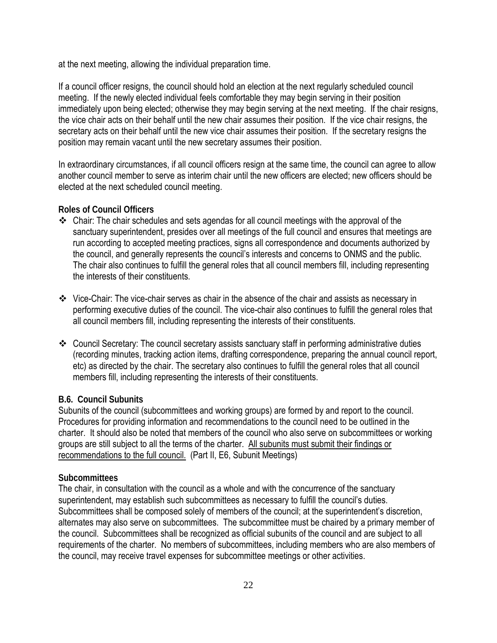at the next meeting, allowing the individual preparation time.

If a council officer resigns, the council should hold an election at the next regularly scheduled council meeting. If the newly elected individual feels comfortable they may begin serving in their position immediately upon being elected; otherwise they may begin serving at the next meeting. If the chair resigns, the vice chair acts on their behalf until the new chair assumes their position. If the vice chair resigns, the secretary acts on their behalf until the new vice chair assumes their position. If the secretary resigns the position may remain vacant until the new secretary assumes their position.

In extraordinary circumstances, if all council officers resign at the same time, the council can agree to allow another council member to serve as interim chair until the new officers are elected; new officers should be elected at the next scheduled council meeting.

## **Roles of Council Officers**

- Chair: The chair schedules and sets agendas for all council meetings with the approval of the sanctuary superintendent, presides over all meetings of the full council and ensures that meetings are run according to accepted meeting practices, signs all correspondence and documents authorized by the council, and generally represents the council's interests and concerns to ONMS and the public. The chair also continues to fulfill the general roles that all council members fill, including representing the interests of their constituents.
- Vice-Chair: The vice-chair serves as chair in the absence of the chair and assists as necessary in performing executive duties of the council. The vice-chair also continues to fulfill the general roles that all council members fill, including representing the interests of their constituents.
- Council Secretary: The council secretary assists sanctuary staff in performing administrative duties (recording minutes, tracking action items, drafting correspondence, preparing the annual council report, etc) as directed by the chair. The secretary also continues to fulfill the general roles that all council members fill, including representing the interests of their constituents.

## **B.6. Council Subunits**

Subunits of the council (subcommittees and working groups) are formed by and report to the council. Procedures for providing information and recommendations to the council need to be outlined in the charter. It should also be noted that members of the council who also serve on subcommittees or working groups are still subject to all the terms of the charter. All subunits must submit their findings or recommendations to the full council. (Part II, E6, Subunit Meetings)

## **Subcommittees**

The chair, in consultation with the council as a whole and with the concurrence of the sanctuary superintendent, may establish such subcommittees as necessary to fulfill the council's duties. Subcommittees shall be composed solely of members of the council; at the superintendent's discretion, alternates may also serve on subcommittees. The subcommittee must be chaired by a primary member of the council. Subcommittees shall be recognized as official subunits of the council and are subject to all requirements of the charter. No members of subcommittees, including members who are also members of the council, may receive travel expenses for subcommittee meetings or other activities.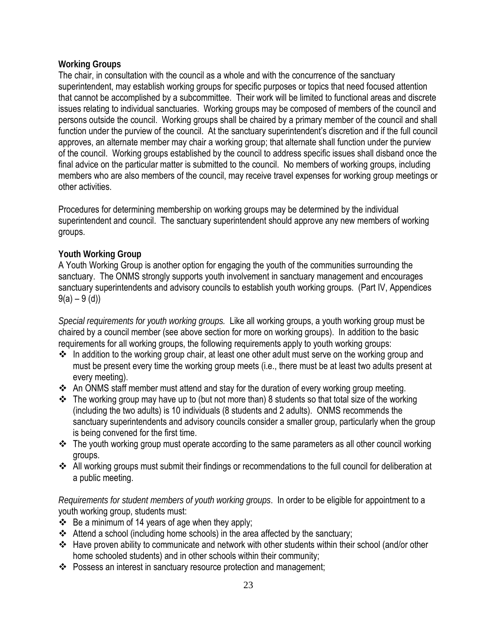## **Working Groups**

The chair, in consultation with the council as a whole and with the concurrence of the sanctuary superintendent, may establish working groups for specific purposes or topics that need focused attention that cannot be accomplished by a subcommittee. Their work will be limited to functional areas and discrete issues relating to individual sanctuaries. Working groups may be composed of members of the council and persons outside the council. Working groups shall be chaired by a primary member of the council and shall function under the purview of the council. At the sanctuary superintendent's discretion and if the full council approves, an alternate member may chair a working group; that alternate shall function under the purview of the council. Working groups established by the council to address specific issues shall disband once the final advice on the particular matter is submitted to the council. No members of working groups, including members who are also members of the council, may receive travel expenses for working group meetings or other activities.

Procedures for determining membership on working groups may be determined by the individual superintendent and council. The sanctuary superintendent should approve any new members of working groups.

## **Youth Working Group**

A Youth Working Group is another option for engaging the youth of the communities surrounding the sanctuary. The ONMS strongly supports youth involvement in sanctuary management and encourages sanctuary superintendents and advisory councils to establish youth working groups. (Part IV, Appendices  $9(a) - 9(d)$ 

*Special requirements for youth working groups.* Like all working groups, a youth working group must be chaired by a council member (see above section for more on working groups). In addition to the basic requirements for all working groups, the following requirements apply to youth working groups:

- $\cdot$  In addition to the working group chair, at least one other adult must serve on the working group and must be present every time the working group meets (i.e., there must be at least two adults present at every meeting).
- \* An ONMS staff member must attend and stay for the duration of every working group meeting.
- The working group may have up to (but not more than) 8 students so that total size of the working (including the two adults) is 10 individuals (8 students and 2 adults). ONMS recommends the sanctuary superintendents and advisory councils consider a smaller group, particularly when the group is being convened for the first time.
- $\div$  The youth working group must operate according to the same parameters as all other council working groups.
- All working groups must submit their findings or recommendations to the full council for deliberation at a public meeting.

*Requirements for student members of youth working groups*. In order to be eligible for appointment to a youth working group, students must:

- $\div$  Be a minimum of 14 years of age when they apply;
- Attend a school (including home schools) in the area affected by the sanctuary;
- \* Have proven ability to communicate and network with other students within their school (and/or other home schooled students) and in other schools within their community;
- Possess an interest in sanctuary resource protection and management;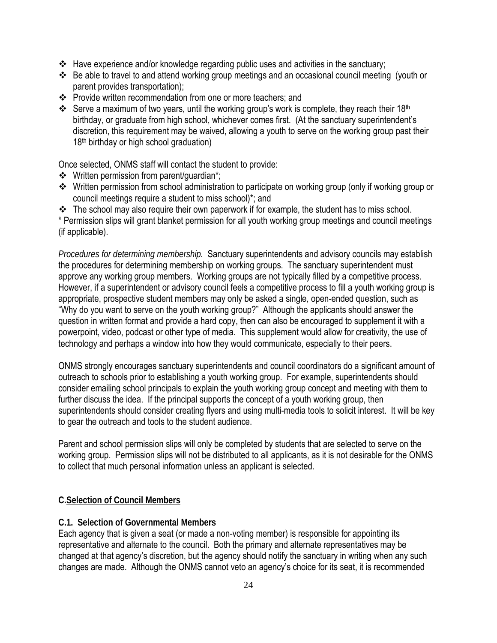- $\leftrightarrow$  Have experience and/or knowledge regarding public uses and activities in the sanctuary;
- Be able to travel to and attend working group meetings and an occasional council meeting (youth or parent provides transportation);
- Provide written recommendation from one or more teachers; and
- Serve a maximum of two years, until the working group's work is complete, they reach their 18<sup>th</sup> birthday, or graduate from high school, whichever comes first. (At the sanctuary superintendent's discretion, this requirement may be waived, allowing a youth to serve on the working group past their 18th birthday or high school graduation)

Once selected, ONMS staff will contact the student to provide:

- $\div$  Written permission from parent/quardian\*;
- Written permission from school administration to participate on working group (only if working group or council meetings require a student to miss school)\*; and
- $\cdot \cdot$  The school may also require their own paperwork if for example, the student has to miss school.

\* Permission slips will grant blanket permission for all youth working group meetings and council meetings (if applicable).

*Procedures for determining membership.* Sanctuary superintendents and advisory councils may establish the procedures for determining membership on working groups. The sanctuary superintendent must approve any working group members. Working groups are not typically filled by a competitive process. However, if a superintendent or advisory council feels a competitive process to fill a youth working group is appropriate, prospective student members may only be asked a single, open-ended question, such as "Why do you want to serve on the youth working group?" Although the applicants should answer the question in written format and provide a hard copy, then can also be encouraged to supplement it with a powerpoint, video, podcast or other type of media. This supplement would allow for creativity, the use of technology and perhaps a window into how they would communicate, especially to their peers.

ONMS strongly encourages sanctuary superintendents and council coordinators do a significant amount of outreach to schools prior to establishing a youth working group. For example, superintendents should consider emailing school principals to explain the youth working group concept and meeting with them to further discuss the idea. If the principal supports the concept of a youth working group, then superintendents should consider creating flyers and using multi-media tools to solicit interest. It will be key to gear the outreach and tools to the student audience.

Parent and school permission slips will only be completed by students that are selected to serve on the working group. Permission slips will not be distributed to all applicants, as it is not desirable for the ONMS to collect that much personal information unless an applicant is selected.

## **C.Selection of Council Members**

## **C.1. Selection of Governmental Members**

Each agency that is given a seat (or made a non-voting member) is responsible for appointing its representative and alternate to the council. Both the primary and alternate representatives may be changed at that agency's discretion, but the agency should notify the sanctuary in writing when any such changes are made. Although the ONMS cannot veto an agency's choice for its seat, it is recommended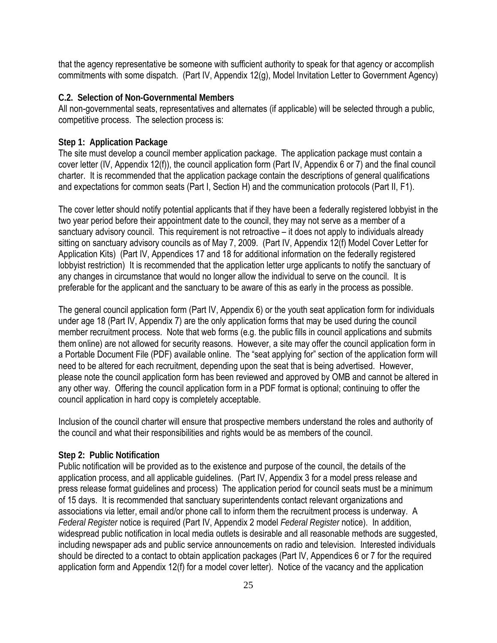that the agency representative be someone with sufficient authority to speak for that agency or accomplish commitments with some dispatch. (Part IV, Appendix 12(g), Model Invitation Letter to Government Agency)

#### **C.2. Selection of Non-Governmental Members**

All non-governmental seats, representatives and alternates (if applicable) will be selected through a public, competitive process. The selection process is:

#### **Step 1: Application Package**

The site must develop a council member application package. The application package must contain a cover letter (IV, Appendix 12(f)), the council application form (Part IV, Appendix 6 or 7) and the final council charter. It is recommended that the application package contain the descriptions of general qualifications and expectations for common seats (Part I, Section H) and the communication protocols (Part II, F1).

The cover letter should notify potential applicants that if they have been a federally registered lobbyist in the two year period before their appointment date to the council, they may not serve as a member of a sanctuary advisory council. This requirement is not retroactive – it does not apply to individuals already sitting on sanctuary advisory councils as of May 7, 2009. (Part IV, Appendix 12(f) Model Cover Letter for Application Kits) (Part IV, Appendices 17 and 18 for additional information on the federally registered lobbyist restriction) It is recommended that the application letter urge applicants to notify the sanctuary of any changes in circumstance that would no longer allow the individual to serve on the council. It is preferable for the applicant and the sanctuary to be aware of this as early in the process as possible.

The general council application form (Part IV, Appendix 6) or the youth seat application form for individuals under age 18 (Part IV, Appendix 7) are the only application forms that may be used during the council member recruitment process. Note that web forms (e.g. the public fills in council applications and submits them online) are not allowed for security reasons. However, a site may offer the council application form in a Portable Document File (PDF) available online. The "seat applying for" section of the application form will need to be altered for each recruitment, depending upon the seat that is being advertised. However, please note the council application form has been reviewed and approved by OMB and cannot be altered in any other way. Offering the council application form in a PDF format is optional; continuing to offer the council application in hard copy is completely acceptable.

Inclusion of the council charter will ensure that prospective members understand the roles and authority of the council and what their responsibilities and rights would be as members of the council.

#### **Step 2: Public Notification**

Public notification will be provided as to the existence and purpose of the council, the details of the application process, and all applicable guidelines. (Part IV, Appendix 3 for a model press release and press release format guidelines and process) The application period for council seats must be a minimum of 15 days. It is recommended that sanctuary superintendents contact relevant organizations and associations via letter, email and/or phone call to inform them the recruitment process is underway. A *Federal Register* notice is required (Part IV, Appendix 2 model *Federal Register* notice). In addition, widespread public notification in local media outlets is desirable and all reasonable methods are suggested, including newspaper ads and public service announcements on radio and television. Interested individuals should be directed to a contact to obtain application packages (Part IV, Appendices 6 or 7 for the required application form and Appendix 12(f) for a model cover letter). Notice of the vacancy and the application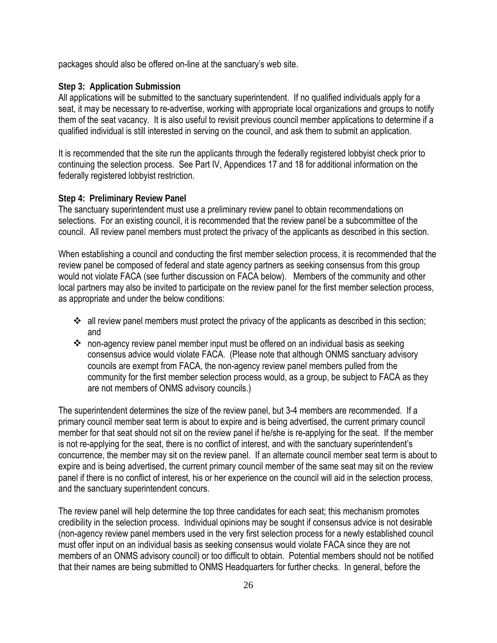packages should also be offered on-line at the sanctuary's web site.

## **Step 3: Application Submission**

All applications will be submitted to the sanctuary superintendent. If no qualified individuals apply for a seat, it may be necessary to re-advertise, working with appropriate local organizations and groups to notify them of the seat vacancy. It is also useful to revisit previous council member applications to determine if a qualified individual is still interested in serving on the council, and ask them to submit an application.

It is recommended that the site run the applicants through the federally registered lobbyist check prior to continuing the selection process. See Part IV, Appendices 17 and 18 for additional information on the federally registered lobbyist restriction.

#### **Step 4: Preliminary Review Panel**

The sanctuary superintendent must use a preliminary review panel to obtain recommendations on selections. For an existing council, it is recommended that the review panel be a subcommittee of the council. All review panel members must protect the privacy of the applicants as described in this section.

When establishing a council and conducting the first member selection process, it is recommended that the review panel be composed of federal and state agency partners as seeking consensus from this group would not violate FACA (see further discussion on FACA below). Members of the community and other local partners may also be invited to participate on the review panel for the first member selection process, as appropriate and under the below conditions:

- $\cdot$  all review panel members must protect the privacy of the applicants as described in this section; and
- non-agency review panel member input must be offered on an individual basis as seeking consensus advice would violate FACA. (Please note that although ONMS sanctuary advisory councils are exempt from FACA, the non-agency review panel members pulled from the community for the first member selection process would, as a group, be subject to FACA as they are not members of ONMS advisory councils.)

The superintendent determines the size of the review panel, but 3-4 members are recommended. If a primary council member seat term is about to expire and is being advertised, the current primary council member for that seat should not sit on the review panel if he/she is re-applying for the seat. If the member is not re-applying for the seat, there is no conflict of interest, and with the sanctuary superintendent's concurrence, the member may sit on the review panel. If an alternate council member seat term is about to expire and is being advertised, the current primary council member of the same seat may sit on the review panel if there is no conflict of interest, his or her experience on the council will aid in the selection process, and the sanctuary superintendent concurs.

The review panel will help determine the top three candidates for each seat; this mechanism promotes credibility in the selection process. Individual opinions may be sought if consensus advice is not desirable (non-agency review panel members used in the very first selection process for a newly established council must offer input on an individual basis as seeking consensus would violate FACA since they are not members of an ONMS advisory council) or too difficult to obtain. Potential members should not be notified that their names are being submitted to ONMS Headquarters for further checks. In general, before the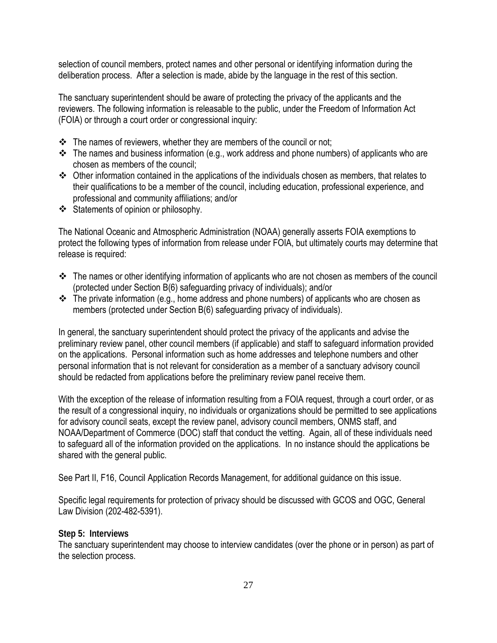selection of council members, protect names and other personal or identifying information during the deliberation process. After a selection is made, abide by the language in the rest of this section.

The sanctuary superintendent should be aware of protecting the privacy of the applicants and the reviewers. The following information is releasable to the public, under the Freedom of Information Act (FOIA) or through a court order or congressional inquiry:

- $\cdot \cdot$  The names of reviewers, whether they are members of the council or not;
- $\cdot \cdot$  The names and business information (e.g., work address and phone numbers) of applicants who are chosen as members of the council;
- Other information contained in the applications of the individuals chosen as members, that relates to their qualifications to be a member of the council, including education, professional experience, and professional and community affiliations; and/or
- Statements of opinion or philosophy.

The National Oceanic and Atmospheric Administration (NOAA) generally asserts FOIA exemptions to protect the following types of information from release under FOIA, but ultimately courts may determine that release is required:

- \* The names or other identifying information of applicants who are not chosen as members of the council (protected under Section B(6) safeguarding privacy of individuals); and/or
- $\cdot \cdot$  The private information (e.g., home address and phone numbers) of applicants who are chosen as members (protected under Section B(6) safeguarding privacy of individuals).

In general, the sanctuary superintendent should protect the privacy of the applicants and advise the preliminary review panel, other council members (if applicable) and staff to safeguard information provided on the applications. Personal information such as home addresses and telephone numbers and other personal information that is not relevant for consideration as a member of a sanctuary advisory council should be redacted from applications before the preliminary review panel receive them.

With the exception of the release of information resulting from a FOIA request, through a court order, or as the result of a congressional inquiry, no individuals or organizations should be permitted to see applications for advisory council seats, except the review panel, advisory council members, ONMS staff, and NOAA/Department of Commerce (DOC) staff that conduct the vetting. Again, all of these individuals need to safeguard all of the information provided on the applications. In no instance should the applications be shared with the general public.

See Part II, F16, Council Application Records Management, for additional guidance on this issue.

Specific legal requirements for protection of privacy should be discussed with GCOS and OGC, General Law Division (202-482-5391).

#### **Step 5: Interviews**

The sanctuary superintendent may choose to interview candidates (over the phone or in person) as part of the selection process.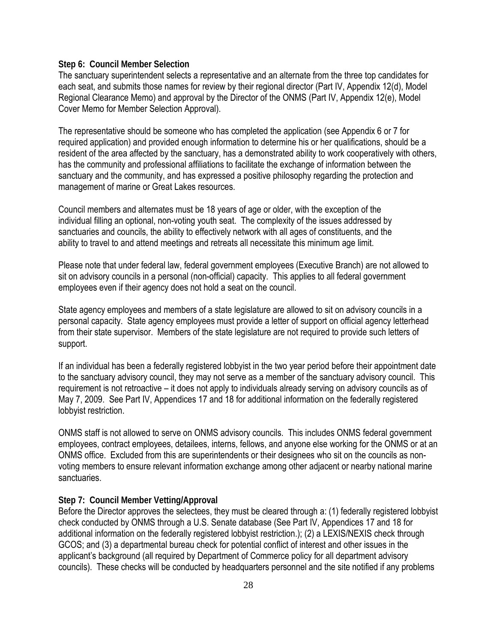#### **Step 6: Council Member Selection**

The sanctuary superintendent selects a representative and an alternate from the three top candidates for each seat, and submits those names for review by their regional director (Part IV, Appendix 12(d), Model Regional Clearance Memo) and approval by the Director of the ONMS (Part IV, Appendix 12(e), Model Cover Memo for Member Selection Approval).

The representative should be someone who has completed the application (see Appendix 6 or 7 for required application) and provided enough information to determine his or her qualifications, should be a resident of the area affected by the sanctuary, has a demonstrated ability to work cooperatively with others, has the community and professional affiliations to facilitate the exchange of information between the sanctuary and the community, and has expressed a positive philosophy regarding the protection and management of marine or Great Lakes resources.

Council members and alternates must be 18 years of age or older, with the exception of the individual filling an optional, non-voting youth seat. The complexity of the issues addressed by sanctuaries and councils, the ability to effectively network with all ages of constituents, and the ability to travel to and attend meetings and retreats all necessitate this minimum age limit.

Please note that under federal law, federal government employees (Executive Branch) are not allowed to sit on advisory councils in a personal (non-official) capacity. This applies to all federal government employees even if their agency does not hold a seat on the council.

State agency employees and members of a state legislature are allowed to sit on advisory councils in a personal capacity. State agency employees must provide a letter of support on official agency letterhead from their state supervisor. Members of the state legislature are not required to provide such letters of support.

If an individual has been a federally registered lobbyist in the two year period before their appointment date to the sanctuary advisory council, they may not serve as a member of the sanctuary advisory council. This requirement is not retroactive – it does not apply to individuals already serving on advisory councils as of May 7, 2009. See Part IV, Appendices 17 and 18 for additional information on the federally registered lobbyist restriction.

ONMS staff is not allowed to serve on ONMS advisory councils. This includes ONMS federal government employees, contract employees, detailees, interns, fellows, and anyone else working for the ONMS or at an ONMS office. Excluded from this are superintendents or their designees who sit on the councils as nonvoting members to ensure relevant information exchange among other adjacent or nearby national marine sanctuaries.

#### **Step 7: Council Member Vetting/Approval**

Before the Director approves the selectees, they must be cleared through a: (1) federally registered lobbyist check conducted by ONMS through a U.S. Senate database (See Part IV, Appendices 17 and 18 for additional information on the federally registered lobbyist restriction.); (2) a LEXIS/NEXIS check through GCOS; and (3) a departmental bureau check for potential conflict of interest and other issues in the applicant's background (all required by Department of Commerce policy for all department advisory councils). These checks will be conducted by headquarters personnel and the site notified if any problems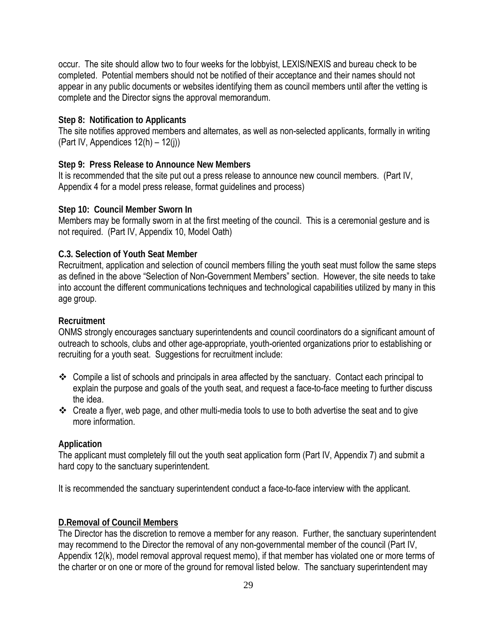occur. The site should allow two to four weeks for the lobbyist, LEXIS/NEXIS and bureau check to be completed. Potential members should not be notified of their acceptance and their names should not appear in any public documents or websites identifying them as council members until after the vetting is complete and the Director signs the approval memorandum.

#### **Step 8: Notification to Applicants**

The site notifies approved members and alternates, as well as non-selected applicants, formally in writing (Part IV, Appendices  $12(h) - 12(i)$ )

#### **Step 9: Press Release to Announce New Members**

It is recommended that the site put out a press release to announce new council members. (Part IV, Appendix 4 for a model press release, format guidelines and process)

#### **Step 10: Council Member Sworn In**

Members may be formally sworn in at the first meeting of the council. This is a ceremonial gesture and is not required. (Part IV, Appendix 10, Model Oath)

#### **C.3. Selection of Youth Seat Member**

Recruitment, application and selection of council members filling the youth seat must follow the same steps as defined in the above "Selection of Non-Government Members" section. However, the site needs to take into account the different communications techniques and technological capabilities utilized by many in this age group.

#### **Recruitment**

ONMS strongly encourages sanctuary superintendents and council coordinators do a significant amount of outreach to schools, clubs and other age-appropriate, youth-oriented organizations prior to establishing or recruiting for a youth seat. Suggestions for recruitment include:

- $\div$  Compile a list of schools and principals in area affected by the sanctuary. Contact each principal to explain the purpose and goals of the youth seat, and request a face-to-face meeting to further discuss the idea.
- Create a flyer, web page, and other multi-media tools to use to both advertise the seat and to give more information.

#### **Application**

The applicant must completely fill out the youth seat application form (Part IV, Appendix 7) and submit a hard copy to the sanctuary superintendent.

It is recommended the sanctuary superintendent conduct a face-to-face interview with the applicant.

#### **D.Removal of Council Members**

The Director has the discretion to remove a member for any reason. Further, the sanctuary superintendent may recommend to the Director the removal of any non-governmental member of the council (Part IV, Appendix 12(k), model removal approval request memo), if that member has violated one or more terms of the charter or on one or more of the ground for removal listed below. The sanctuary superintendent may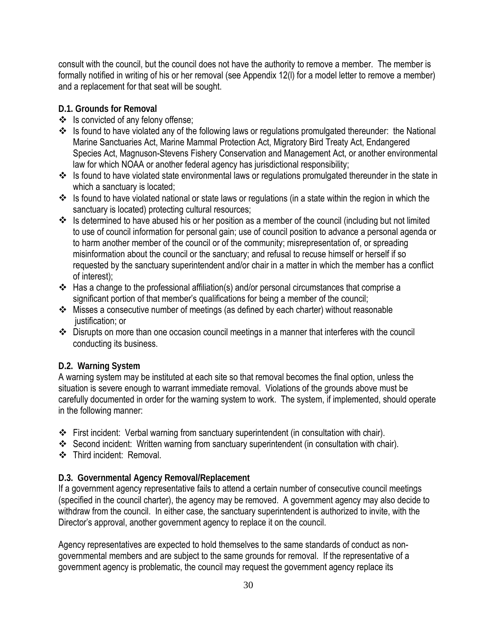consult with the council, but the council does not have the authority to remove a member. The member is formally notified in writing of his or her removal (see Appendix 12(l) for a model letter to remove a member) and a replacement for that seat will be sought.

## **D.1. Grounds for Removal**

- $\div$  Is convicted of any felony offense;
- \* Is found to have violated any of the following laws or regulations promulgated thereunder: the National Marine Sanctuaries Act, Marine Mammal Protection Act, Migratory Bird Treaty Act, Endangered Species Act, Magnuson-Stevens Fishery Conservation and Management Act, or another environmental law for which NOAA or another federal agency has jurisdictional responsibility;
- \* Is found to have violated state environmental laws or regulations promulgated thereunder in the state in which a sanctuary is located;
- Is found to have violated national or state laws or regulations (in a state within the region in which the sanctuary is located) protecting cultural resources;
- $\cdot$  Is determined to have abused his or her position as a member of the council (including but not limited to use of council information for personal gain; use of council position to advance a personal agenda or to harm another member of the council or of the community; misrepresentation of, or spreading misinformation about the council or the sanctuary; and refusal to recuse himself or herself if so requested by the sanctuary superintendent and/or chair in a matter in which the member has a conflict of interest);
- $\cdot \cdot$  Has a change to the professional affiliation(s) and/or personal circumstances that comprise a significant portion of that member's qualifications for being a member of the council;
- Misses a consecutive number of meetings (as defined by each charter) without reasonable justification; or
- Disrupts on more than one occasion council meetings in a manner that interferes with the council conducting its business.

## **D.2. Warning System**

A warning system may be instituted at each site so that removal becomes the final option, unless the situation is severe enough to warrant immediate removal. Violations of the grounds above must be carefully documented in order for the warning system to work. The system, if implemented, should operate in the following manner:

- First incident: Verbal warning from sanctuary superintendent (in consultation with chair).
- Second incident: Written warning from sanctuary superintendent (in consultation with chair).
- Third incident: Removal.

#### **D.3. Governmental Agency Removal/Replacement**

If a government agency representative fails to attend a certain number of consecutive council meetings (specified in the council charter), the agency may be removed. A government agency may also decide to withdraw from the council. In either case, the sanctuary superintendent is authorized to invite, with the Director's approval, another government agency to replace it on the council.

Agency representatives are expected to hold themselves to the same standards of conduct as nongovernmental members and are subject to the same grounds for removal. If the representative of a government agency is problematic, the council may request the government agency replace its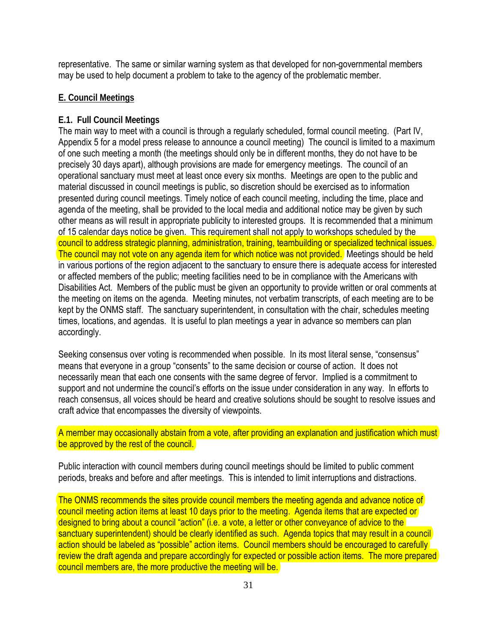representative. The same or similar warning system as that developed for non-governmental members may be used to help document a problem to take to the agency of the problematic member.

#### **E. Council Meetings**

#### **E.1. Full Council Meetings**

The main way to meet with a council is through a regularly scheduled, formal council meeting. (Part IV, Appendix 5 for a model press release to announce a council meeting) The council is limited to a maximum of one such meeting a month (the meetings should only be in different months, they do not have to be precisely 30 days apart), although provisions are made for emergency meetings. The council of an operational sanctuary must meet at least once every six months. Meetings are open to the public and material discussed in council meetings is public, so discretion should be exercised as to information presented during council meetings. Timely notice of each council meeting, including the time, place and agenda of the meeting, shall be provided to the local media and additional notice may be given by such other means as will result in appropriate publicity to interested groups. It is recommended that a minimum of 15 calendar days notice be given. This requirement shall not apply to workshops scheduled by the council to address strategic planning, administration, training, teambuilding or specialized technical issues. The council may not vote on any agenda item for which notice was not provided. Meetings should be held in various portions of the region adjacent to the sanctuary to ensure there is adequate access for interested or affected members of the public; meeting facilities need to be in compliance with the Americans with Disabilities Act. Members of the public must be given an opportunity to provide written or oral comments at the meeting on items on the agenda. Meeting minutes, not verbatim transcripts, of each meeting are to be kept by the ONMS staff. The sanctuary superintendent, in consultation with the chair, schedules meeting times, locations, and agendas. It is useful to plan meetings a year in advance so members can plan accordingly.

Seeking consensus over voting is recommended when possible. In its most literal sense, "consensus" means that everyone in a group "consents" to the same decision or course of action. It does not necessarily mean that each one consents with the same degree of fervor. Implied is a commitment to support and not undermine the council's efforts on the issue under consideration in any way. In efforts to reach consensus, all voices should be heard and creative solutions should be sought to resolve issues and craft advice that encompasses the diversity of viewpoints.

A member may occasionally abstain from a vote, after providing an explanation and justification which must be approved by the rest of the council.

Public interaction with council members during council meetings should be limited to public comment periods, breaks and before and after meetings. This is intended to limit interruptions and distractions.

The ONMS recommends the sites provide council members the meeting agenda and advance notice of council meeting action items at least 10 days prior to the meeting. Agenda items that are expected or designed to bring about a council "action" (i.e. a vote, a letter or other conveyance of advice to the sanctuary superintendent) should be clearly identified as such. Agenda topics that may result in a council action should be labeled as "possible" action items. Council members should be encouraged to carefully review the draft agenda and prepare accordingly for expected or possible action items. The more prepared council members are, the more productive the meeting will be.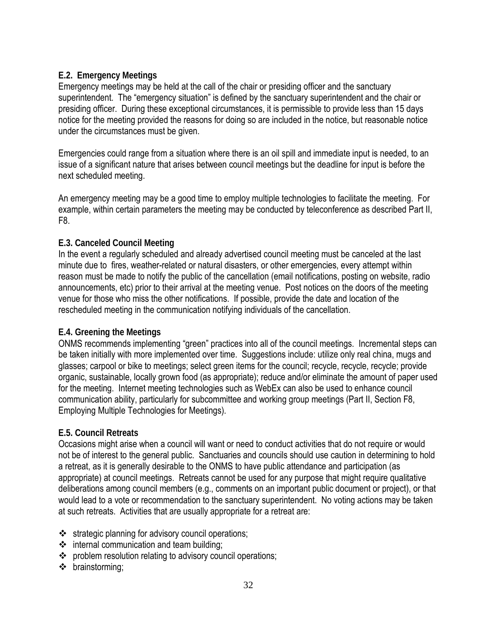## **E.2. Emergency Meetings**

Emergency meetings may be held at the call of the chair or presiding officer and the sanctuary superintendent. The "emergency situation" is defined by the sanctuary superintendent and the chair or presiding officer. During these exceptional circumstances, it is permissible to provide less than 15 days notice for the meeting provided the reasons for doing so are included in the notice, but reasonable notice under the circumstances must be given.

Emergencies could range from a situation where there is an oil spill and immediate input is needed, to an issue of a significant nature that arises between council meetings but the deadline for input is before the next scheduled meeting.

An emergency meeting may be a good time to employ multiple technologies to facilitate the meeting. For example, within certain parameters the meeting may be conducted by teleconference as described Part II, F8.

## **E.3. Canceled Council Meeting**

In the event a regularly scheduled and already advertised council meeting must be canceled at the last minute due to fires, weather-related or natural disasters, or other emergencies, every attempt within reason must be made to notify the public of the cancellation (email notifications, posting on website, radio announcements, etc) prior to their arrival at the meeting venue. Post notices on the doors of the meeting venue for those who miss the other notifications. If possible, provide the date and location of the rescheduled meeting in the communication notifying individuals of the cancellation.

## **E.4. Greening the Meetings**

ONMS recommends implementing "green" practices into all of the council meetings. Incremental steps can be taken initially with more implemented over time. Suggestions include: utilize only real china, mugs and glasses; carpool or bike to meetings; select green items for the council; recycle, recycle, recycle; provide organic, sustainable, locally grown food (as appropriate); reduce and/or eliminate the amount of paper used for the meeting. Internet meeting technologies such as WebEx can also be used to enhance council communication ability, particularly for subcommittee and working group meetings (Part II, Section F8, Employing Multiple Technologies for Meetings).

## **E.5. Council Retreats**

Occasions might arise when a council will want or need to conduct activities that do not require or would not be of interest to the general public. Sanctuaries and councils should use caution in determining to hold a retreat, as it is generally desirable to the ONMS to have public attendance and participation (as appropriate) at council meetings. Retreats cannot be used for any purpose that might require qualitative deliberations among council members (e.g., comments on an important public document or project), or that would lead to a vote or recommendation to the sanctuary superintendent. No voting actions may be taken at such retreats. Activities that are usually appropriate for a retreat are:

- $\cdot$  strategic planning for advisory council operations;
- $\div$  internal communication and team building;
- problem resolution relating to advisory council operations;
- brainstorming;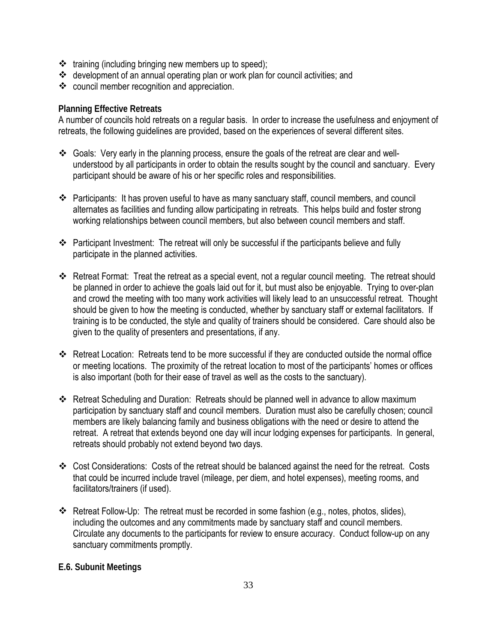- $\cdot \cdot$  training (including bringing new members up to speed);
- development of an annual operating plan or work plan for council activities; and
- council member recognition and appreciation.

## **Planning Effective Retreats**

A number of councils hold retreats on a regular basis. In order to increase the usefulness and enjoyment of retreats, the following guidelines are provided, based on the experiences of several different sites.

- Goals: Very early in the planning process, ensure the goals of the retreat are clear and wellunderstood by all participants in order to obtain the results sought by the council and sanctuary. Every participant should be aware of his or her specific roles and responsibilities.
- $\div$  Participants: It has proven useful to have as many sanctuary staff, council members, and council alternates as facilities and funding allow participating in retreats. This helps build and foster strong working relationships between council members, but also between council members and staff.
- \* Participant Investment: The retreat will only be successful if the participants believe and fully participate in the planned activities.
- Retreat Format: Treat the retreat as a special event, not a regular council meeting. The retreat should be planned in order to achieve the goals laid out for it, but must also be enjoyable. Trying to over-plan and crowd the meeting with too many work activities will likely lead to an unsuccessful retreat. Thought should be given to how the meeting is conducted, whether by sanctuary staff or external facilitators. If training is to be conducted, the style and quality of trainers should be considered. Care should also be given to the quality of presenters and presentations, if any.
- $\div$  Retreat Location: Retreats tend to be more successful if they are conducted outside the normal office or meeting locations. The proximity of the retreat location to most of the participants' homes or offices is also important (both for their ease of travel as well as the costs to the sanctuary).
- Retreat Scheduling and Duration: Retreats should be planned well in advance to allow maximum participation by sanctuary staff and council members. Duration must also be carefully chosen; council members are likely balancing family and business obligations with the need or desire to attend the retreat. A retreat that extends beyond one day will incur lodging expenses for participants. In general, retreats should probably not extend beyond two days.
- Cost Considerations: Costs of the retreat should be balanced against the need for the retreat. Costs that could be incurred include travel (mileage, per diem, and hotel expenses), meeting rooms, and facilitators/trainers (if used).
- \* Retreat Follow-Up: The retreat must be recorded in some fashion (e.g., notes, photos, slides), including the outcomes and any commitments made by sanctuary staff and council members. Circulate any documents to the participants for review to ensure accuracy. Conduct follow-up on any sanctuary commitments promptly.

## **E.6. Subunit Meetings**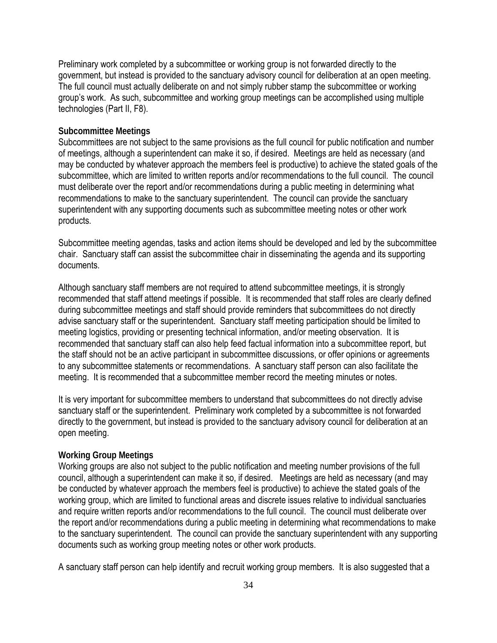Preliminary work completed by a subcommittee or working group is not forwarded directly to the government, but instead is provided to the sanctuary advisory council for deliberation at an open meeting. The full council must actually deliberate on and not simply rubber stamp the subcommittee or working group's work. As such, subcommittee and working group meetings can be accomplished using multiple technologies (Part II, F8).

#### **Subcommittee Meetings**

Subcommittees are not subject to the same provisions as the full council for public notification and number of meetings, although a superintendent can make it so, if desired. Meetings are held as necessary (and may be conducted by whatever approach the members feel is productive) to achieve the stated goals of the subcommittee, which are limited to written reports and/or recommendations to the full council. The council must deliberate over the report and/or recommendations during a public meeting in determining what recommendations to make to the sanctuary superintendent. The council can provide the sanctuary superintendent with any supporting documents such as subcommittee meeting notes or other work products.

Subcommittee meeting agendas, tasks and action items should be developed and led by the subcommittee chair. Sanctuary staff can assist the subcommittee chair in disseminating the agenda and its supporting documents.

Although sanctuary staff members are not required to attend subcommittee meetings, it is strongly recommended that staff attend meetings if possible. It is recommended that staff roles are clearly defined during subcommittee meetings and staff should provide reminders that subcommittees do not directly advise sanctuary staff or the superintendent. Sanctuary staff meeting participation should be limited to meeting logistics, providing or presenting technical information, and/or meeting observation. It is recommended that sanctuary staff can also help feed factual information into a subcommittee report, but the staff should not be an active participant in subcommittee discussions, or offer opinions or agreements to any subcommittee statements or recommendations. A sanctuary staff person can also facilitate the meeting. It is recommended that a subcommittee member record the meeting minutes or notes.

It is very important for subcommittee members to understand that subcommittees do not directly advise sanctuary staff or the superintendent. Preliminary work completed by a subcommittee is not forwarded directly to the government, but instead is provided to the sanctuary advisory council for deliberation at an open meeting.

#### **Working Group Meetings**

Working groups are also not subject to the public notification and meeting number provisions of the full council, although a superintendent can make it so, if desired. Meetings are held as necessary (and may be conducted by whatever approach the members feel is productive) to achieve the stated goals of the working group, which are limited to functional areas and discrete issues relative to individual sanctuaries and require written reports and/or recommendations to the full council. The council must deliberate over the report and/or recommendations during a public meeting in determining what recommendations to make to the sanctuary superintendent. The council can provide the sanctuary superintendent with any supporting documents such as working group meeting notes or other work products.

A sanctuary staff person can help identify and recruit working group members. It is also suggested that a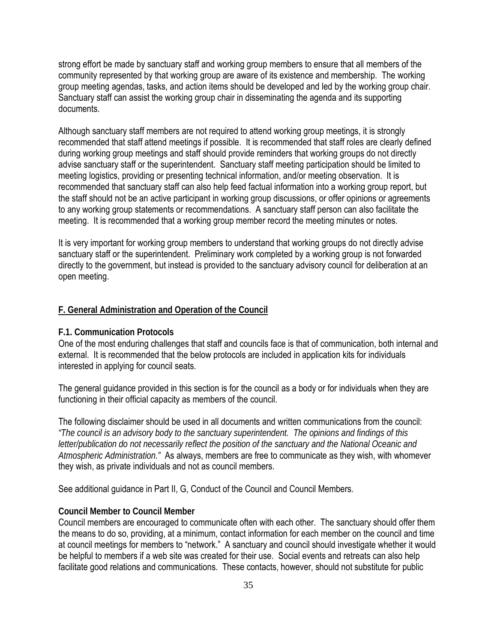strong effort be made by sanctuary staff and working group members to ensure that all members of the community represented by that working group are aware of its existence and membership. The working group meeting agendas, tasks, and action items should be developed and led by the working group chair. Sanctuary staff can assist the working group chair in disseminating the agenda and its supporting documents.

Although sanctuary staff members are not required to attend working group meetings, it is strongly recommended that staff attend meetings if possible. It is recommended that staff roles are clearly defined during working group meetings and staff should provide reminders that working groups do not directly advise sanctuary staff or the superintendent. Sanctuary staff meeting participation should be limited to meeting logistics, providing or presenting technical information, and/or meeting observation. It is recommended that sanctuary staff can also help feed factual information into a working group report, but the staff should not be an active participant in working group discussions, or offer opinions or agreements to any working group statements or recommendations. A sanctuary staff person can also facilitate the meeting. It is recommended that a working group member record the meeting minutes or notes.

It is very important for working group members to understand that working groups do not directly advise sanctuary staff or the superintendent. Preliminary work completed by a working group is not forwarded directly to the government, but instead is provided to the sanctuary advisory council for deliberation at an open meeting.

#### **F. General Administration and Operation of the Council**

#### **F.1. Communication Protocols**

One of the most enduring challenges that staff and councils face is that of communication, both internal and external. It is recommended that the below protocols are included in application kits for individuals interested in applying for council seats.

The general guidance provided in this section is for the council as a body or for individuals when they are functioning in their official capacity as members of the council.

The following disclaimer should be used in all documents and written communications from the council: *"The council is an advisory body to the sanctuary superintendent. The opinions and findings of this letter/publication do not necessarily reflect the position of the sanctuary and the National Oceanic and Atmospheric Administration."* As always, members are free to communicate as they wish, with whomever they wish, as private individuals and not as council members.

See additional guidance in Part II, G, Conduct of the Council and Council Members.

#### **Council Member to Council Member**

Council members are encouraged to communicate often with each other. The sanctuary should offer them the means to do so, providing, at a minimum, contact information for each member on the council and time at council meetings for members to "network." A sanctuary and council should investigate whether it would be helpful to members if a web site was created for their use. Social events and retreats can also help facilitate good relations and communications. These contacts, however, should not substitute for public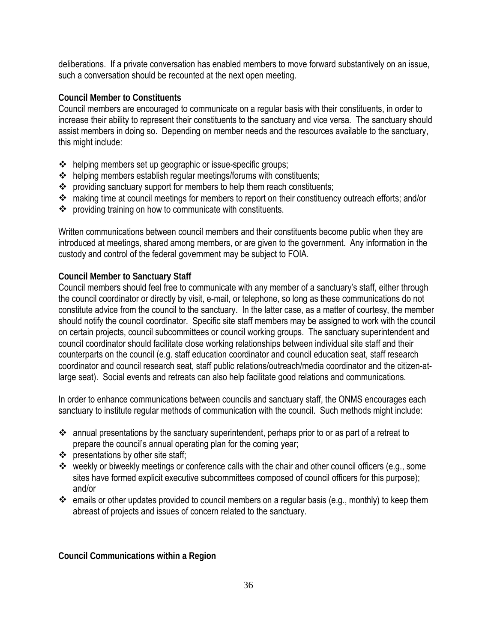deliberations. If a private conversation has enabled members to move forward substantively on an issue, such a conversation should be recounted at the next open meeting.

## **Council Member to Constituents**

Council members are encouraged to communicate on a regular basis with their constituents, in order to increase their ability to represent their constituents to the sanctuary and vice versa. The sanctuary should assist members in doing so. Depending on member needs and the resources available to the sanctuary, this might include:

- helping members set up geographic or issue-specific groups;
- $\triangleq$  helping members establish regular meetings/forums with constituents;
- \* providing sanctuary support for members to help them reach constituents;
- \* making time at council meetings for members to report on their constituency outreach efforts; and/or
- providing training on how to communicate with constituents.

Written communications between council members and their constituents become public when they are introduced at meetings, shared among members, or are given to the government. Any information in the custody and control of the federal government may be subject to FOIA.

## **Council Member to Sanctuary Staff**

Council members should feel free to communicate with any member of a sanctuary's staff, either through the council coordinator or directly by visit, e-mail, or telephone, so long as these communications do not constitute advice from the council to the sanctuary. In the latter case, as a matter of courtesy, the member should notify the council coordinator. Specific site staff members may be assigned to work with the council on certain projects, council subcommittees or council working groups. The sanctuary superintendent and council coordinator should facilitate close working relationships between individual site staff and their counterparts on the council (e.g. staff education coordinator and council education seat, staff research coordinator and council research seat, staff public relations/outreach/media coordinator and the citizen-atlarge seat). Social events and retreats can also help facilitate good relations and communications.

In order to enhance communications between councils and sanctuary staff, the ONMS encourages each sanctuary to institute regular methods of communication with the council. Such methods might include:

- annual presentations by the sanctuary superintendent, perhaps prior to or as part of a retreat to prepare the council's annual operating plan for the coming year;
- $\div$  presentations by other site staff;
- $\cdot$  weekly or biweekly meetings or conference calls with the chair and other council officers (e.g., some sites have formed explicit executive subcommittees composed of council officers for this purpose); and/or
- $\cdot$  emails or other updates provided to council members on a regular basis (e.g., monthly) to keep them abreast of projects and issues of concern related to the sanctuary.

**Council Communications within a Region**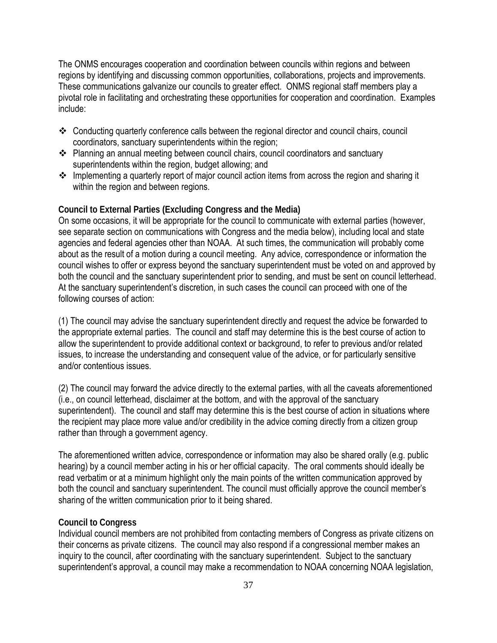The ONMS encourages cooperation and coordination between councils within regions and between regions by identifying and discussing common opportunities, collaborations, projects and improvements. These communications galvanize our councils to greater effect. ONMS regional staff members play a pivotal role in facilitating and orchestrating these opportunities for cooperation and coordination. Examples include:

- Conducting quarterly conference calls between the regional director and council chairs, council coordinators, sanctuary superintendents within the region;
- Planning an annual meeting between council chairs, council coordinators and sanctuary superintendents within the region, budget allowing; and
- \* Implementing a quarterly report of major council action items from across the region and sharing it within the region and between regions.

### **Council to External Parties (Excluding Congress and the Media)**

On some occasions, it will be appropriate for the council to communicate with external parties (however, see separate section on communications with Congress and the media below), including local and state agencies and federal agencies other than NOAA. At such times, the communication will probably come about as the result of a motion during a council meeting. Any advice, correspondence or information the council wishes to offer or express beyond the sanctuary superintendent must be voted on and approved by both the council and the sanctuary superintendent prior to sending, and must be sent on council letterhead. At the sanctuary superintendent's discretion, in such cases the council can proceed with one of the following courses of action:

(1) The council may advise the sanctuary superintendent directly and request the advice be forwarded to the appropriate external parties. The council and staff may determine this is the best course of action to allow the superintendent to provide additional context or background, to refer to previous and/or related issues, to increase the understanding and consequent value of the advice, or for particularly sensitive and/or contentious issues.

(2) The council may forward the advice directly to the external parties, with all the caveats aforementioned (i.e., on council letterhead, disclaimer at the bottom, and with the approval of the sanctuary superintendent). The council and staff may determine this is the best course of action in situations where the recipient may place more value and/or credibility in the advice coming directly from a citizen group rather than through a government agency.

The aforementioned written advice, correspondence or information may also be shared orally (e.g. public hearing) by a council member acting in his or her official capacity. The oral comments should ideally be read verbatim or at a minimum highlight only the main points of the written communication approved by both the council and sanctuary superintendent. The council must officially approve the council member's sharing of the written communication prior to it being shared.

#### **Council to Congress**

Individual council members are not prohibited from contacting members of Congress as private citizens on their concerns as private citizens. The council may also respond if a congressional member makes an inquiry to the council, after coordinating with the sanctuary superintendent. Subject to the sanctuary superintendent's approval, a council may make a recommendation to NOAA concerning NOAA legislation,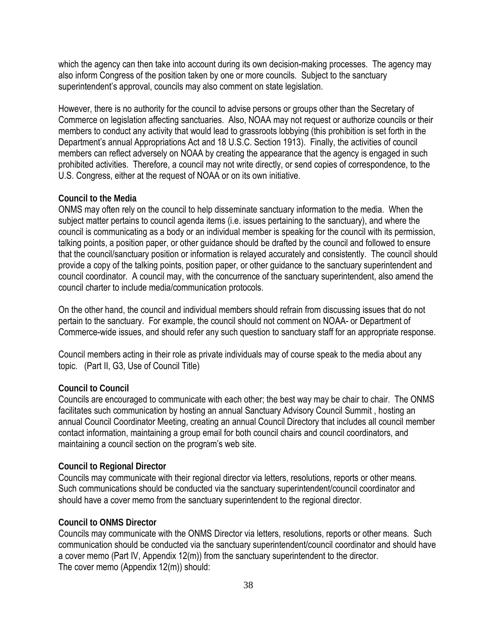which the agency can then take into account during its own decision-making processes. The agency may also inform Congress of the position taken by one or more councils. Subject to the sanctuary superintendent's approval, councils may also comment on state legislation.

However, there is no authority for the council to advise persons or groups other than the Secretary of Commerce on legislation affecting sanctuaries. Also, NOAA may not request or authorize councils or their members to conduct any activity that would lead to grassroots lobbying (this prohibition is set forth in the Department's annual Appropriations Act and 18 U.S.C. Section 1913). Finally, the activities of council members can reflect adversely on NOAA by creating the appearance that the agency is engaged in such prohibited activities. Therefore, a council may not write directly, or send copies of correspondence, to the U.S. Congress, either at the request of NOAA or on its own initiative.

# **Council to the Media**

ONMS may often rely on the council to help disseminate sanctuary information to the media. When the subject matter pertains to council agenda items (i.e. issues pertaining to the sanctuary), and where the council is communicating as a body or an individual member is speaking for the council with its permission, talking points, a position paper, or other guidance should be drafted by the council and followed to ensure that the council/sanctuary position or information is relayed accurately and consistently. The council should provide a copy of the talking points, position paper, or other guidance to the sanctuary superintendent and council coordinator. A council may, with the concurrence of the sanctuary superintendent, also amend the council charter to include media/communication protocols.

On the other hand, the council and individual members should refrain from discussing issues that do not pertain to the sanctuary. For example, the council should not comment on NOAA- or Department of Commerce-wide issues, and should refer any such question to sanctuary staff for an appropriate response.

Council members acting in their role as private individuals may of course speak to the media about any topic. (Part II, G3, Use of Council Title)

#### **Council to Council**

Councils are encouraged to communicate with each other; the best way may be chair to chair. The ONMS facilitates such communication by hosting an annual Sanctuary Advisory Council Summit , hosting an annual Council Coordinator Meeting, creating an annual Council Directory that includes all council member contact information, maintaining a group email for both council chairs and council coordinators, and maintaining a council section on the program's web site.

#### **Council to Regional Director**

Councils may communicate with their regional director via letters, resolutions, reports or other means. Such communications should be conducted via the sanctuary superintendent/council coordinator and should have a cover memo from the sanctuary superintendent to the regional director.

### **Council to ONMS Director**

Councils may communicate with the ONMS Director via letters, resolutions, reports or other means. Such communication should be conducted via the sanctuary superintendent/council coordinator and should have a cover memo (Part IV, Appendix 12(m)) from the sanctuary superintendent to the director. The cover memo (Appendix 12(m)) should: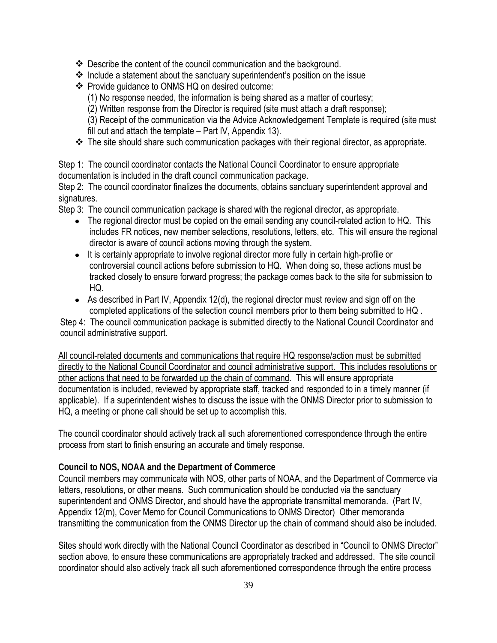- Describe the content of the council communication and the background.
- $\cdot$  Include a statement about the sanctuary superintendent's position on the issue
- ❖ Provide guidance to ONMS HQ on desired outcome:
	- (1) No response needed, the information is being shared as a matter of courtesy;

(2) Written response from the Director is required (site must attach a draft response);

(3) Receipt of the communication via the Advice Acknowledgement Template is required (site must fill out and attach the template – Part IV, Appendix 13).

\* The site should share such communication packages with their regional director, as appropriate.

Step 1: The council coordinator contacts the National Council Coordinator to ensure appropriate documentation is included in the draft council communication package.

Step 2: The council coordinator finalizes the documents, obtains sanctuary superintendent approval and signatures.

Step 3: The council communication package is shared with the regional director, as appropriate.

- The regional director must be copied on the email sending any council-related action to HQ. This includes FR notices, new member selections, resolutions, letters, etc. This will ensure the regional director is aware of council actions moving through the system.
- It is certainly appropriate to involve regional director more fully in certain high-profile or controversial council actions before submission to HQ. When doing so, these actions must be tracked closely to ensure forward progress; the package comes back to the site for submission to HQ.
- As described in Part IV, Appendix 12(d), the regional director must review and sign off on the completed applications of the selection council members prior to them being submitted to HQ .

Step 4: The council communication package is submitted directly to the National Council Coordinator and council administrative support.

All council-related documents and communications that require HQ response/action must be submitted directly to the National Council Coordinator and council administrative support. This includes resolutions or other actions that need to be forwarded up the chain of command. This will ensure appropriate documentation is included, reviewed by appropriate staff, tracked and responded to in a timely manner (if applicable). If a superintendent wishes to discuss the issue with the ONMS Director prior to submission to HQ, a meeting or phone call should be set up to accomplish this.

The council coordinator should actively track all such aforementioned correspondence through the entire process from start to finish ensuring an accurate and timely response.

### **Council to NOS, NOAA and the Department of Commerce**

Council members may communicate with NOS, other parts of NOAA, and the Department of Commerce via letters, resolutions, or other means. Such communication should be conducted via the sanctuary superintendent and ONMS Director, and should have the appropriate transmittal memoranda. (Part IV, Appendix 12(m), Cover Memo for Council Communications to ONMS Director) Other memoranda transmitting the communication from the ONMS Director up the chain of command should also be included.

Sites should work directly with the National Council Coordinator as described in "Council to ONMS Director" section above, to ensure these communications are appropriately tracked and addressed. The site council coordinator should also actively track all such aforementioned correspondence through the entire process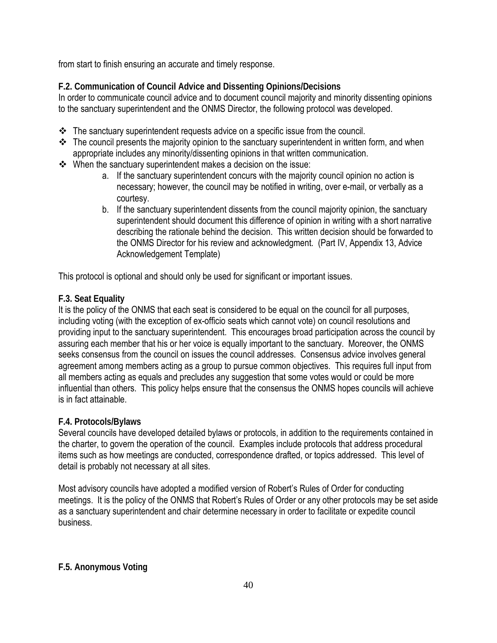from start to finish ensuring an accurate and timely response.

# **F.2. Communication of Council Advice and Dissenting Opinions/Decisions**

In order to communicate council advice and to document council majority and minority dissenting opinions to the sanctuary superintendent and the ONMS Director, the following protocol was developed.

- $\div$  The sanctuary superintendent requests advice on a specific issue from the council.
- $\div$  The council presents the majority opinion to the sanctuary superintendent in written form, and when appropriate includes any minority/dissenting opinions in that written communication.
- $\cdot$  When the sanctuary superintendent makes a decision on the issue:
	- a. If the sanctuary superintendent concurs with the majority council opinion no action is necessary; however, the council may be notified in writing, over e-mail, or verbally as a courtesy.
	- b. If the sanctuary superintendent dissents from the council majority opinion, the sanctuary superintendent should document this difference of opinion in writing with a short narrative describing the rationale behind the decision. This written decision should be forwarded to the ONMS Director for his review and acknowledgment. (Part IV, Appendix 13, Advice Acknowledgement Template)

This protocol is optional and should only be used for significant or important issues.

# **F.3. Seat Equality**

It is the policy of the ONMS that each seat is considered to be equal on the council for all purposes, including voting (with the exception of ex-officio seats which cannot vote) on council resolutions and providing input to the sanctuary superintendent. This encourages broad participation across the council by assuring each member that his or her voice is equally important to the sanctuary. Moreover, the ONMS seeks consensus from the council on issues the council addresses. Consensus advice involves general agreement among members acting as a group to pursue common objectives. This requires full input from all members acting as equals and precludes any suggestion that some votes would or could be more influential than others. This policy helps ensure that the consensus the ONMS hopes councils will achieve is in fact attainable.

# **F.4. Protocols/Bylaws**

Several councils have developed detailed bylaws or protocols, in addition to the requirements contained in the charter, to govern the operation of the council. Examples include protocols that address procedural items such as how meetings are conducted, correspondence drafted, or topics addressed. This level of detail is probably not necessary at all sites.

Most advisory councils have adopted a modified version of Robert's Rules of Order for conducting meetings. It is the policy of the ONMS that Robert's Rules of Order or any other protocols may be set aside as a sanctuary superintendent and chair determine necessary in order to facilitate or expedite council business.

# **F.5. Anonymous Voting**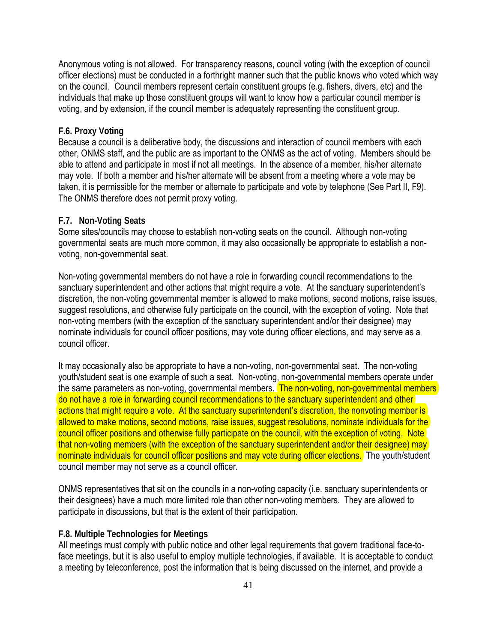Anonymous voting is not allowed. For transparency reasons, council voting (with the exception of council officer elections) must be conducted in a forthright manner such that the public knows who voted which way on the council. Council members represent certain constituent groups (e.g. fishers, divers, etc) and the individuals that make up those constituent groups will want to know how a particular council member is voting, and by extension, if the council member is adequately representing the constituent group.

#### **F.6. Proxy Voting**

Because a council is a deliberative body, the discussions and interaction of council members with each other, ONMS staff, and the public are as important to the ONMS as the act of voting. Members should be able to attend and participate in most if not all meetings. In the absence of a member, his/her alternate may vote. If both a member and his/her alternate will be absent from a meeting where a vote may be taken, it is permissible for the member or alternate to participate and vote by telephone (See Part II, F9). The ONMS therefore does not permit proxy voting.

#### **F.7. Non-Voting Seats**

Some sites/councils may choose to establish non-voting seats on the council. Although non-voting governmental seats are much more common, it may also occasionally be appropriate to establish a nonvoting, non-governmental seat.

Non-voting governmental members do not have a role in forwarding council recommendations to the sanctuary superintendent and other actions that might require a vote. At the sanctuary superintendent's discretion, the non-voting governmental member is allowed to make motions, second motions, raise issues, suggest resolutions, and otherwise fully participate on the council, with the exception of voting. Note that non-voting members (with the exception of the sanctuary superintendent and/or their designee) may nominate individuals for council officer positions, may vote during officer elections, and may serve as a council officer.

It may occasionally also be appropriate to have a non-voting, non-governmental seat. The non-voting youth/student seat is one example of such a seat. Non-voting, non-governmental members operate under the same parameters as non-voting, governmental members. The non-voting, non-governmental members do not have a role in forwarding council recommendations to the sanctuary superintendent and other actions that might require a vote. At the sanctuary superintendent's discretion, the nonvoting member is allowed to make motions, second motions, raise issues, suggest resolutions, nominate individuals for the council officer positions and otherwise fully participate on the council, with the exception of voting. Note that non-voting members (with the exception of the sanctuary superintendent and/or their designee) may nominate individuals for council officer positions and may vote during officer elections. The youth/student council member may not serve as a council officer.

ONMS representatives that sit on the councils in a non-voting capacity (i.e. sanctuary superintendents or their designees) have a much more limited role than other non-voting members. They are allowed to participate in discussions, but that is the extent of their participation.

#### **F.8. Multiple Technologies for Meetings**

All meetings must comply with public notice and other legal requirements that govern traditional face-toface meetings, but it is also useful to employ multiple technologies, if available. It is acceptable to conduct a meeting by teleconference, post the information that is being discussed on the internet, and provide a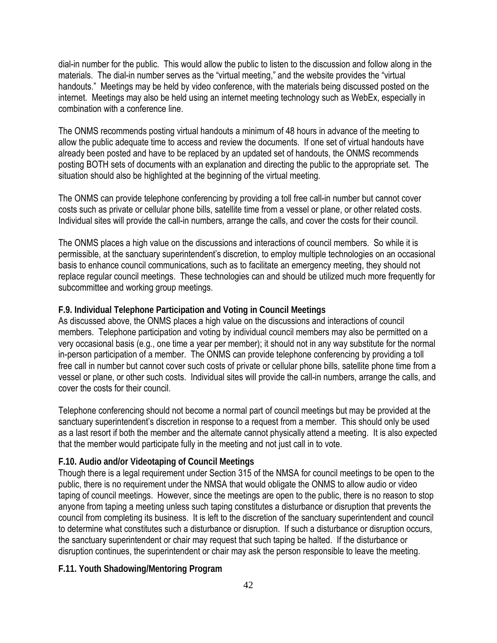dial-in number for the public. This would allow the public to listen to the discussion and follow along in the materials. The dial-in number serves as the "virtual meeting," and the website provides the "virtual handouts." Meetings may be held by video conference, with the materials being discussed posted on the internet. Meetings may also be held using an internet meeting technology such as WebEx, especially in combination with a conference line.

The ONMS recommends posting virtual handouts a minimum of 48 hours in advance of the meeting to allow the public adequate time to access and review the documents. If one set of virtual handouts have already been posted and have to be replaced by an updated set of handouts, the ONMS recommends posting BOTH sets of documents with an explanation and directing the public to the appropriate set. The situation should also be highlighted at the beginning of the virtual meeting.

The ONMS can provide telephone conferencing by providing a toll free call-in number but cannot cover costs such as private or cellular phone bills, satellite time from a vessel or plane, or other related costs. Individual sites will provide the call-in numbers, arrange the calls, and cover the costs for their council.

The ONMS places a high value on the discussions and interactions of council members. So while it is permissible, at the sanctuary superintendent's discretion, to employ multiple technologies on an occasional basis to enhance council communications, such as to facilitate an emergency meeting, they should not replace regular council meetings. These technologies can and should be utilized much more frequently for subcommittee and working group meetings.

### **F.9. Individual Telephone Participation and Voting in Council Meetings**

As discussed above, the ONMS places a high value on the discussions and interactions of council members. Telephone participation and voting by individual council members may also be permitted on a very occasional basis (e.g., one time a year per member); it should not in any way substitute for the normal in-person participation of a member. The ONMS can provide telephone conferencing by providing a toll free call in number but cannot cover such costs of private or cellular phone bills, satellite phone time from a vessel or plane, or other such costs. Individual sites will provide the call-in numbers, arrange the calls, and cover the costs for their council.

Telephone conferencing should not become a normal part of council meetings but may be provided at the sanctuary superintendent's discretion in response to a request from a member. This should only be used as a last resort if both the member and the alternate cannot physically attend a meeting. It is also expected that the member would participate fully in the meeting and not just call in to vote.

### **F.10. Audio and/or Videotaping of Council Meetings**

Though there is a legal requirement under Section 315 of the NMSA for council meetings to be open to the public, there is no requirement under the NMSA that would obligate the ONMS to allow audio or video taping of council meetings. However, since the meetings are open to the public, there is no reason to stop anyone from taping a meeting unless such taping constitutes a disturbance or disruption that prevents the council from completing its business. It is left to the discretion of the sanctuary superintendent and council to determine what constitutes such a disturbance or disruption. If such a disturbance or disruption occurs, the sanctuary superintendent or chair may request that such taping be halted. If the disturbance or disruption continues, the superintendent or chair may ask the person responsible to leave the meeting.

#### **F.11. Youth Shadowing/Mentoring Program**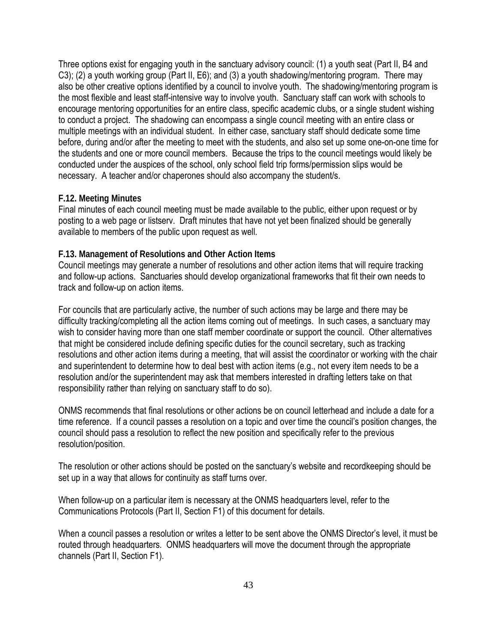Three options exist for engaging youth in the sanctuary advisory council: (1) a youth seat (Part II, B4 and C3); (2) a youth working group (Part II, E6); and (3) a youth shadowing/mentoring program. There may also be other creative options identified by a council to involve youth. The shadowing/mentoring program is the most flexible and least staff-intensive way to involve youth. Sanctuary staff can work with schools to encourage mentoring opportunities for an entire class, specific academic clubs, or a single student wishing to conduct a project. The shadowing can encompass a single council meeting with an entire class or multiple meetings with an individual student. In either case, sanctuary staff should dedicate some time before, during and/or after the meeting to meet with the students, and also set up some one-on-one time for the students and one or more council members. Because the trips to the council meetings would likely be conducted under the auspices of the school, only school field trip forms/permission slips would be necessary. A teacher and/or chaperones should also accompany the student/s.

### **F.12. Meeting Minutes**

Final minutes of each council meeting must be made available to the public, either upon request or by posting to a web page or listserv. Draft minutes that have not yet been finalized should be generally available to members of the public upon request as well.

### **F.13. Management of Resolutions and Other Action Items**

Council meetings may generate a number of resolutions and other action items that will require tracking and follow-up actions. Sanctuaries should develop organizational frameworks that fit their own needs to track and follow-up on action items.

For councils that are particularly active, the number of such actions may be large and there may be difficulty tracking/completing all the action items coming out of meetings. In such cases, a sanctuary may wish to consider having more than one staff member coordinate or support the council. Other alternatives that might be considered include defining specific duties for the council secretary, such as tracking resolutions and other action items during a meeting, that will assist the coordinator or working with the chair and superintendent to determine how to deal best with action items (e.g., not every item needs to be a resolution and/or the superintendent may ask that members interested in drafting letters take on that responsibility rather than relying on sanctuary staff to do so).

ONMS recommends that final resolutions or other actions be on council letterhead and include a date for a time reference. If a council passes a resolution on a topic and over time the council's position changes, the council should pass a resolution to reflect the new position and specifically refer to the previous resolution/position.

The resolution or other actions should be posted on the sanctuary's website and recordkeeping should be set up in a way that allows for continuity as staff turns over.

When follow-up on a particular item is necessary at the ONMS headquarters level, refer to the Communications Protocols (Part II, Section F1) of this document for details.

When a council passes a resolution or writes a letter to be sent above the ONMS Director's level, it must be routed through headquarters. ONMS headquarters will move the document through the appropriate channels (Part II, Section F1).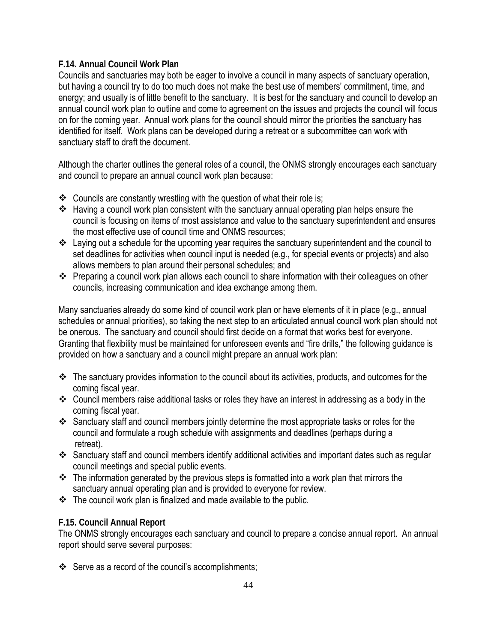# **F.14. Annual Council Work Plan**

Councils and sanctuaries may both be eager to involve a council in many aspects of sanctuary operation, but having a council try to do too much does not make the best use of members' commitment, time, and energy; and usually is of little benefit to the sanctuary. It is best for the sanctuary and council to develop an annual council work plan to outline and come to agreement on the issues and projects the council will focus on for the coming year. Annual work plans for the council should mirror the priorities the sanctuary has identified for itself. Work plans can be developed during a retreat or a subcommittee can work with sanctuary staff to draft the document.

Although the charter outlines the general roles of a council, the ONMS strongly encourages each sanctuary and council to prepare an annual council work plan because:

- $\cdot$  Councils are constantly wrestling with the question of what their role is;
- Having a council work plan consistent with the sanctuary annual operating plan helps ensure the council is focusing on items of most assistance and value to the sanctuary superintendent and ensures the most effective use of council time and ONMS resources;
- \* Laying out a schedule for the upcoming year requires the sanctuary superintendent and the council to set deadlines for activities when council input is needed (e.g., for special events or projects) and also allows members to plan around their personal schedules; and
- Preparing a council work plan allows each council to share information with their colleagues on other councils, increasing communication and idea exchange among them.

Many sanctuaries already do some kind of council work plan or have elements of it in place (e.g., annual schedules or annual priorities), so taking the next step to an articulated annual council work plan should not be onerous. The sanctuary and council should first decide on a format that works best for everyone. Granting that flexibility must be maintained for unforeseen events and "fire drills," the following guidance is provided on how a sanctuary and a council might prepare an annual work plan:

- $\div$  The sanctuary provides information to the council about its activities, products, and outcomes for the coming fiscal year.
- Council members raise additional tasks or roles they have an interest in addressing as a body in the coming fiscal year.
- Sanctuary staff and council members jointly determine the most appropriate tasks or roles for the council and formulate a rough schedule with assignments and deadlines (perhaps during a retreat).
- \* Sanctuary staff and council members identify additional activities and important dates such as regular council meetings and special public events.
- $\div$  The information generated by the previous steps is formatted into a work plan that mirrors the sanctuary annual operating plan and is provided to everyone for review.
- $\cdot \cdot$  The council work plan is finalized and made available to the public.

# **F.15. Council Annual Report**

The ONMS strongly encourages each sanctuary and council to prepare a concise annual report. An annual report should serve several purposes:

Serve as a record of the council's accomplishments;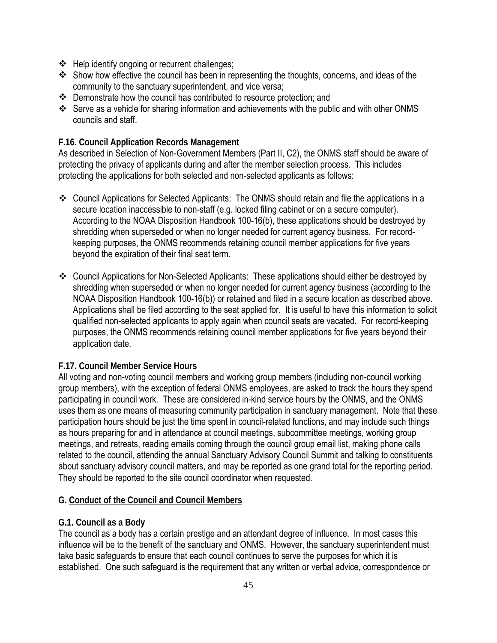- $\div$  Help identify ongoing or recurrent challenges;
- $\cdot$  Show how effective the council has been in representing the thoughts, concerns, and ideas of the community to the sanctuary superintendent, and vice versa;
- Demonstrate how the council has contributed to resource protection; and
- Serve as a vehicle for sharing information and achievements with the public and with other ONMS councils and staff.

# **F.16. Council Application Records Management**

As described in Selection of Non-Government Members (Part II, C2), the ONMS staff should be aware of protecting the privacy of applicants during and after the member selection process. This includes protecting the applications for both selected and non-selected applicants as follows:

- Council Applications for Selected Applicants: The ONMS should retain and file the applications in a secure location inaccessible to non-staff (e.g. locked filing cabinet or on a secure computer). According to the NOAA Disposition Handbook 100-16(b), these applications should be destroyed by shredding when superseded or when no longer needed for current agency business. For recordkeeping purposes, the ONMS recommends retaining council member applications for five years beyond the expiration of their final seat term.
- Council Applications for Non-Selected Applicants: These applications should either be destroyed by shredding when superseded or when no longer needed for current agency business (according to the NOAA Disposition Handbook 100-16(b)) or retained and filed in a secure location as described above. Applications shall be filed according to the seat applied for. It is useful to have this information to solicit qualified non-selected applicants to apply again when council seats are vacated. For record-keeping purposes, the ONMS recommends retaining council member applications for five years beyond their application date.

# **F.17. Council Member Service Hours**

All voting and non-voting council members and working group members (including non-council working group members), with the exception of federal ONMS employees, are asked to track the hours they spend participating in council work. These are considered in-kind service hours by the ONMS, and the ONMS uses them as one means of measuring community participation in sanctuary management. Note that these participation hours should be just the time spent in council-related functions, and may include such things as hours preparing for and in attendance at council meetings, subcommittee meetings, working group meetings, and retreats, reading emails coming through the council group email list, making phone calls related to the council, attending the annual Sanctuary Advisory Council Summit and talking to constituents about sanctuary advisory council matters, and may be reported as one grand total for the reporting period. They should be reported to the site council coordinator when requested.

# **G. Conduct of the Council and Council Members**

# **G.1. Council as a Body**

The council as a body has a certain prestige and an attendant degree of influence. In most cases this influence will be to the benefit of the sanctuary and ONMS. However, the sanctuary superintendent must take basic safeguards to ensure that each council continues to serve the purposes for which it is established. One such safeguard is the requirement that any written or verbal advice, correspondence or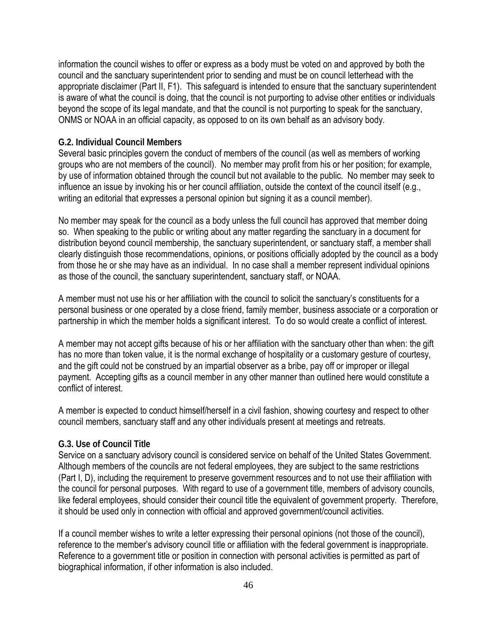information the council wishes to offer or express as a body must be voted on and approved by both the council and the sanctuary superintendent prior to sending and must be on council letterhead with the appropriate disclaimer (Part II, F1). This safeguard is intended to ensure that the sanctuary superintendent is aware of what the council is doing, that the council is not purporting to advise other entities or individuals beyond the scope of its legal mandate, and that the council is not purporting to speak for the sanctuary, ONMS or NOAA in an official capacity, as opposed to on its own behalf as an advisory body.

#### **G.2. Individual Council Members**

Several basic principles govern the conduct of members of the council (as well as members of working groups who are not members of the council). No member may profit from his or her position; for example, by use of information obtained through the council but not available to the public. No member may seek to influence an issue by invoking his or her council affiliation, outside the context of the council itself (e.g., writing an editorial that expresses a personal opinion but signing it as a council member).

No member may speak for the council as a body unless the full council has approved that member doing so. When speaking to the public or writing about any matter regarding the sanctuary in a document for distribution beyond council membership, the sanctuary superintendent, or sanctuary staff, a member shall clearly distinguish those recommendations, opinions, or positions officially adopted by the council as a body from those he or she may have as an individual. In no case shall a member represent individual opinions as those of the council, the sanctuary superintendent, sanctuary staff, or NOAA.

A member must not use his or her affiliation with the council to solicit the sanctuary's constituents for a personal business or one operated by a close friend, family member, business associate or a corporation or partnership in which the member holds a significant interest. To do so would create a conflict of interest.

A member may not accept gifts because of his or her affiliation with the sanctuary other than when: the gift has no more than token value, it is the normal exchange of hospitality or a customary gesture of courtesy, and the gift could not be construed by an impartial observer as a bribe, pay off or improper or illegal payment. Accepting gifts as a council member in any other manner than outlined here would constitute a conflict of interest.

A member is expected to conduct himself/herself in a civil fashion, showing courtesy and respect to other council members, sanctuary staff and any other individuals present at meetings and retreats.

#### **G.3. Use of Council Title**

Service on a sanctuary advisory council is considered service on behalf of the United States Government. Although members of the councils are not federal employees, they are subject to the same restrictions (Part I, D), including the requirement to preserve government resources and to not use their affiliation with the council for personal purposes. With regard to use of a government title, members of advisory councils, like federal employees, should consider their council title the equivalent of government property. Therefore, it should be used only in connection with official and approved government/council activities.

If a council member wishes to write a letter expressing their personal opinions (not those of the council), reference to the member's advisory council title or affiliation with the federal government is inappropriate. Reference to a government title or position in connection with personal activities is permitted as part of biographical information, if other information is also included.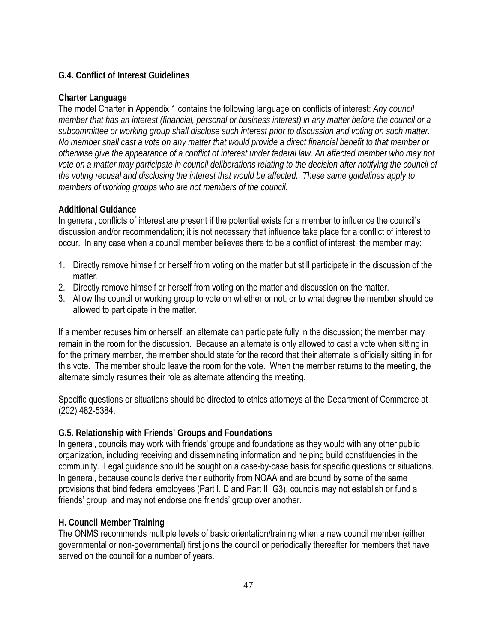# **G.4. Conflict of Interest Guidelines**

# **Charter Language**

The model Charter in Appendix 1 contains the following language on conflicts of interest: *Any council member that has an interest (financial, personal or business interest) in any matter before the council or a subcommittee or working group shall disclose such interest prior to discussion and voting on such matter. No member shall cast a vote on any matter that would provide a direct financial benefit to that member or otherwise give the appearance of a conflict of interest under federal law. An affected member who may not vote on a matter may participate in council deliberations relating to the decision after notifying the council of the voting recusal and disclosing the interest that would be affected. These same guidelines apply to members of working groups who are not members of the council.*

# **Additional Guidance**

In general, conflicts of interest are present if the potential exists for a member to influence the council's discussion and/or recommendation; it is not necessary that influence take place for a conflict of interest to occur. In any case when a council member believes there to be a conflict of interest, the member may:

- 1. Directly remove himself or herself from voting on the matter but still participate in the discussion of the matter.
- 2. Directly remove himself or herself from voting on the matter and discussion on the matter.
- 3. Allow the council or working group to vote on whether or not, or to what degree the member should be allowed to participate in the matter.

If a member recuses him or herself, an alternate can participate fully in the discussion; the member may remain in the room for the discussion. Because an alternate is only allowed to cast a vote when sitting in for the primary member, the member should state for the record that their alternate is officially sitting in for this vote. The member should leave the room for the vote. When the member returns to the meeting, the alternate simply resumes their role as alternate attending the meeting.

Specific questions or situations should be directed to ethics attorneys at the Department of Commerce at (202) 482-5384.

# **G.5. Relationship with Friends' Groups and Foundations**

In general, councils may work with friends' groups and foundations as they would with any other public organization, including receiving and disseminating information and helping build constituencies in the community. Legal guidance should be sought on a case-by-case basis for specific questions or situations. In general, because councils derive their authority from NOAA and are bound by some of the same provisions that bind federal employees (Part I, D and Part II, G3), councils may not establish or fund a friends' group, and may not endorse one friends' group over another.

# **H. Council Member Training**

The ONMS recommends multiple levels of basic orientation/training when a new council member (either governmental or non-governmental) first joins the council or periodically thereafter for members that have served on the council for a number of years.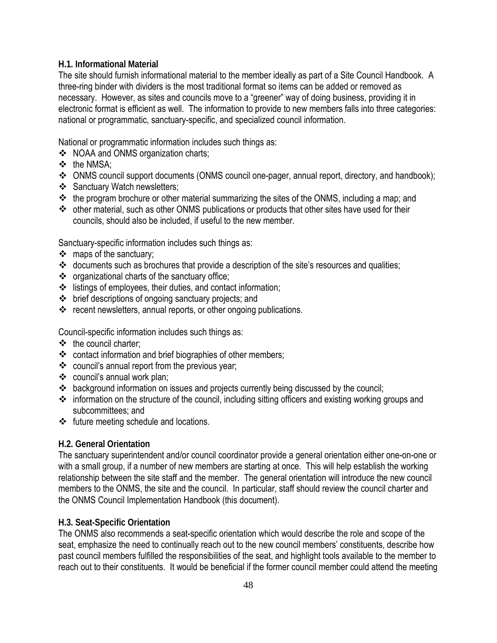# **H.1. Informational Material**

The site should furnish informational material to the member ideally as part of a Site Council Handbook. A three-ring binder with dividers is the most traditional format so items can be added or removed as necessary. However, as sites and councils move to a "greener" way of doing business, providing it in electronic format is efficient as well. The information to provide to new members falls into three categories: national or programmatic, sanctuary-specific, and specialized council information.

National or programmatic information includes such things as:

- ❖ NOAA and ONMS organization charts;
- ❖ the NMSA:
- ONMS council support documents (ONMS council one-pager, annual report, directory, and handbook);
- Sanctuary Watch newsletters;
- $\cdot \cdot$  the program brochure or other material summarizing the sites of the ONMS, including a map; and
- other material, such as other ONMS publications or products that other sites have used for their councils, should also be included, if useful to the new member.

Sanctuary-specific information includes such things as:

- $\div$  maps of the sanctuary;
- \* documents such as brochures that provide a description of the site's resources and qualities;
- \* organizational charts of the sanctuary office;
- $\cdot \cdot$  listings of employees, their duties, and contact information;
- brief descriptions of ongoing sanctuary projects; and
- \* recent newsletters, annual reports, or other ongoing publications.

Council-specific information includes such things as:

- $\div$  the council charter;
- \* contact information and brief biographies of other members;
- council's annual report from the previous year;
- council's annual work plan;
- background information on issues and projects currently being discussed by the council;
- information on the structure of the council, including sitting officers and existing working groups and subcommittees; and
- $\div$  future meeting schedule and locations.

# **H.2. General Orientation**

The sanctuary superintendent and/or council coordinator provide a general orientation either one-on-one or with a small group, if a number of new members are starting at once. This will help establish the working relationship between the site staff and the member. The general orientation will introduce the new council members to the ONMS, the site and the council. In particular, staff should review the council charter and the ONMS Council Implementation Handbook (this document).

# **H.3. Seat-Specific Orientation**

The ONMS also recommends a seat-specific orientation which would describe the role and scope of the seat, emphasize the need to continually reach out to the new council members' constituents, describe how past council members fulfilled the responsibilities of the seat, and highlight tools available to the member to reach out to their constituents. It would be beneficial if the former council member could attend the meeting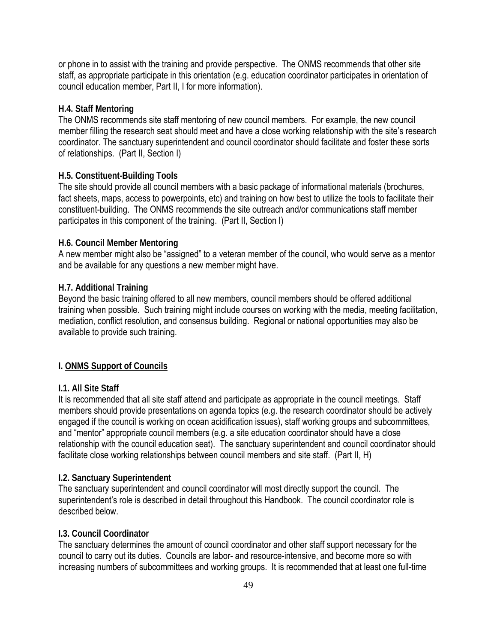or phone in to assist with the training and provide perspective. The ONMS recommends that other site staff, as appropriate participate in this orientation (e.g. education coordinator participates in orientation of council education member, Part II, I for more information).

### **H.4. Staff Mentoring**

The ONMS recommends site staff mentoring of new council members. For example, the new council member filling the research seat should meet and have a close working relationship with the site's research coordinator. The sanctuary superintendent and council coordinator should facilitate and foster these sorts of relationships. (Part II, Section I)

### **H.5. Constituent-Building Tools**

The site should provide all council members with a basic package of informational materials (brochures, fact sheets, maps, access to powerpoints, etc) and training on how best to utilize the tools to facilitate their constituent-building. The ONMS recommends the site outreach and/or communications staff member participates in this component of the training. (Part II, Section I)

#### **H.6. Council Member Mentoring**

A new member might also be "assigned" to a veteran member of the council, who would serve as a mentor and be available for any questions a new member might have.

### **H.7. Additional Training**

Beyond the basic training offered to all new members, council members should be offered additional training when possible. Such training might include courses on working with the media, meeting facilitation, mediation, conflict resolution, and consensus building. Regional or national opportunities may also be available to provide such training.

## **I. ONMS Support of Councils**

#### **I.1. All Site Staff**

It is recommended that all site staff attend and participate as appropriate in the council meetings. Staff members should provide presentations on agenda topics (e.g. the research coordinator should be actively engaged if the council is working on ocean acidification issues), staff working groups and subcommittees, and "mentor" appropriate council members (e.g. a site education coordinator should have a close relationship with the council education seat). The sanctuary superintendent and council coordinator should facilitate close working relationships between council members and site staff. (Part II, H)

#### **I.2. Sanctuary Superintendent**

The sanctuary superintendent and council coordinator will most directly support the council. The superintendent's role is described in detail throughout this Handbook. The council coordinator role is described below.

### **I.3. Council Coordinator**

The sanctuary determines the amount of council coordinator and other staff support necessary for the council to carry out its duties. Councils are labor- and resource-intensive, and become more so with increasing numbers of subcommittees and working groups. It is recommended that at least one full-time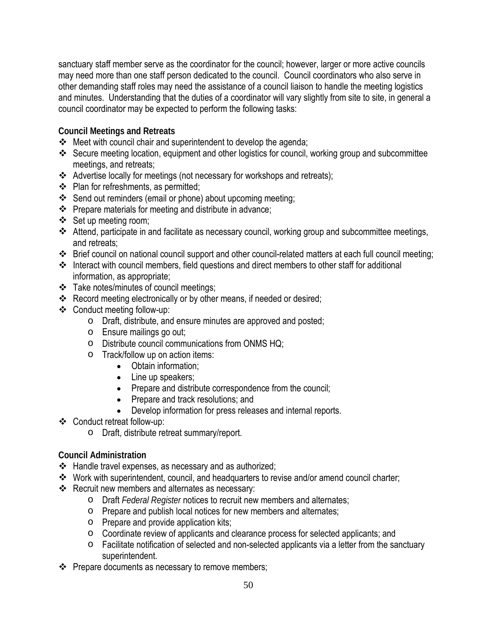sanctuary staff member serve as the coordinator for the council; however, larger or more active councils may need more than one staff person dedicated to the council. Council coordinators who also serve in other demanding staff roles may need the assistance of a council liaison to handle the meeting logistics and minutes. Understanding that the duties of a coordinator will vary slightly from site to site, in general a council coordinator may be expected to perform the following tasks:

**Council Meetings and Retreats**

- $\div$  Meet with council chair and superintendent to develop the agenda;
- Secure meeting location, equipment and other logistics for council, working group and subcommittee meetings, and retreats;
- Advertise locally for meetings (not necessary for workshops and retreats);
- ❖ Plan for refreshments, as permitted;
- Send out reminders (email or phone) about upcoming meeting;
- $\div$  Prepare materials for meeting and distribute in advance;
- ❖ Set up meeting room;
- Attend, participate in and facilitate as necessary council, working group and subcommittee meetings, and retreats;
- Brief council on national council support and other council-related matters at each full council meeting;
- $\triangleq$  Interact with council members, field questions and direct members to other staff for additional information, as appropriate;
- \* Take notes/minutes of council meetings;
- \* Record meeting electronically or by other means, if needed or desired;
- Conduct meeting follow-up:
	- o Draft, distribute, and ensure minutes are approved and posted;
	- o Ensure mailings go out;
	- o Distribute council communications from ONMS HQ;
	- o Track/follow up on action items:
		- Obtain information;
		- Line up speakers;
		- Prepare and distribute correspondence from the council;
		- Prepare and track resolutions; and
		- Develop information for press releases and internal reports.
- Conduct retreat follow-up:
	- o Draft, distribute retreat summary/report.

# **Council Administration**

- Handle travel expenses, as necessary and as authorized;
- Work with superintendent, council, and headquarters to revise and/or amend council charter;
- $\div$  Recruit new members and alternates as necessary:
	- o Draft *Federal Register* notices to recruit new members and alternates;
	- o Prepare and publish local notices for new members and alternates;
	- o Prepare and provide application kits;
	- o Coordinate review of applicants and clearance process for selected applicants; and
	- o Facilitate notification of selected and non-selected applicants via a letter from the sanctuary superintendent.
- $\div$  Prepare documents as necessary to remove members;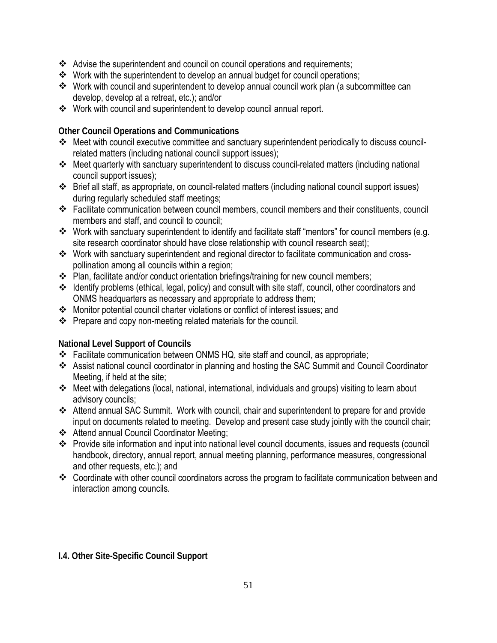- Advise the superintendent and council on council operations and requirements;
- \* Work with the superintendent to develop an annual budget for council operations;
- Work with council and superintendent to develop annual council work plan (a subcommittee can develop, develop at a retreat, etc.); and/or
- Work with council and superintendent to develop council annual report.

**Other Council Operations and Communications**

- Meet with council executive committee and sanctuary superintendent periodically to discuss councilrelated matters (including national council support issues);
- Meet quarterly with sanctuary superintendent to discuss council-related matters (including national council support issues);
- Brief all staff, as appropriate, on council-related matters (including national council support issues) during regularly scheduled staff meetings;
- Facilitate communication between council members, council members and their constituents, council members and staff, and council to council;
- Work with sanctuary superintendent to identify and facilitate staff "mentors" for council members (e.g. site research coordinator should have close relationship with council research seat);
- \* Work with sanctuary superintendent and regional director to facilitate communication and crosspollination among all councils within a region;
- \* Plan, facilitate and/or conduct orientation briefings/training for new council members;
- Identify problems (ethical, legal, policy) and consult with site staff, council, other coordinators and ONMS headquarters as necessary and appropriate to address them;
- Monitor potential council charter violations or conflict of interest issues; and
- $\cdot \cdot$  Prepare and copy non-meeting related materials for the council.

**National Level Support of Councils** 

- \* Facilitate communication between ONMS HQ, site staff and council, as appropriate;
- Assist national council coordinator in planning and hosting the SAC Summit and Council Coordinator Meeting, if held at the site;
- Meet with delegations (local, national, international, individuals and groups) visiting to learn about advisory councils;
- Attend annual SAC Summit. Work with council, chair and superintendent to prepare for and provide input on documents related to meeting. Develop and present case study jointly with the council chair;
- Attend annual Council Coordinator Meeting;
- Provide site information and input into national level council documents, issues and requests (council handbook, directory, annual report, annual meeting planning, performance measures, congressional and other requests, etc.); and
- Coordinate with other council coordinators across the program to facilitate communication between and interaction among councils.

# **I.4. Other Site-Specific Council Support**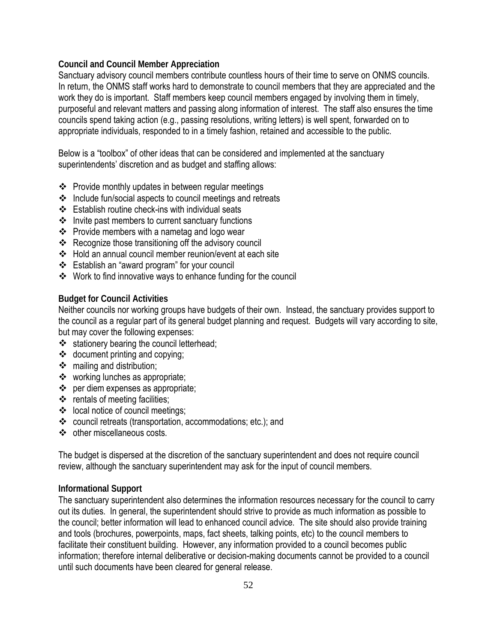## **Council and Council Member Appreciation**

Sanctuary advisory council members contribute countless hours of their time to serve on ONMS councils. In return, the ONMS staff works hard to demonstrate to council members that they are appreciated and the work they do is important. Staff members keep council members engaged by involving them in timely, purposeful and relevant matters and passing along information of interest. The staff also ensures the time councils spend taking action (e.g., passing resolutions, writing letters) is well spent, forwarded on to appropriate individuals, responded to in a timely fashion, retained and accessible to the public.

Below is a "toolbox" of other ideas that can be considered and implemented at the sanctuary superintendents' discretion and as budget and staffing allows:

- $\div$  Provide monthly updates in between regular meetings
- $\div$  Include fun/social aspects to council meetings and retreats
- Establish routine check-ins with individual seats
- $\cdot$  Invite past members to current sanctuary functions
- $\div$  Provide members with a nametag and logo wear
- ❖ Recognize those transitioning off the advisory council
- Hold an annual council member reunion/event at each site
- Establish an "award program" for your council
- Work to find innovative ways to enhance funding for the council

## **Budget for Council Activities**

Neither councils nor working groups have budgets of their own. Instead, the sanctuary provides support to the council as a regular part of its general budget planning and request. Budgets will vary according to site, but may cover the following expenses:

- stationery bearing the council letterhead;
- $\triangleleft$  document printing and copying;
- $\div$  mailing and distribution;
- working lunches as appropriate;
- per diem expenses as appropriate;
- $\div$  rentals of meeting facilities;
- ❖ local notice of council meetings;
- council retreats (transportation, accommodations; etc.); and
- other miscellaneous costs.

The budget is dispersed at the discretion of the sanctuary superintendent and does not require council review, although the sanctuary superintendent may ask for the input of council members.

### **Informational Support**

The sanctuary superintendent also determines the information resources necessary for the council to carry out its duties. In general, the superintendent should strive to provide as much information as possible to the council; better information will lead to enhanced council advice. The site should also provide training and tools (brochures, powerpoints, maps, fact sheets, talking points, etc) to the council members to facilitate their constituent building. However, any information provided to a council becomes public information; therefore internal deliberative or decision-making documents cannot be provided to a council until such documents have been cleared for general release.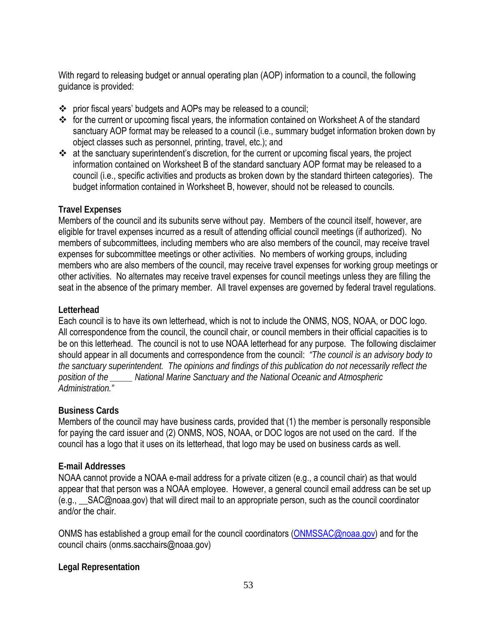With regard to releasing budget or annual operating plan (AOP) information to a council, the following guidance is provided:

- prior fiscal years' budgets and AOPs may be released to a council;
- \* for the current or upcoming fiscal years, the information contained on Worksheet A of the standard sanctuary AOP format may be released to a council (i.e., summary budget information broken down by object classes such as personnel, printing, travel, etc.); and
- \* at the sanctuary superintendent's discretion, for the current or upcoming fiscal years, the project information contained on Worksheet B of the standard sanctuary AOP format may be released to a council (i.e., specific activities and products as broken down by the standard thirteen categories). The budget information contained in Worksheet B, however, should not be released to councils.

## **Travel Expenses**

Members of the council and its subunits serve without pay. Members of the council itself, however, are eligible for travel expenses incurred as a result of attending official council meetings (if authorized). No members of subcommittees, including members who are also members of the council, may receive travel expenses for subcommittee meetings or other activities. No members of working groups, including members who are also members of the council, may receive travel expenses for working group meetings or other activities. No alternates may receive travel expenses for council meetings unless they are filling the seat in the absence of the primary member. All travel expenses are governed by federal travel regulations.

## **Letterhead**

Each council is to have its own letterhead, which is not to include the ONMS, NOS, NOAA, or DOC logo. All correspondence from the council, the council chair, or council members in their official capacities is to be on this letterhead. The council is not to use NOAA letterhead for any purpose. The following disclaimer should appear in all documents and correspondence from the council: *"The council is an advisory body to the sanctuary superintendent. The opinions and findings of this publication do not necessarily reflect the position of the \_\_\_\_\_ National Marine Sanctuary and the National Oceanic and Atmospheric Administration."*

# **Business Cards**

Members of the council may have business cards, provided that (1) the member is personally responsible for paying the card issuer and (2) ONMS, NOS, NOAA, or DOC logos are not used on the card. If the council has a logo that it uses on its letterhead, that logo may be used on business cards as well.

# **E-mail Addresses**

NOAA cannot provide a NOAA e-mail address for a private citizen (e.g., a council chair) as that would appear that that person was a NOAA employee. However, a general council email address can be set up (e.g., \_\_SAC@noaa.gov) that will direct mail to an appropriate person, such as the council coordinator and/or the chair.

ONMS has established a group email for the council coordinators [\(ONMSSAC@noaa.gov\)](mailto:ONMSSAC@noaa.gov) and for the council chairs (onms.sacchairs@noaa.gov)

### **Legal Representation**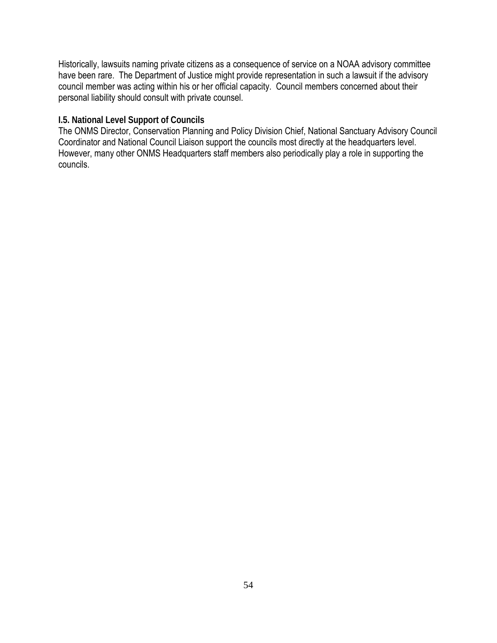Historically, lawsuits naming private citizens as a consequence of service on a NOAA advisory committee have been rare. The Department of Justice might provide representation in such a lawsuit if the advisory council member was acting within his or her official capacity. Council members concerned about their personal liability should consult with private counsel.

## **I.5. National Level Support of Councils**

The ONMS Director, Conservation Planning and Policy Division Chief, National Sanctuary Advisory Council Coordinator and National Council Liaison support the councils most directly at the headquarters level. However, many other ONMS Headquarters staff members also periodically play a role in supporting the councils.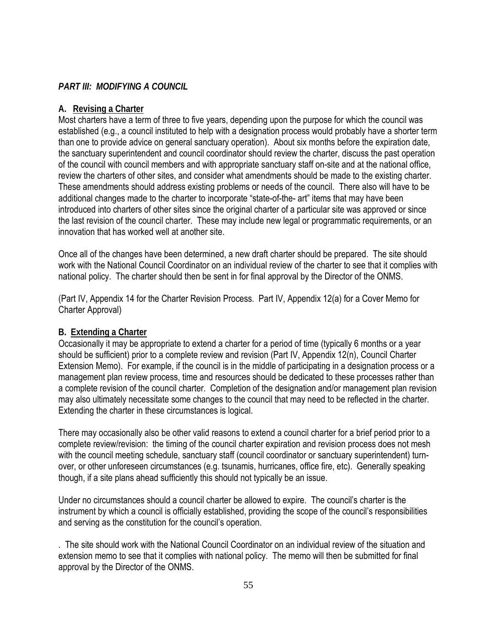# *PART III: MODIFYING A COUNCIL*

### **A. Revising a Charter**

Most charters have a term of three to five years, depending upon the purpose for which the council was established (e.g., a council instituted to help with a designation process would probably have a shorter term than one to provide advice on general sanctuary operation). About six months before the expiration date, the sanctuary superintendent and council coordinator should review the charter, discuss the past operation of the council with council members and with appropriate sanctuary staff on-site and at the national office, review the charters of other sites, and consider what amendments should be made to the existing charter. These amendments should address existing problems or needs of the council. There also will have to be additional changes made to the charter to incorporate "state-of-the- art" items that may have been introduced into charters of other sites since the original charter of a particular site was approved or since the last revision of the council charter. These may include new legal or programmatic requirements, or an innovation that has worked well at another site.

Once all of the changes have been determined, a new draft charter should be prepared. The site should work with the National Council Coordinator on an individual review of the charter to see that it complies with national policy. The charter should then be sent in for final approval by the Director of the ONMS.

(Part IV, Appendix 14 for the Charter Revision Process. Part IV, Appendix 12(a) for a Cover Memo for Charter Approval)

# **B. Extending a Charter**

Occasionally it may be appropriate to extend a charter for a period of time (typically 6 months or a year should be sufficient) prior to a complete review and revision (Part IV, Appendix 12(n), Council Charter Extension Memo). For example, if the council is in the middle of participating in a designation process or a management plan review process, time and resources should be dedicated to these processes rather than a complete revision of the council charter. Completion of the designation and/or management plan revision may also ultimately necessitate some changes to the council that may need to be reflected in the charter. Extending the charter in these circumstances is logical.

There may occasionally also be other valid reasons to extend a council charter for a brief period prior to a complete review/revision: the timing of the council charter expiration and revision process does not mesh with the council meeting schedule, sanctuary staff (council coordinator or sanctuary superintendent) turnover, or other unforeseen circumstances (e.g. tsunamis, hurricanes, office fire, etc). Generally speaking though, if a site plans ahead sufficiently this should not typically be an issue.

Under no circumstances should a council charter be allowed to expire. The council's charter is the instrument by which a council is officially established, providing the scope of the council's responsibilities and serving as the constitution for the council's operation.

. The site should work with the National Council Coordinator on an individual review of the situation and extension memo to see that it complies with national policy. The memo will then be submitted for final approval by the Director of the ONMS.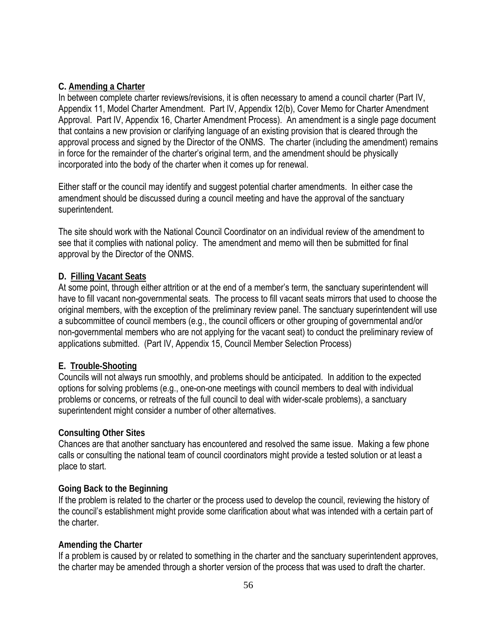# **C. Amending a Charter**

In between complete charter reviews/revisions, it is often necessary to amend a council charter (Part IV, Appendix 11, Model Charter Amendment. Part IV, Appendix 12(b), Cover Memo for Charter Amendment Approval. Part IV, Appendix 16, Charter Amendment Process). An amendment is a single page document that contains a new provision or clarifying language of an existing provision that is cleared through the approval process and signed by the Director of the ONMS. The charter (including the amendment) remains in force for the remainder of the charter's original term, and the amendment should be physically incorporated into the body of the charter when it comes up for renewal.

Either staff or the council may identify and suggest potential charter amendments. In either case the amendment should be discussed during a council meeting and have the approval of the sanctuary superintendent.

The site should work with the National Council Coordinator on an individual review of the amendment to see that it complies with national policy. The amendment and memo will then be submitted for final approval by the Director of the ONMS.

# **D. Filling Vacant Seats**

At some point, through either attrition or at the end of a member's term, the sanctuary superintendent will have to fill vacant non-governmental seats. The process to fill vacant seats mirrors that used to choose the original members, with the exception of the preliminary review panel. The sanctuary superintendent will use a subcommittee of council members (e.g., the council officers or other grouping of governmental and/or non-governmental members who are not applying for the vacant seat) to conduct the preliminary review of applications submitted. (Part IV, Appendix 15, Council Member Selection Process)

# **E. Trouble-Shooting**

Councils will not always run smoothly, and problems should be anticipated. In addition to the expected options for solving problems (e.g., one-on-one meetings with council members to deal with individual problems or concerns, or retreats of the full council to deal with wider-scale problems), a sanctuary superintendent might consider a number of other alternatives.

# **Consulting Other Sites**

Chances are that another sanctuary has encountered and resolved the same issue. Making a few phone calls or consulting the national team of council coordinators might provide a tested solution or at least a place to start.

# **Going Back to the Beginning**

If the problem is related to the charter or the process used to develop the council, reviewing the history of the council's establishment might provide some clarification about what was intended with a certain part of the charter.

# **Amending the Charter**

If a problem is caused by or related to something in the charter and the sanctuary superintendent approves, the charter may be amended through a shorter version of the process that was used to draft the charter.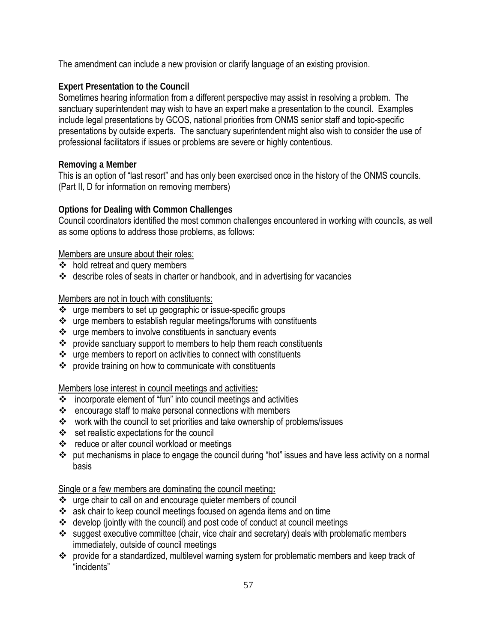The amendment can include a new provision or clarify language of an existing provision.

# **Expert Presentation to the Council**

Sometimes hearing information from a different perspective may assist in resolving a problem. The sanctuary superintendent may wish to have an expert make a presentation to the council. Examples include legal presentations by GCOS, national priorities from ONMS senior staff and topic-specific presentations by outside experts. The sanctuary superintendent might also wish to consider the use of professional facilitators if issues or problems are severe or highly contentious.

## **Removing a Member**

This is an option of "last resort" and has only been exercised once in the history of the ONMS councils. (Part II, D for information on removing members)

## **Options for Dealing with Common Challenges**

Council coordinators identified the most common challenges encountered in working with councils, as well as some options to address those problems, as follows:

## Members are unsure about their roles:

- $\div$  hold retreat and query members
- describe roles of seats in charter or handbook, and in advertising for vacancies

# Members are not in touch with constituents:

- \* urge members to set up geographic or issue-specific groups
- urge members to establish regular meetings/forums with constituents
- urge members to involve constituents in sanctuary events
- $\cdot \cdot$  provide sanctuary support to members to help them reach constituents
- urge members to report on activities to connect with constituents
- provide training on how to communicate with constituents

### Members lose interest in council meetings and activities**:**

- incorporate element of "fun" into council meetings and activities
- encourage staff to make personal connections with members
- work with the council to set priorities and take ownership of problems/issues
- ❖ set realistic expectations for the council
- reduce or alter council workload or meetings
- put mechanisms in place to engage the council during "hot" issues and have less activity on a normal basis

### Single or a few members are dominating the council meeting**:**

- urge chair to call on and encourage quieter members of council
- \* ask chair to keep council meetings focused on agenda items and on time
- develop (jointly with the council) and post code of conduct at council meetings
- suggest executive committee (chair, vice chair and secretary) deals with problematic members immediately, outside of council meetings
- provide for a standardized, multilevel warning system for problematic members and keep track of "incidents"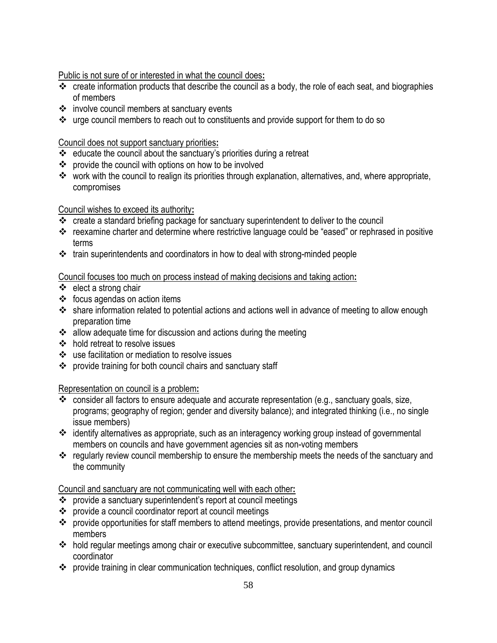Public is not sure of or interested in what the council does**:**

- \* create information products that describe the council as a body, the role of each seat, and biographies of members
- involve council members at sanctuary events
- \* urge council members to reach out to constituents and provide support for them to do so

# Council does not support sanctuary priorities**:**

- $\div$  educate the council about the sanctuary's priorities during a retreat
- provide the council with options on how to be involved
- \* work with the council to realign its priorities through explanation, alternatives, and, where appropriate, compromises

# Council wishes to exceed its authority**:**

- \* create a standard briefing package for sanctuary superintendent to deliver to the council
- \* reexamine charter and determine where restrictive language could be "eased" or rephrased in positive terms
- train superintendents and coordinators in how to deal with strong-minded people

# Council focuses too much on process instead of making decisions and taking action**:**

- $\div$  elect a strong chair
- $\div$  focus agendas on action items
- \* share information related to potential actions and actions well in advance of meeting to allow enough preparation time
- ❖ allow adequate time for discussion and actions during the meeting
- hold retreat to resolve issues
- use facilitation or mediation to resolve issues
- provide training for both council chairs and sanctuary staff

# Representation on council is a problem**:**

- \* consider all factors to ensure adequate and accurate representation (e.g., sanctuary goals, size, programs; geography of region; gender and diversity balance); and integrated thinking (i.e., no single issue members)
- identify alternatives as appropriate, such as an interagency working group instead of governmental members on councils and have government agencies sit as non-voting members
- \* regularly review council membership to ensure the membership meets the needs of the sanctuary and the community

# Council and sanctuary are not communicating well with each other**:**

- provide a sanctuary superintendent's report at council meetings
- provide a council coordinator report at council meetings
- provide opportunities for staff members to attend meetings, provide presentations, and mentor council members
- hold regular meetings among chair or executive subcommittee, sanctuary superintendent, and council coordinator
- provide training in clear communication techniques, conflict resolution, and group dynamics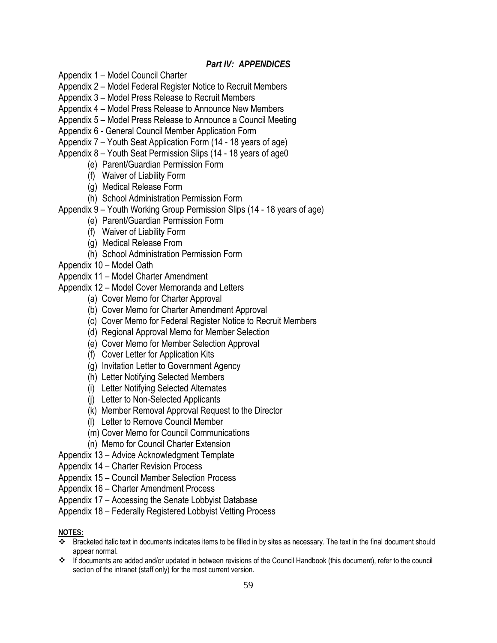## *Part IV: APPENDICES*

- Appendix 1 Model Council Charter
- Appendix 2 Model Federal Register Notice to Recruit Members
- Appendix 3 Model Press Release to Recruit Members
- Appendix 4 Model Press Release to Announce New Members
- Appendix 5 Model Press Release to Announce a Council Meeting
- Appendix 6 General Council Member Application Form
- Appendix 7 Youth Seat Application Form (14 18 years of age)
- Appendix 8 Youth Seat Permission Slips (14 18 years of age0
	- (e) Parent/Guardian Permission Form
	- (f) Waiver of Liability Form
	- (g) Medical Release Form
	- (h) School Administration Permission Form
- Appendix 9 Youth Working Group Permission Slips (14 18 years of age)
	- (e) Parent/Guardian Permission Form
	- (f) Waiver of Liability Form
	- (g) Medical Release From
	- (h) School Administration Permission Form
- Appendix 10 Model Oath
- Appendix 11 Model Charter Amendment
- Appendix 12 Model Cover Memoranda and Letters
	- (a) Cover Memo for Charter Approval
	- (b) Cover Memo for Charter Amendment Approval
	- (c) Cover Memo for Federal Register Notice to Recruit Members
	- (d) Regional Approval Memo for Member Selection
	- (e) Cover Memo for Member Selection Approval
	- (f) Cover Letter for Application Kits
	- (g) Invitation Letter to Government Agency
	- (h) Letter Notifying Selected Members
	- (i) Letter Notifying Selected Alternates
	- (j) Letter to Non-Selected Applicants
	- (k) Member Removal Approval Request to the Director
	- (l) Letter to Remove Council Member
	- (m) Cover Memo for Council Communications
	- (n) Memo for Council Charter Extension
- Appendix 13 Advice Acknowledgment Template
- Appendix 14 Charter Revision Process
- Appendix 15 Council Member Selection Process
- Appendix 16 Charter Amendment Process
- Appendix 17 Accessing the Senate Lobbyist Database
- Appendix 18 Federally Registered Lobbyist Vetting Process

#### **NOTES:**

- Bracketed italic text in documents indicates items to be filled in by sites as necessary. The text in the final document should appear normal.
- If documents are added and/or updated in between revisions of the Council Handbook (this document), refer to the council section of the intranet (staff only) for the most current version.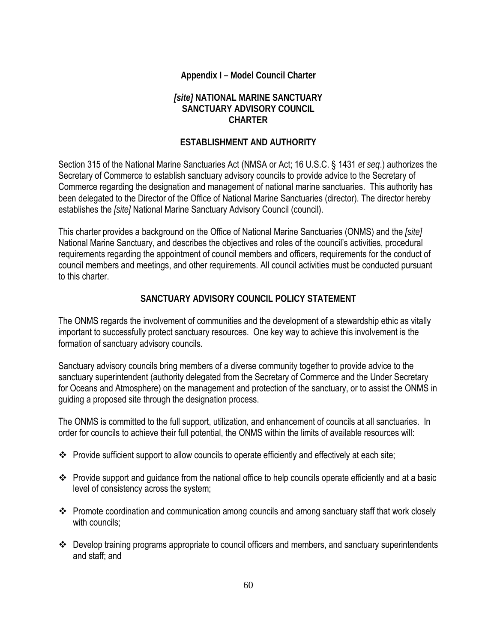# **Appendix I – Model Council Charter**

## *[site]* **NATIONAL MARINE SANCTUARY SANCTUARY ADVISORY COUNCIL CHARTER**

## **ESTABLISHMENT AND AUTHORITY**

Section 315 of the National Marine Sanctuaries Act (NMSA or Act; 16 U.S.C. § 1431 *et seq*.) authorizes the Secretary of Commerce to establish sanctuary advisory councils to provide advice to the Secretary of Commerce regarding the designation and management of national marine sanctuaries. This authority has been delegated to the Director of the Office of National Marine Sanctuaries (director). The director hereby establishes the *[site]* National Marine Sanctuary Advisory Council (council).

This charter provides a background on the Office of National Marine Sanctuaries (ONMS) and the *[site]* National Marine Sanctuary, and describes the objectives and roles of the council's activities, procedural requirements regarding the appointment of council members and officers, requirements for the conduct of council members and meetings, and other requirements. All council activities must be conducted pursuant to this charter.

## **SANCTUARY ADVISORY COUNCIL POLICY STATEMENT**

The ONMS regards the involvement of communities and the development of a stewardship ethic as vitally important to successfully protect sanctuary resources. One key way to achieve this involvement is the formation of sanctuary advisory councils.

Sanctuary advisory councils bring members of a diverse community together to provide advice to the sanctuary superintendent (authority delegated from the Secretary of Commerce and the Under Secretary for Oceans and Atmosphere) on the management and protection of the sanctuary, or to assist the ONMS in guiding a proposed site through the designation process.

The ONMS is committed to the full support, utilization, and enhancement of councils at all sanctuaries. In order for councils to achieve their full potential, the ONMS within the limits of available resources will:

- \* Provide sufficient support to allow councils to operate efficiently and effectively at each site;
- \* Provide support and guidance from the national office to help councils operate efficiently and at a basic level of consistency across the system;
- Promote coordination and communication among councils and among sanctuary staff that work closely with councils:
- Develop training programs appropriate to council officers and members, and sanctuary superintendents and staff; and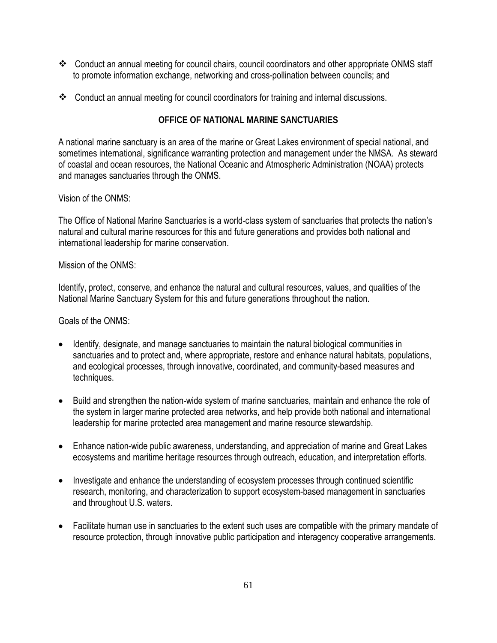- \* Conduct an annual meeting for council chairs, council coordinators and other appropriate ONMS staff to promote information exchange, networking and cross-pollination between councils; and
- Conduct an annual meeting for council coordinators for training and internal discussions.

# **OFFICE OF NATIONAL MARINE SANCTUARIES**

A national marine sanctuary is an area of the marine or Great Lakes environment of special national, and sometimes international, significance warranting protection and management under the NMSA. As steward of coastal and ocean resources, the National Oceanic and Atmospheric Administration (NOAA) protects and manages sanctuaries through the ONMS.

## Vision of the ONMS:

The Office of National Marine Sanctuaries is a world-class system of sanctuaries that protects the nation's natural and cultural marine resources for this and future generations and provides both national and international leadership for marine conservation.

## Mission of the ONMS:

Identify, protect, conserve, and enhance the natural and cultural resources, values, and qualities of the National Marine Sanctuary System for this and future generations throughout the nation.

Goals of the ONMS:

- Identify, designate, and manage sanctuaries to maintain the natural biological communities in sanctuaries and to protect and, where appropriate, restore and enhance natural habitats, populations, and ecological processes, through innovative, coordinated, and community-based measures and techniques.
- Build and strengthen the nation-wide system of marine sanctuaries, maintain and enhance the role of the system in larger marine protected area networks, and help provide both national and international leadership for marine protected area management and marine resource stewardship.
- Enhance nation-wide public awareness, understanding, and appreciation of marine and Great Lakes ecosystems and maritime heritage resources through outreach, education, and interpretation efforts.
- Investigate and enhance the understanding of ecosystem processes through continued scientific research, monitoring, and characterization to support ecosystem-based management in sanctuaries and throughout U.S. waters.
- Facilitate human use in sanctuaries to the extent such uses are compatible with the primary mandate of resource protection, through innovative public participation and interagency cooperative arrangements.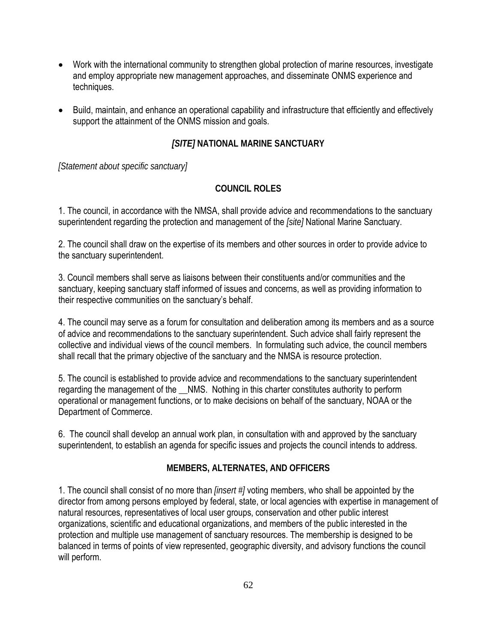- Work with the international community to strengthen global protection of marine resources, investigate and employ appropriate new management approaches, and disseminate ONMS experience and techniques.
- Build, maintain, and enhance an operational capability and infrastructure that efficiently and effectively support the attainment of the ONMS mission and goals.

# *[SITE]* **NATIONAL MARINE SANCTUARY**

*[Statement about specific sanctuary]*

## **COUNCIL ROLES**

1. The council, in accordance with the NMSA, shall provide advice and recommendations to the sanctuary superintendent regarding the protection and management of the *[site]* National Marine Sanctuary.

2. The council shall draw on the expertise of its members and other sources in order to provide advice to the sanctuary superintendent.

3. Council members shall serve as liaisons between their constituents and/or communities and the sanctuary, keeping sanctuary staff informed of issues and concerns, as well as providing information to their respective communities on the sanctuary's behalf.

4. The council may serve as a forum for consultation and deliberation among its members and as a source of advice and recommendations to the sanctuary superintendent. Such advice shall fairly represent the collective and individual views of the council members. In formulating such advice, the council members shall recall that the primary objective of the sanctuary and the NMSA is resource protection.

5. The council is established to provide advice and recommendations to the sanctuary superintendent regarding the management of the NMS. Nothing in this charter constitutes authority to perform operational or management functions, or to make decisions on behalf of the sanctuary, NOAA or the Department of Commerce.

6. The council shall develop an annual work plan, in consultation with and approved by the sanctuary superintendent, to establish an agenda for specific issues and projects the council intends to address.

# **MEMBERS, ALTERNATES, AND OFFICERS**

1. The council shall consist of no more than *[insert #]* voting members, who shall be appointed by the director from among persons employed by federal, state, or local agencies with expertise in management of natural resources, representatives of local user groups, conservation and other public interest organizations, scientific and educational organizations, and members of the public interested in the protection and multiple use management of sanctuary resources. The membership is designed to be balanced in terms of points of view represented, geographic diversity, and advisory functions the council will perform.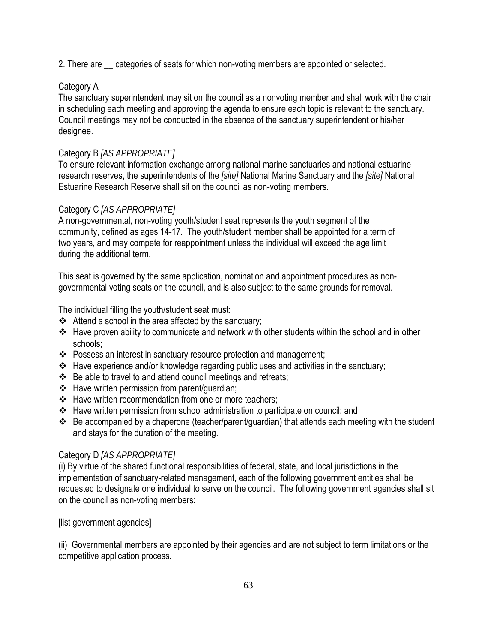2. There are \_\_ categories of seats for which non-voting members are appointed or selected.

# Category A

The sanctuary superintendent may sit on the council as a nonvoting member and shall work with the chair in scheduling each meeting and approving the agenda to ensure each topic is relevant to the sanctuary. Council meetings may not be conducted in the absence of the sanctuary superintendent or his/her designee.

## Category B *[AS APPROPRIATE]*

To ensure relevant information exchange among national marine sanctuaries and national estuarine research reserves, the superintendents of the *[site]* National Marine Sanctuary and the *[site]* National Estuarine Research Reserve shall sit on the council as non-voting members.

## Category C *[AS APPROPRIATE]*

A non-governmental, non-voting youth/student seat represents the youth segment of the community, defined as ages 14-17. The youth/student member shall be appointed for a term of two years, and may compete for reappointment unless the individual will exceed the age limit during the additional term.

This seat is governed by the same application, nomination and appointment procedures as nongovernmental voting seats on the council, and is also subject to the same grounds for removal.

The individual filling the youth/student seat must:

- $\triangleleft$  Attend a school in the area affected by the sanctuary;
- Have proven ability to communicate and network with other students within the school and in other schools;
- \* Possess an interest in sanctuary resource protection and management;
- $\cdot$  Have experience and/or knowledge regarding public uses and activities in the sanctuary;
- $\div$  Be able to travel to and attend council meetings and retreats;
- $\div$  Have written permission from parent/guardian;
- ❖ Have written recommendation from one or more teachers:
- Have written permission from school administration to participate on council; and
- Be accompanied by a chaperone (teacher/parent/guardian) that attends each meeting with the student and stays for the duration of the meeting.

### Category D *[AS APPROPRIATE]*

(i) By virtue of the shared functional responsibilities of federal, state, and local jurisdictions in the implementation of sanctuary-related management, each of the following government entities shall be requested to designate one individual to serve on the council. The following government agencies shall sit on the council as non-voting members:

[list government agencies]

(ii) Governmental members are appointed by their agencies and are not subject to term limitations or the competitive application process.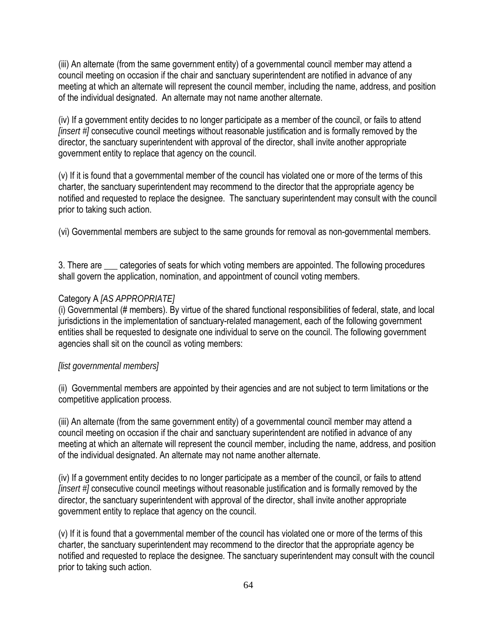(iii) An alternate (from the same government entity) of a governmental council member may attend a council meeting on occasion if the chair and sanctuary superintendent are notified in advance of any meeting at which an alternate will represent the council member, including the name, address, and position of the individual designated. An alternate may not name another alternate.

(iv) If a government entity decides to no longer participate as a member of the council, or fails to attend *[insert #]* consecutive council meetings without reasonable justification and is formally removed by the director, the sanctuary superintendent with approval of the director, shall invite another appropriate government entity to replace that agency on the council.

(v) If it is found that a governmental member of the council has violated one or more of the terms of this charter, the sanctuary superintendent may recommend to the director that the appropriate agency be notified and requested to replace the designee. The sanctuary superintendent may consult with the council prior to taking such action.

(vi) Governmental members are subject to the same grounds for removal as non-governmental members.

3. There are categories of seats for which voting members are appointed. The following procedures shall govern the application, nomination, and appointment of council voting members.

#### Category A *[AS APPROPRIATE]*

(i) Governmental (# members). By virtue of the shared functional responsibilities of federal, state, and local jurisdictions in the implementation of sanctuary-related management, each of the following government entities shall be requested to designate one individual to serve on the council. The following government agencies shall sit on the council as voting members:

#### *[list governmental members]*

(ii) Governmental members are appointed by their agencies and are not subject to term limitations or the competitive application process.

(iii) An alternate (from the same government entity) of a governmental council member may attend a council meeting on occasion if the chair and sanctuary superintendent are notified in advance of any meeting at which an alternate will represent the council member, including the name, address, and position of the individual designated. An alternate may not name another alternate.

(iv) If a government entity decides to no longer participate as a member of the council, or fails to attend *[insert #]* consecutive council meetings without reasonable justification and is formally removed by the director, the sanctuary superintendent with approval of the director, shall invite another appropriate government entity to replace that agency on the council.

(v) If it is found that a governmental member of the council has violated one or more of the terms of this charter, the sanctuary superintendent may recommend to the director that the appropriate agency be notified and requested to replace the designee. The sanctuary superintendent may consult with the council prior to taking such action.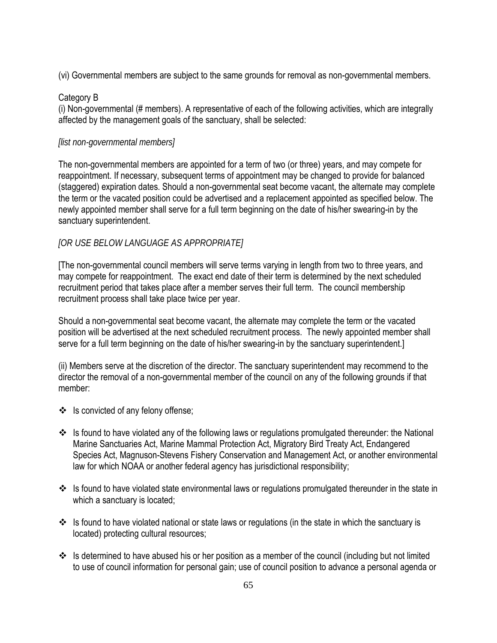(vi) Governmental members are subject to the same grounds for removal as non-governmental members.

### Category B

(i) Non-governmental (# members). A representative of each of the following activities, which are integrally affected by the management goals of the sanctuary, shall be selected:

### *[list non-governmental members]*

The non-governmental members are appointed for a term of two (or three) years, and may compete for reappointment. If necessary, subsequent terms of appointment may be changed to provide for balanced (staggered) expiration dates. Should a non-governmental seat become vacant, the alternate may complete the term or the vacated position could be advertised and a replacement appointed as specified below. The newly appointed member shall serve for a full term beginning on the date of his/her swearing-in by the sanctuary superintendent.

### *[OR USE BELOW LANGUAGE AS APPROPRIATE]*

[The non-governmental council members will serve terms varying in length from two to three years, and may compete for reappointment. The exact end date of their term is determined by the next scheduled recruitment period that takes place after a member serves their full term. The council membership recruitment process shall take place twice per year.

Should a non-governmental seat become vacant, the alternate may complete the term or the vacated position will be advertised at the next scheduled recruitment process. The newly appointed member shall serve for a full term beginning on the date of his/her swearing-in by the sanctuary superintendent.]

(ii) Members serve at the discretion of the director. The sanctuary superintendent may recommend to the director the removal of a non-governmental member of the council on any of the following grounds if that member:

- ❖ Is convicted of any felony offense;
- Is found to have violated any of the following laws or regulations promulgated thereunder: the National Marine Sanctuaries Act, Marine Mammal Protection Act, Migratory Bird Treaty Act, Endangered Species Act, Magnuson-Stevens Fishery Conservation and Management Act, or another environmental law for which NOAA or another federal agency has jurisdictional responsibility;
- $\cdot \cdot$  Is found to have violated state environmental laws or regulations promulgated thereunder in the state in which a sanctuary is located;
- $\cdot$  Is found to have violated national or state laws or regulations (in the state in which the sanctuary is located) protecting cultural resources;
- $\cdot$  Is determined to have abused his or her position as a member of the council (including but not limited to use of council information for personal gain; use of council position to advance a personal agenda or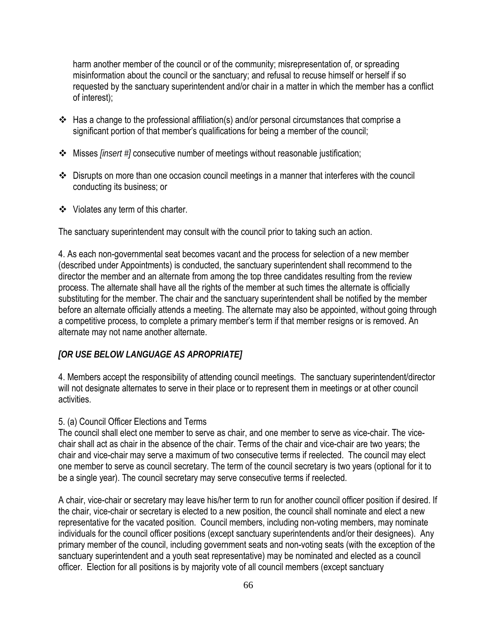harm another member of the council or of the community; misrepresentation of, or spreading misinformation about the council or the sanctuary; and refusal to recuse himself or herself if so requested by the sanctuary superintendent and/or chair in a matter in which the member has a conflict of interest);

- $\cdot$  Has a change to the professional affiliation(s) and/or personal circumstances that comprise a significant portion of that member's qualifications for being a member of the council;
- Misses *[insert #]* consecutive number of meetings without reasonable justification;
- Disrupts on more than one occasion council meetings in a manner that interferes with the council conducting its business; or
- Violates any term of this charter.

The sanctuary superintendent may consult with the council prior to taking such an action.

4. As each non-governmental seat becomes vacant and the process for selection of a new member (described under Appointments) is conducted, the sanctuary superintendent shall recommend to the director the member and an alternate from among the top three candidates resulting from the review process. The alternate shall have all the rights of the member at such times the alternate is officially substituting for the member. The chair and the sanctuary superintendent shall be notified by the member before an alternate officially attends a meeting. The alternate may also be appointed, without going through a competitive process, to complete a primary member's term if that member resigns or is removed. An alternate may not name another alternate.

### *[OR USE BELOW LANGUAGE AS APROPRIATE]*

4. Members accept the responsibility of attending council meetings. The sanctuary superintendent/director will not designate alternates to serve in their place or to represent them in meetings or at other council activities.

#### 5. (a) Council Officer Elections and Terms

The council shall elect one member to serve as chair, and one member to serve as vice-chair. The vicechair shall act as chair in the absence of the chair. Terms of the chair and vice-chair are two years; the chair and vice-chair may serve a maximum of two consecutive terms if reelected. The council may elect one member to serve as council secretary. The term of the council secretary is two years (optional for it to be a single year). The council secretary may serve consecutive terms if reelected.

A chair, vice-chair or secretary may leave his/her term to run for another council officer position if desired. If the chair, vice-chair or secretary is elected to a new position, the council shall nominate and elect a new representative for the vacated position. Council members, including non-voting members, may nominate individuals for the council officer positions (except sanctuary superintendents and/or their designees). Any primary member of the council, including government seats and non-voting seats (with the exception of the sanctuary superintendent and a youth seat representative) may be nominated and elected as a council officer. Election for all positions is by majority vote of all council members (except sanctuary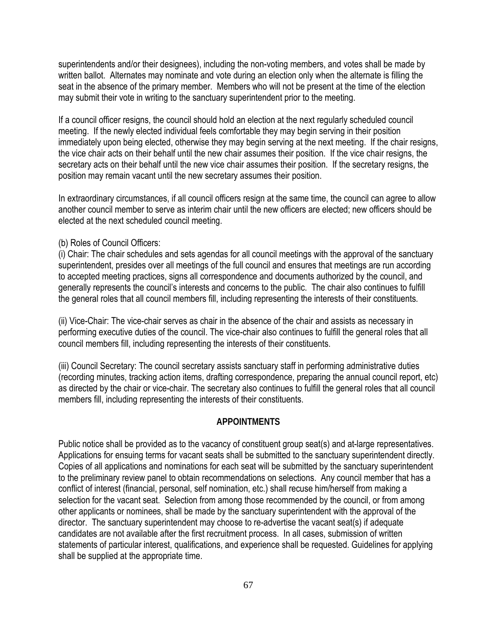superintendents and/or their designees), including the non-voting members, and votes shall be made by written ballot. Alternates may nominate and vote during an election only when the alternate is filling the seat in the absence of the primary member. Members who will not be present at the time of the election may submit their vote in writing to the sanctuary superintendent prior to the meeting.

If a council officer resigns, the council should hold an election at the next regularly scheduled council meeting. If the newly elected individual feels comfortable they may begin serving in their position immediately upon being elected, otherwise they may begin serving at the next meeting. If the chair resigns, the vice chair acts on their behalf until the new chair assumes their position. If the vice chair resigns, the secretary acts on their behalf until the new vice chair assumes their position. If the secretary resigns, the position may remain vacant until the new secretary assumes their position.

In extraordinary circumstances, if all council officers resign at the same time, the council can agree to allow another council member to serve as interim chair until the new officers are elected; new officers should be elected at the next scheduled council meeting.

### (b) Roles of Council Officers:

(i) Chair: The chair schedules and sets agendas for all council meetings with the approval of the sanctuary superintendent, presides over all meetings of the full council and ensures that meetings are run according to accepted meeting practices, signs all correspondence and documents authorized by the council, and generally represents the council's interests and concerns to the public. The chair also continues to fulfill the general roles that all council members fill, including representing the interests of their constituents.

(ii) Vice-Chair: The vice-chair serves as chair in the absence of the chair and assists as necessary in performing executive duties of the council. The vice-chair also continues to fulfill the general roles that all council members fill, including representing the interests of their constituents.

(iii) Council Secretary: The council secretary assists sanctuary staff in performing administrative duties (recording minutes, tracking action items, drafting correspondence, preparing the annual council report, etc) as directed by the chair or vice-chair. The secretary also continues to fulfill the general roles that all council members fill, including representing the interests of their constituents.

### **APPOINTMENTS**

Public notice shall be provided as to the vacancy of constituent group seat(s) and at-large representatives. Applications for ensuing terms for vacant seats shall be submitted to the sanctuary superintendent directly. Copies of all applications and nominations for each seat will be submitted by the sanctuary superintendent to the preliminary review panel to obtain recommendations on selections. Any council member that has a conflict of interest (financial, personal, self nomination, etc.) shall recuse him/herself from making a selection for the vacant seat. Selection from among those recommended by the council, or from among other applicants or nominees, shall be made by the sanctuary superintendent with the approval of the director. The sanctuary superintendent may choose to re-advertise the vacant seat(s) if adequate candidates are not available after the first recruitment process. In all cases, submission of written statements of particular interest, qualifications, and experience shall be requested. Guidelines for applying shall be supplied at the appropriate time.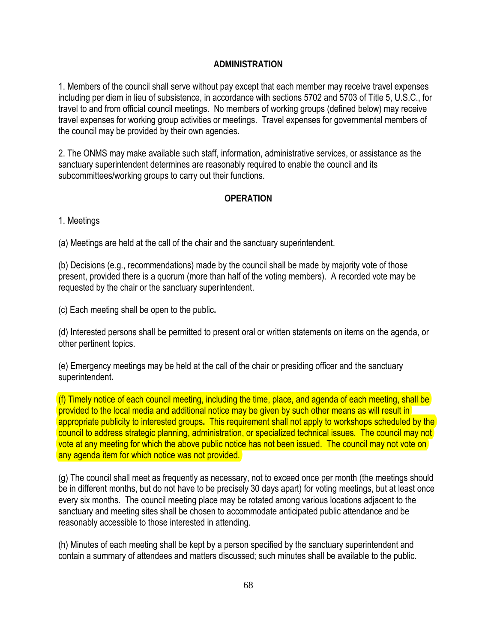# **ADMINISTRATION**

1. Members of the council shall serve without pay except that each member may receive travel expenses including per diem in lieu of subsistence, in accordance with sections 5702 and 5703 of Title 5, U.S.C., for travel to and from official council meetings. No members of working groups (defined below) may receive travel expenses for working group activities or meetings. Travel expenses for governmental members of the council may be provided by their own agencies.

2. The ONMS may make available such staff, information, administrative services, or assistance as the sanctuary superintendent determines are reasonably required to enable the council and its subcommittees/working groups to carry out their functions.

## **OPERATION**

1. Meetings

(a) Meetings are held at the call of the chair and the sanctuary superintendent.

(b) Decisions (e.g., recommendations) made by the council shall be made by majority vote of those present, provided there is a quorum (more than half of the voting members). A recorded vote may be requested by the chair or the sanctuary superintendent.

(c) Each meeting shall be open to the public**.** 

(d) Interested persons shall be permitted to present oral or written statements on items on the agenda, or other pertinent topics.

(e) Emergency meetings may be held at the call of the chair or presiding officer and the sanctuary superintendent**.** 

(f) Timely notice of each council meeting, including the time, place, and agenda of each meeting, shall be provided to the local media and additional notice may be given by such other means as will result in appropriate publicity to interested groups**.** This requirement shall not apply to workshops scheduled by the council to address strategic planning, administration, or specialized technical issues. The council may not vote at any meeting for which the above public notice has not been issued. The council may not vote on any agenda item for which notice was not provided.

(g) The council shall meet as frequently as necessary, not to exceed once per month (the meetings should be in different months, but do not have to be precisely 30 days apart) for voting meetings, but at least once every six months. The council meeting place may be rotated among various locations adjacent to the sanctuary and meeting sites shall be chosen to accommodate anticipated public attendance and be reasonably accessible to those interested in attending.

(h) Minutes of each meeting shall be kept by a person specified by the sanctuary superintendent and contain a summary of attendees and matters discussed; such minutes shall be available to the public.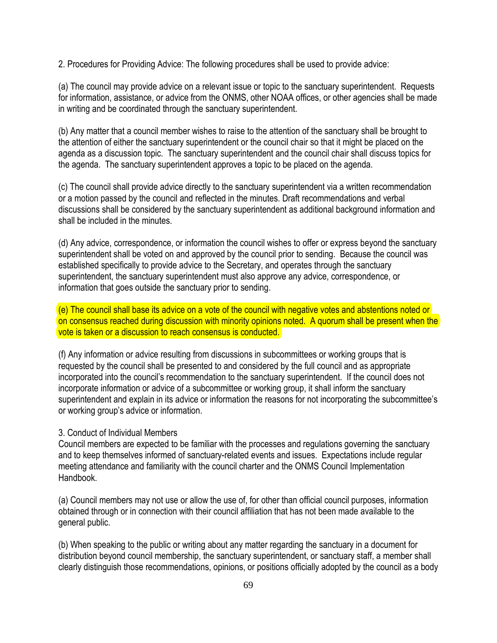2. Procedures for Providing Advice: The following procedures shall be used to provide advice:

(a) The council may provide advice on a relevant issue or topic to the sanctuary superintendent. Requests for information, assistance, or advice from the ONMS, other NOAA offices, or other agencies shall be made in writing and be coordinated through the sanctuary superintendent.

(b) Any matter that a council member wishes to raise to the attention of the sanctuary shall be brought to the attention of either the sanctuary superintendent or the council chair so that it might be placed on the agenda as a discussion topic. The sanctuary superintendent and the council chair shall discuss topics for the agenda. The sanctuary superintendent approves a topic to be placed on the agenda.

(c) The council shall provide advice directly to the sanctuary superintendent via a written recommendation or a motion passed by the council and reflected in the minutes. Draft recommendations and verbal discussions shall be considered by the sanctuary superintendent as additional background information and shall be included in the minutes.

(d) Any advice, correspondence, or information the council wishes to offer or express beyond the sanctuary superintendent shall be voted on and approved by the council prior to sending. Because the council was established specifically to provide advice to the Secretary, and operates through the sanctuary superintendent, the sanctuary superintendent must also approve any advice, correspondence, or information that goes outside the sanctuary prior to sending.

(e) The council shall base its advice on a vote of the council with negative votes and abstentions noted or on consensus reached during discussion with minority opinions noted. A quorum shall be present when the vote is taken or a discussion to reach consensus is conducted.

(f) Any information or advice resulting from discussions in subcommittees or working groups that is requested by the council shall be presented to and considered by the full council and as appropriate incorporated into the council's recommendation to the sanctuary superintendent. If the council does not incorporate information or advice of a subcommittee or working group, it shall inform the sanctuary superintendent and explain in its advice or information the reasons for not incorporating the subcommittee's or working group's advice or information.

### 3. Conduct of Individual Members

Council members are expected to be familiar with the processes and regulations governing the sanctuary and to keep themselves informed of sanctuary-related events and issues. Expectations include regular meeting attendance and familiarity with the council charter and the ONMS Council Implementation Handbook.

(a) Council members may not use or allow the use of, for other than official council purposes, information obtained through or in connection with their council affiliation that has not been made available to the general public.

(b) When speaking to the public or writing about any matter regarding the sanctuary in a document for distribution beyond council membership, the sanctuary superintendent, or sanctuary staff, a member shall clearly distinguish those recommendations, opinions, or positions officially adopted by the council as a body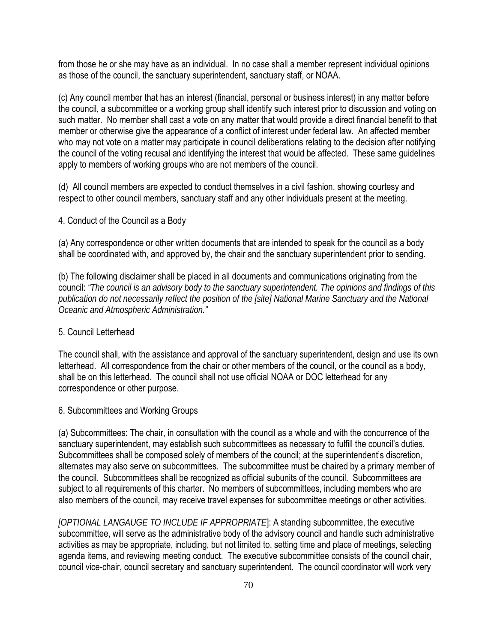from those he or she may have as an individual. In no case shall a member represent individual opinions as those of the council, the sanctuary superintendent, sanctuary staff, or NOAA.

(c) Any council member that has an interest (financial, personal or business interest) in any matter before the council, a subcommittee or a working group shall identify such interest prior to discussion and voting on such matter. No member shall cast a vote on any matter that would provide a direct financial benefit to that member or otherwise give the appearance of a conflict of interest under federal law. An affected member who may not vote on a matter may participate in council deliberations relating to the decision after notifying the council of the voting recusal and identifying the interest that would be affected. These same guidelines apply to members of working groups who are not members of the council.

(d) All council members are expected to conduct themselves in a civil fashion, showing courtesy and respect to other council members, sanctuary staff and any other individuals present at the meeting.

## 4. Conduct of the Council as a Body

(a) Any correspondence or other written documents that are intended to speak for the council as a body shall be coordinated with, and approved by, the chair and the sanctuary superintendent prior to sending.

(b) The following disclaimer shall be placed in all documents and communications originating from the council: *"The council is an advisory body to the sanctuary superintendent. The opinions and findings of this publication do not necessarily reflect the position of the [site] National Marine Sanctuary and the National Oceanic and Atmospheric Administration."*

### 5. Council Letterhead

The council shall, with the assistance and approval of the sanctuary superintendent, design and use its own letterhead. All correspondence from the chair or other members of the council, or the council as a body, shall be on this letterhead. The council shall not use official NOAA or DOC letterhead for any correspondence or other purpose.

### 6. Subcommittees and Working Groups

(a) Subcommittees: The chair, in consultation with the council as a whole and with the concurrence of the sanctuary superintendent, may establish such subcommittees as necessary to fulfill the council's duties. Subcommittees shall be composed solely of members of the council; at the superintendent's discretion, alternates may also serve on subcommittees. The subcommittee must be chaired by a primary member of the council. Subcommittees shall be recognized as official subunits of the council. Subcommittees are subject to all requirements of this charter. No members of subcommittees, including members who are also members of the council, may receive travel expenses for subcommittee meetings or other activities.

*[OPTIONAL LANGAUGE TO INCLUDE IF APPROPRIATE*]: A standing subcommittee, the executive subcommittee, will serve as the administrative body of the advisory council and handle such administrative activities as may be appropriate, including, but not limited to, setting time and place of meetings, selecting agenda items, and reviewing meeting conduct. The executive subcommittee consists of the council chair, council vice-chair, council secretary and sanctuary superintendent. The council coordinator will work very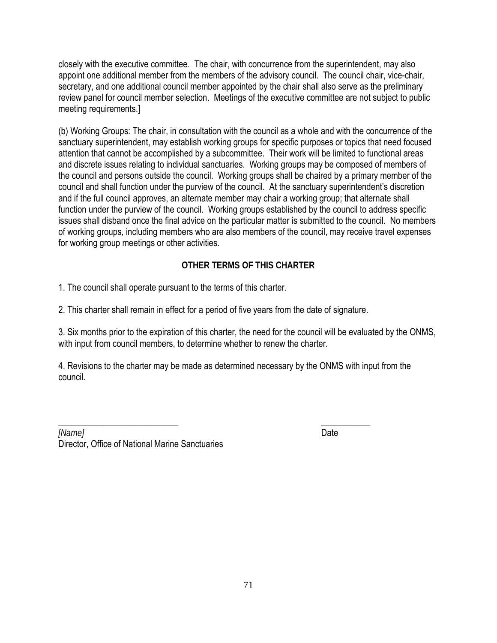closely with the executive committee. The chair, with concurrence from the superintendent, may also appoint one additional member from the members of the advisory council. The council chair, vice-chair, secretary, and one additional council member appointed by the chair shall also serve as the preliminary review panel for council member selection. Meetings of the executive committee are not subject to public meeting requirements.]

(b) Working Groups: The chair, in consultation with the council as a whole and with the concurrence of the sanctuary superintendent, may establish working groups for specific purposes or topics that need focused attention that cannot be accomplished by a subcommittee. Their work will be limited to functional areas and discrete issues relating to individual sanctuaries. Working groups may be composed of members of the council and persons outside the council. Working groups shall be chaired by a primary member of the council and shall function under the purview of the council. At the sanctuary superintendent's discretion and if the full council approves, an alternate member may chair a working group; that alternate shall function under the purview of the council. Working groups established by the council to address specific issues shall disband once the final advice on the particular matter is submitted to the council. No members of working groups, including members who are also members of the council, may receive travel expenses for working group meetings or other activities.

# **OTHER TERMS OF THIS CHARTER**

1. The council shall operate pursuant to the terms of this charter.

2. This charter shall remain in effect for a period of five years from the date of signature.

3. Six months prior to the expiration of this charter, the need for the council will be evaluated by the ONMS, with input from council members, to determine whether to renew the charter.

4. Revisions to the charter may be made as determined necessary by the ONMS with input from the council.

 $\overline{\phantom{a}}$  , we can assume that the contract of  $\overline{\phantom{a}}$  ,  $\overline{\phantom{a}}$  ,  $\overline{\phantom{a}}$  ,  $\overline{\phantom{a}}$  ,  $\overline{\phantom{a}}$  ,  $\overline{\phantom{a}}$  ,  $\overline{\phantom{a}}$  ,  $\overline{\phantom{a}}$  ,  $\overline{\phantom{a}}$  ,  $\overline{\phantom{a}}$  ,  $\overline{\phantom{a}}$  ,  $\overline{\phantom{a}}$  ,  $\overline$ *[Name]* Date Director, Office of National Marine Sanctuaries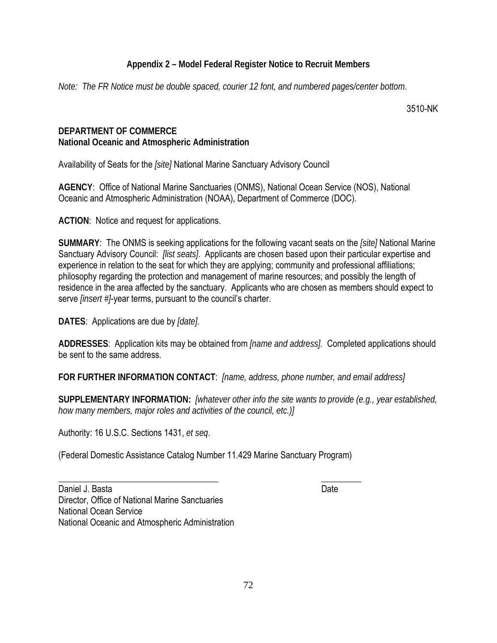# **Appendix 2 – Model Federal Register Notice to Recruit Members**

*Note: The FR Notice must be double spaced, courier 12 font, and numbered pages/center bottom*.

3510-NK

# **DEPARTMENT OF COMMERCE National Oceanic and Atmospheric Administration**

Availability of Seats for the *[site]* National Marine Sanctuary Advisory Council

**AGENCY**: Office of National Marine Sanctuaries (ONMS), National Ocean Service (NOS), National Oceanic and Atmospheric Administration (NOAA), Department of Commerce (DOC).

**ACTION**: Notice and request for applications.

**SUMMARY**: The ONMS is seeking applications for the following vacant seats on the *[site]* National Marine Sanctuary Advisory Council: *[list seats]*. Applicants are chosen based upon their particular expertise and experience in relation to the seat for which they are applying; community and professional affiliations; philosophy regarding the protection and management of marine resources; and possibly the length of residence in the area affected by the sanctuary. Applicants who are chosen as members should expect to serve *[insert #]*-year terms, pursuant to the council's charter.

**DATES**: Applications are due by *[date]*.

**ADDRESSES**: Application kits may be obtained from *[name and address].* Completed applications should be sent to the same address.

**FOR FURTHER INFORMATION CONTACT**: *[name, address, phone number, and email address]*

**SUPPLEMENTARY INFORMATION:** *[whatever other info the site wants to provide (e.g., year established, how many members, major roles and activities of the council, etc.)]*

Authority: 16 U.S.C. Sections 1431, *et seq*.

(Federal Domestic Assistance Catalog Number 11.429 Marine Sanctuary Program)

Daniel J. Basta Date Date Date Date Date Date Date Director, Office of National Marine Sanctuaries National Ocean Service National Oceanic and Atmospheric Administration

 $\overline{\phantom{a}}$  , and the contract of the contract of the contract of the contract of the contract of the contract of the contract of the contract of the contract of the contract of the contract of the contract of the contrac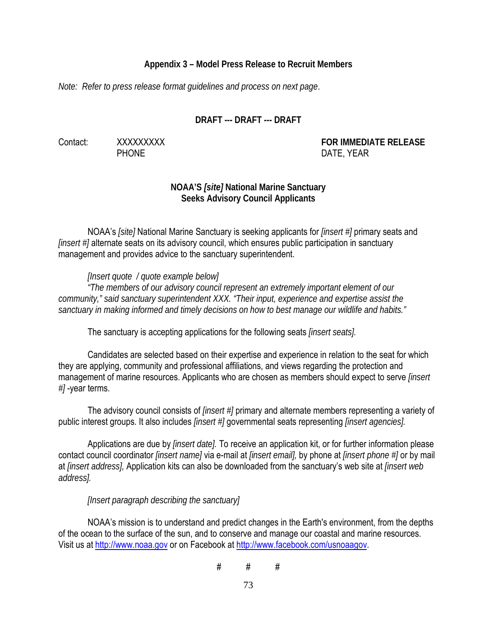## **Appendix 3 – Model Press Release to Recruit Members**

*Note: Refer to press release format guidelines and process on next page*.

# **DRAFT --- DRAFT --- DRAFT**

Contact: XXXXXXXXX **FOR IMMEDIATE RELEASE** PHONE DATE, YEAR

# **NOAA'S** *[site]* **National Marine Sanctuary Seeks Advisory Council Applicants**

NOAA's *[site]* National Marine Sanctuary is seeking applicants for *[insert #]* primary seats and *[insert #]* alternate seats on its advisory council, which ensures public participation in sanctuary management and provides advice to the sanctuary superintendent.

*[Insert quote / quote example below]* 

*"The members of our advisory council represent an extremely important element of our community," said sanctuary superintendent XXX. "Their input, experience and expertise assist the sanctuary in making informed and timely decisions on how to best manage our wildlife and habits."* 

The sanctuary is accepting applications for the following seats *[insert seats].* 

Candidates are selected based on their expertise and experience in relation to the seat for which they are applying, community and professional affiliations, and views regarding the protection and management of marine resources. Applicants who are chosen as members should expect to serve *[insert #]* -year terms.

The advisory council consists of *[insert #]* primary and alternate members representing a variety of public interest groups. It also includes *[insert #]* governmental seats representing *[insert agencies].*

Applications are due by *[insert date].* To receive an application kit, or for further information please contact council coordinator *[insert name]* via e-mail at *[insert email],* by phone at *[insert phone #]* or by mail at *[insert address],* Application kits can also be downloaded from the sanctuary's web site at *[insert web address].* 

*[Insert paragraph describing the sanctuary]* 

NOAA's mission is to understand and predict changes in the Earth's environment, from the depths of the ocean to the surface of the sun, and to conserve and manage our coastal and marine resources. Visit us at [http://www.noaa.gov](http://www.noaa.gov/) or on Facebook at [http://www.facebook.com/usnoaagov.](http://www.facebook.com/usnoaagov)

 $#$   $#$   $#$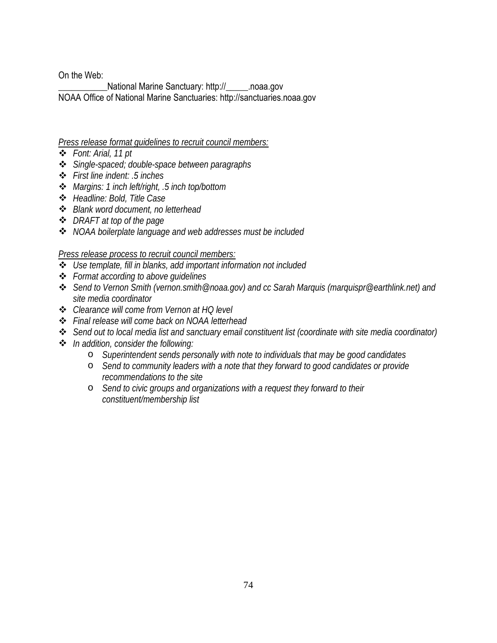On the Web:

\_\_\_\_\_\_\_\_\_\_\_National Marine Sanctuary: http://\_\_\_\_\_.noaa.gov NOAA Office of National Marine Sanctuaries: http://sanctuaries.noaa.gov

### *Press release format guidelines to recruit council members:*

- *Font: Arial, 11 pt*
- *Single-spaced; double-space between paragraphs*
- *First line indent: .5 inches*
- *Margins: 1 inch left/right, .5 inch top/bottom*
- *Headline: Bold, Title Case*
- *Blank word document, no letterhead*
- *DRAFT at top of the page*
- *NOAA boilerplate language and web addresses must be included*

*Press release process to recruit council members:*

- *Use template, fill in blanks, add important information not included*
- *Format according to above guidelines*
- *Send to Vernon Smith (vernon.smith@noaa.gov) and cc Sarah Marquis (marquispr@earthlink.net) and site media coordinator*
- *Clearance will come from Vernon at HQ level*
- *Final release will come back on NOAA letterhead*
- *Send out to local media list and sanctuary email constituent list (coordinate with site media coordinator)*
- *In addition, consider the following:*
	- o *Superintendent sends personally with note to individuals that may be good candidates*
	- o *Send to community leaders with a note that they forward to good candidates or provide recommendations to the site*
	- o *Send to civic groups and organizations with a request they forward to their constituent/membership list*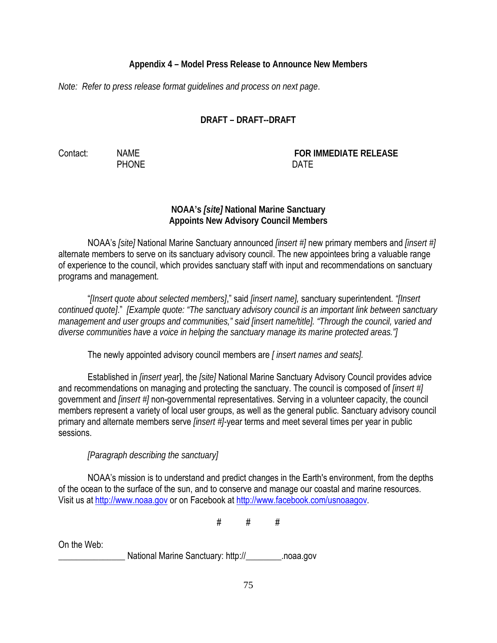# **Appendix 4 – Model Press Release to Announce New Members**

*Note: Refer to press release format guidelines and process on next page*.

# **DRAFT – DRAFT--DRAFT**

Contact: NAME **FOR IMMEDIATE RELEASE** PHONE DATE

# **NOAA's** *[site]* **National Marine Sanctuary Appoints New Advisory Council Members**

NOAA's *[site]* National Marine Sanctuary announced *[insert #]* new primary members and *[insert #]* alternate members to serve on its sanctuary advisory council. The new appointees bring a valuable range of experience to the council, which provides sanctuary staff with input and recommendations on sanctuary programs and management.

"*[Insert quote about selected members]*," said *[insert name],* sanctuary superintendent. *"[Insert continued quote]*." *[Example quote: "The sanctuary advisory council is an important link between sanctuary management and user groups and communities," said [insert name/title]. "Through the council, varied and diverse communities have a voice in helping the sanctuary manage its marine protected areas."]* 

The newly appointed advisory council members are *[ insert names and seats].*

Established in *[insert yea*r], the *[site]* National Marine Sanctuary Advisory Council provides advice and recommendations on managing and protecting the sanctuary. The council is composed of *[insert #]* government and *[insert #]* non-governmental representatives. Serving in a volunteer capacity, the council members represent a variety of local user groups, as well as the general public. Sanctuary advisory council primary and alternate members serve *[insert #]-*year terms and meet several times per year in public sessions.

*[Paragraph describing the sanctuary]*

NOAA's mission is to understand and predict changes in the Earth's environment, from the depths of the ocean to the surface of the sun, and to conserve and manage our coastal and marine resources. Visit us at [http://www.noaa.gov](http://www.noaa.gov/) or on Facebook at [http://www.facebook.com/usnoaagov.](http://www.facebook.com/usnoaagov)

 $\#$   $\#$   $\#$ 

On the Web:

National Marine Sanctuary: http://\_\_\_\_\_\_\_\_.noaa.gov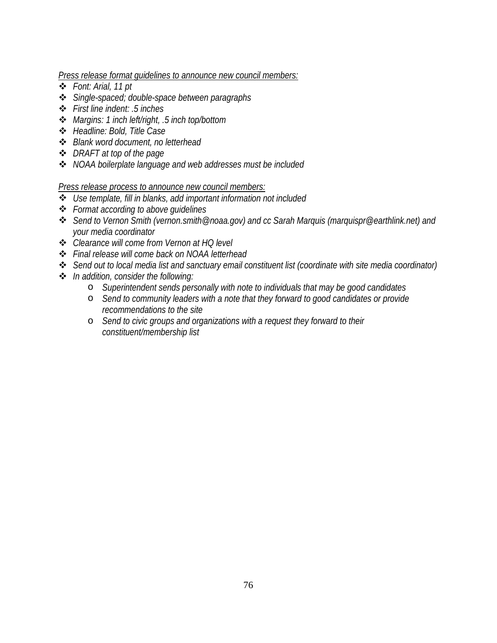*Press release format guidelines to announce new council members:* 

- *Font: Arial, 11 pt*
- *Single-spaced; double-space between paragraphs*
- *First line indent: .5 inches*
- *Margins: 1 inch left/right, .5 inch top/bottom*
- *Headline: Bold, Title Case*
- *Blank word document, no letterhead*
- *DRAFT at top of the page*
- *NOAA boilerplate language and web addresses must be included*

*Press release process to announce new council members:*

- *Use template, fill in blanks, add important information not included*
- *Format according to above guidelines*
- *Send to Vernon Smith (vernon.smith@noaa.gov) and cc Sarah Marquis (marquispr@earthlink.net) and your media coordinator*
- *Clearance will come from Vernon at HQ level*
- *Final release will come back on NOAA letterhead*
- *Send out to local media list and sanctuary email constituent list (coordinate with site media coordinator)*
- *In addition, consider the following:*
	- o *Superintendent sends personally with note to individuals that may be good candidates*
	- o *Send to community leaders with a note that they forward to good candidates or provide recommendations to the site*
	- o *Send to civic groups and organizations with a request they forward to their constituent/membership list*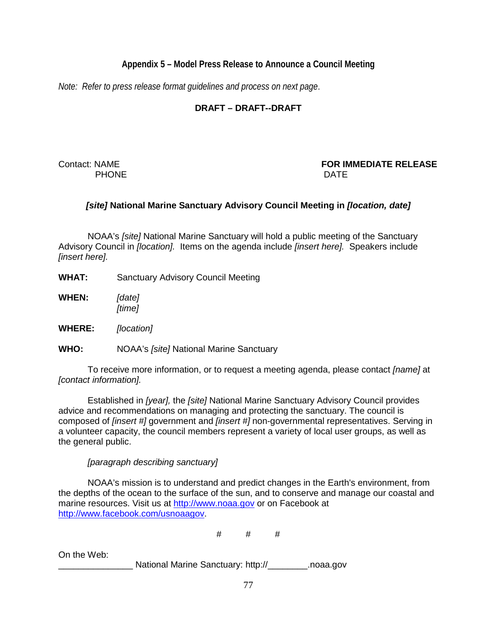## **Appendix 5 – Model Press Release to Announce a Council Meeting**

*Note: Refer to press release format guidelines and process on next page*.

# **DRAFT – DRAFT--DRAFT**

PHONE DATE

Contact: NAME **FOR IMMEDIATE RELEASE**

## *[site]* **National Marine Sanctuary Advisory Council Meeting in** *[location, date]*

NOAA's *[site]* National Marine Sanctuary will hold a public meeting of the Sanctuary Advisory Council in *[location].* Items on the agenda include *[insert here].* Speakers include *[insert here].*

- **WHAT:** Sanctuary Advisory Council Meeting
- **WHEN:** *[date] [time]*
- **WHERE:** *[location]*

**WHO:** NOAA's *[site]* National Marine Sanctuary

To receive more information, or to request a meeting agenda, please contact *[name]* at *[contact information].*

Established in *[year],* the *[site]* National Marine Sanctuary Advisory Council provides advice and recommendations on managing and protecting the sanctuary. The council is composed of *[insert #]* government and *[insert #]* non-governmental representatives. Serving in a volunteer capacity, the council members represent a variety of local user groups, as well as the general public.

#### *[paragraph describing sanctuary]*

NOAA's mission is to understand and predict changes in the Earth's environment, from the depths of the ocean to the surface of the sun, and to conserve and manage our coastal and marine resources. Visit us at [http://www.noaa.gov](http://www.noaa.gov/) or on Facebook at [http://www.facebook.com/usnoaagov.](http://www.facebook.com/usnoaagov)

 $#$   $#$   $#$ 

On the Web:

National Marine Sanctuary: http:// The Mational Marine Sanctuary: http://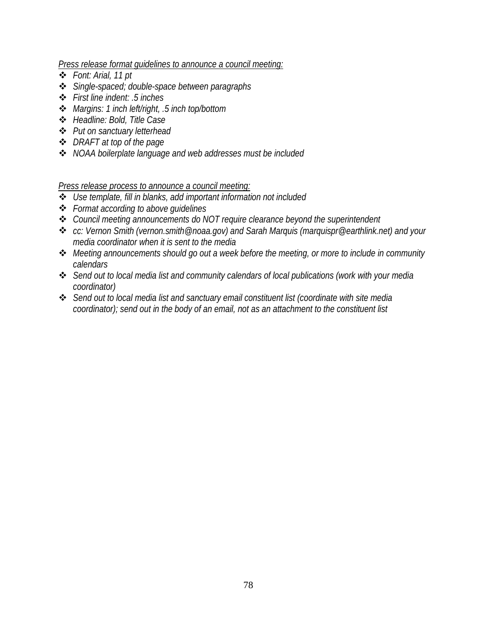*Press release format guidelines to announce a council meeting:* 

- *Font: Arial, 11 pt*
- *Single-spaced; double-space between paragraphs*
- *First line indent: .5 inches*
- *Margins: 1 inch left/right, .5 inch top/bottom*
- *Headline: Bold, Title Case*
- *Put on sanctuary letterhead*
- *DRAFT at top of the page*
- *NOAA boilerplate language and web addresses must be included*

*Press release process to announce a council meeting:*

- *Use template, fill in blanks, add important information not included*
- *Format according to above guidelines*
- *Council meeting announcements do NOT require clearance beyond the superintendent*
- *cc: Vernon Smith (vernon.smith@noaa.gov) and Sarah Marquis (marquispr@earthlink.net) and your media coordinator when it is sent to the media*
- *Meeting announcements should go out a week before the meeting, or more to include in community calendars*
- *Send out to local media list and community calendars of local publications (work with your media coordinator)*
- *Send out to local media list and sanctuary email constituent list (coordinate with site media coordinator); send out in the body of an email, not as an attachment to the constituent list*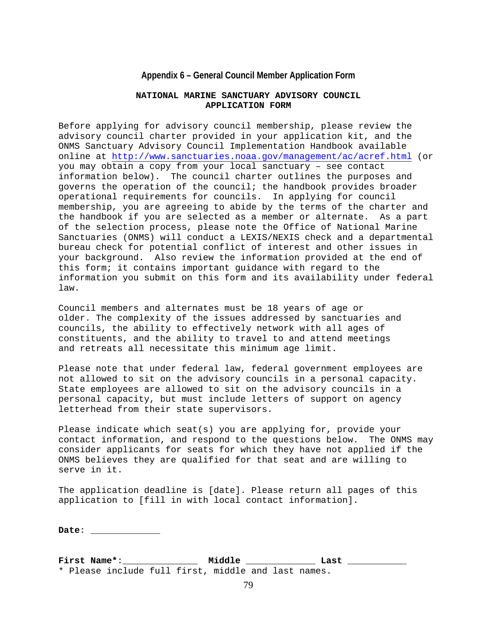#### **Appendix 6 – General Council Member Application Form**

#### **NATIONAL MARINE SANCTUARY ADVISORY COUNCIL APPLICATION FORM**

Before applying for advisory council membership, please review the advisory council charter provided in your application kit, and the ONMS Sanctuary Advisory Council Implementation Handbook available online at<http://www.sanctuaries.noaa.gov/management/ac/acref.html> (or you may obtain a copy from your local sanctuary – see contact information below). The council charter outlines the purposes and governs the operation of the council; the handbook provides broader operational requirements for councils. In applying for council membership, you are agreeing to abide by the terms of the charter and the handbook if you are selected as a member or alternate. As a part of the selection process, please note the Office of National Marine Sanctuaries (ONMS) will conduct a LEXIS/NEXIS check and a departmental bureau check for potential conflict of interest and other issues in your background. Also review the information provided at the end of this form; it contains important guidance with regard to the information you submit on this form and its availability under federal law.

Council members and alternates must be 18 years of age or older. The complexity of the issues addressed by sanctuaries and councils, the ability to effectively network with all ages of constituents, and the ability to travel to and attend meetings and retreats all necessitate this minimum age limit.

Please note that under federal law, federal government employees are not allowed to sit on the advisory councils in a personal capacity. State employees are allowed to sit on the advisory councils in a personal capacity, but must include letters of support on agency letterhead from their state supervisors.

Please indicate which seat(s) you are applying for, provide your contact information, and respond to the questions below. The ONMS may consider applicants for seats for which they have not applied if the ONMS believes they are qualified for that seat and are willing to serve in it.

The application deadline is [date]. Please return all pages of this application to [fill in with local contact information].

**Date**: \_\_\_\_\_\_\_\_\_\_\_\_\_

**First Name\***:\_\_\_\_\_\_\_\_\_\_\_\_\_\_ **Middle** \_\_\_\_\_\_\_\_\_\_\_\_\_ **Last** \_\_\_\_\_\_\_\_\_\_\_ \* Please include full first, middle and last names.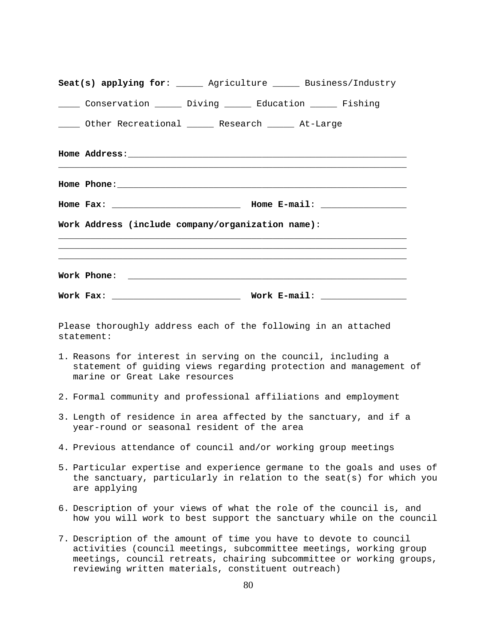| Seat(s) applying for: ______ Agriculture ______ Business/Industry                                |  |                                                                                                                                                 |
|--------------------------------------------------------------------------------------------------|--|-------------------------------------------------------------------------------------------------------------------------------------------------|
| _____ Conservation ______ Diving ______ Education ______ Fishing                                 |  |                                                                                                                                                 |
| _____ Other Recreational ______ Research ______ At-Large                                         |  |                                                                                                                                                 |
|                                                                                                  |  |                                                                                                                                                 |
|                                                                                                  |  |                                                                                                                                                 |
|                                                                                                  |  |                                                                                                                                                 |
| Work Address (include company/organization name):                                                |  |                                                                                                                                                 |
|                                                                                                  |  |                                                                                                                                                 |
|                                                                                                  |  |                                                                                                                                                 |
| Work Phone:                                                                                      |  |                                                                                                                                                 |
|                                                                                                  |  |                                                                                                                                                 |
| Please thoroughly address each of the following in an attached<br>statement:                     |  |                                                                                                                                                 |
| 1. Reasons for interest in serving on the council, including a<br>marine or Great Lake resources |  | statement of guiding views regarding protection and management of                                                                               |
|                                                                                                  |  | 2. Formal community and professional affiliations and employment                                                                                |
| year-round or seasonal resident of the area                                                      |  | 3. Length of residence in area affected by the sanctuary, and if a                                                                              |
| 4. Previous attendance of council and/or working group meetings                                  |  |                                                                                                                                                 |
| are applying                                                                                     |  | 5. Particular expertise and experience germane to the goals and uses of<br>the sanctuary, particularly in relation to the seat(s) for which you |
|                                                                                                  |  | 6. Description of your views of what the role of the council is, and<br>how you will work to best support the sanctuary while on the council    |
|                                                                                                  |  | 7. Description of the amount of time you have to devote to council<br>activities (council meetings, subcommittee meetings, working group        |

activities (council meetings, subcommittee meetings, working group meetings, council retreats, chairing subcommittee or working groups, reviewing written materials, constituent outreach)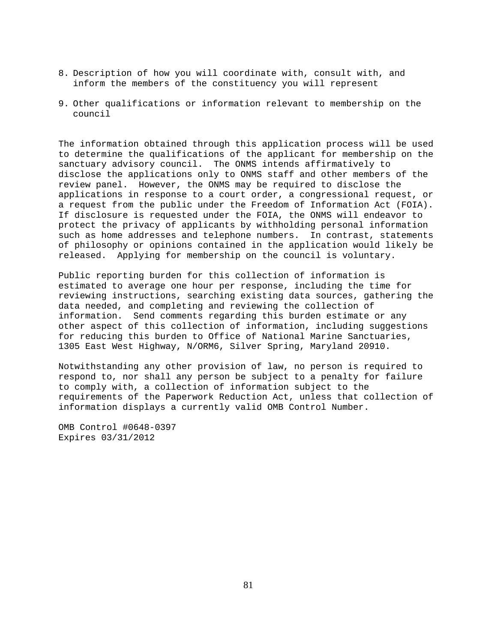- 8. Description of how you will coordinate with, consult with, and inform the members of the constituency you will represent
- 9. Other qualifications or information relevant to membership on the council

The information obtained through this application process will be used to determine the qualifications of the applicant for membership on the sanctuary advisory council. The ONMS intends affirmatively to disclose the applications only to ONMS staff and other members of the review panel. However, the ONMS may be required to disclose the applications in response to a court order, a congressional request, or a request from the public under the Freedom of Information Act (FOIA). If disclosure is requested under the FOIA, the ONMS will endeavor to protect the privacy of applicants by withholding personal information such as home addresses and telephone numbers. In contrast, statements of philosophy or opinions contained in the application would likely be released. Applying for membership on the council is voluntary.

Public reporting burden for this collection of information is estimated to average one hour per response, including the time for reviewing instructions, searching existing data sources, gathering the data needed, and completing and reviewing the collection of information. Send comments regarding this burden estimate or any other aspect of this collection of information, including suggestions for reducing this burden to Office of National Marine Sanctuaries, 1305 East West Highway, N/ORM6, Silver Spring, Maryland 20910.

Notwithstanding any other provision of law, no person is required to respond to, nor shall any person be subject to a penalty for failure to comply with, a collection of information subject to the requirements of the Paperwork Reduction Act, unless that collection of information displays a currently valid OMB Control Number.

OMB Control #0648-0397 Expires 03/31/2012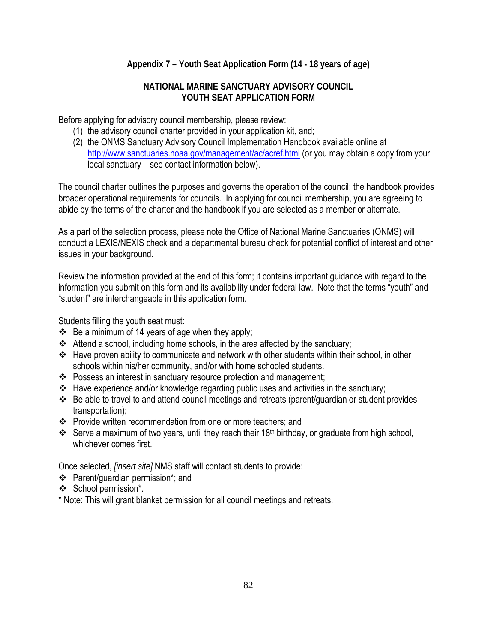# **Appendix 7 – Youth Seat Application Form (14 - 18 years of age)**

### **NATIONAL MARINE SANCTUARY ADVISORY COUNCIL YOUTH SEAT APPLICATION FORM**

Before applying for advisory council membership, please review:

- (1) the advisory council charter provided in your application kit, and;
- (2) the ONMS Sanctuary Advisory Council Implementation Handbook available online at <http://www.sanctuaries.noaa.gov/management/ac/acref.html> (or you may obtain a copy from your local sanctuary – see contact information below).

The council charter outlines the purposes and governs the operation of the council; the handbook provides broader operational requirements for councils. In applying for council membership, you are agreeing to abide by the terms of the charter and the handbook if you are selected as a member or alternate.

As a part of the selection process, please note the Office of National Marine Sanctuaries (ONMS) will conduct a LEXIS/NEXIS check and a departmental bureau check for potential conflict of interest and other issues in your background.

Review the information provided at the end of this form; it contains important guidance with regard to the information you submit on this form and its availability under federal law. Note that the terms "youth" and "student" are interchangeable in this application form.

Students filling the youth seat must:

- $\div$  Be a minimum of 14 years of age when they apply;
- Attend a school, including home schools, in the area affected by the sanctuary;
- Have proven ability to communicate and network with other students within their school, in other schools within his/her community, and/or with home schooled students.
- \* Possess an interest in sanctuary resource protection and management;
- \* Have experience and/or knowledge regarding public uses and activities in the sanctuary;
- Be able to travel to and attend council meetings and retreats (parent/guardian or student provides transportation);
- Provide written recommendation from one or more teachers; and
- Serve a maximum of two years, until they reach their 18<sup>th</sup> birthday, or graduate from high school, whichever comes first.

Once selected, *[insert site]* NMS staff will contact students to provide:

- Parent/guardian permission\*; and
- ❖ School permission\*.

\* Note: This will grant blanket permission for all council meetings and retreats.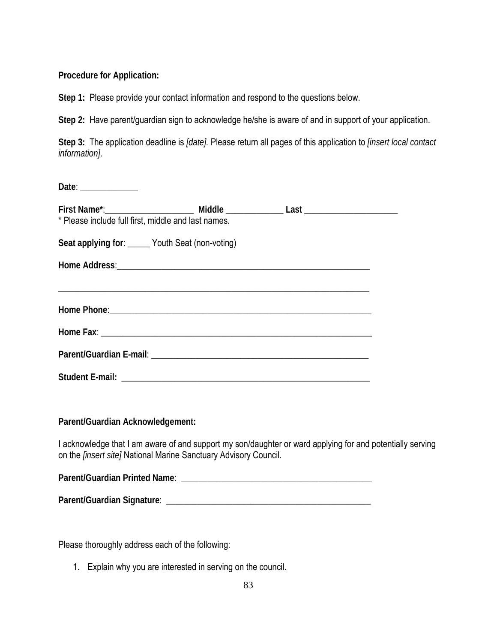**Procedure for Application:** 

**Step 1:** Please provide your contact information and respond to the questions below.

**Step 2:** Have parent/guardian sign to acknowledge he/she is aware of and in support of your application.

**Step 3:** The application deadline is *[date].* Please return all pages of this application to *[insert local contact information]*.

| Date: $\frac{1}{\sqrt{1-\frac{1}{2}}\sqrt{1-\frac{1}{2}}\sqrt{1-\frac{1}{2}}\sqrt{1-\frac{1}{2}}\sqrt{1-\frac{1}{2}}\sqrt{1-\frac{1}{2}}\sqrt{1-\frac{1}{2}}\sqrt{1-\frac{1}{2}}\sqrt{1-\frac{1}{2}}\sqrt{1-\frac{1}{2}}\sqrt{1-\frac{1}{2}}\sqrt{1-\frac{1}{2}}\sqrt{1-\frac{1}{2}}\sqrt{1-\frac{1}{2}}\sqrt{1-\frac{1}{2}}\sqrt{1-\frac{1}{2}}\sqrt{1-\frac{1}{2}}\sqrt{1-\frac{1}{2}}\sqrt{1-\frac{1}{2}}$ |  |  |  |  |  |  |  |
|---------------------------------------------------------------------------------------------------------------------------------------------------------------------------------------------------------------------------------------------------------------------------------------------------------------------------------------------------------------------------------------------------------------|--|--|--|--|--|--|--|
|                                                                                                                                                                                                                                                                                                                                                                                                               |  |  |  |  |  |  |  |
| * Please include full first, middle and last names.                                                                                                                                                                                                                                                                                                                                                           |  |  |  |  |  |  |  |
| Seat applying for: _____ Youth Seat (non-voting)                                                                                                                                                                                                                                                                                                                                                              |  |  |  |  |  |  |  |
|                                                                                                                                                                                                                                                                                                                                                                                                               |  |  |  |  |  |  |  |
|                                                                                                                                                                                                                                                                                                                                                                                                               |  |  |  |  |  |  |  |
| Home Phone: 1999 Contract Contract Contract Contract Contract Contract Contract Contract Contract Contract Contract Contract Contract Contract Contract Contract Contract Contract Contract Contract Contract Contract Contrac                                                                                                                                                                                |  |  |  |  |  |  |  |
|                                                                                                                                                                                                                                                                                                                                                                                                               |  |  |  |  |  |  |  |
|                                                                                                                                                                                                                                                                                                                                                                                                               |  |  |  |  |  |  |  |
|                                                                                                                                                                                                                                                                                                                                                                                                               |  |  |  |  |  |  |  |

**Parent/Guardian Acknowledgement:** 

I acknowledge that I am aware of and support my son/daughter or ward applying for and potentially serving on the *[insert site]* National Marine Sanctuary Advisory Council.

**Parent/Guardian Printed Name**: \_\_\_\_\_\_\_\_\_\_\_\_\_\_\_\_\_\_\_\_\_\_\_\_\_\_\_\_\_\_\_\_\_\_\_\_\_\_\_\_\_\_\_

**Parent/Guardian Signature**: \_\_\_\_\_\_\_\_\_\_\_\_\_\_\_\_\_\_\_\_\_\_\_\_\_\_\_\_\_\_\_\_\_\_\_\_\_\_\_\_\_\_\_\_\_\_

Please thoroughly address each of the following:

1. Explain why you are interested in serving on the council.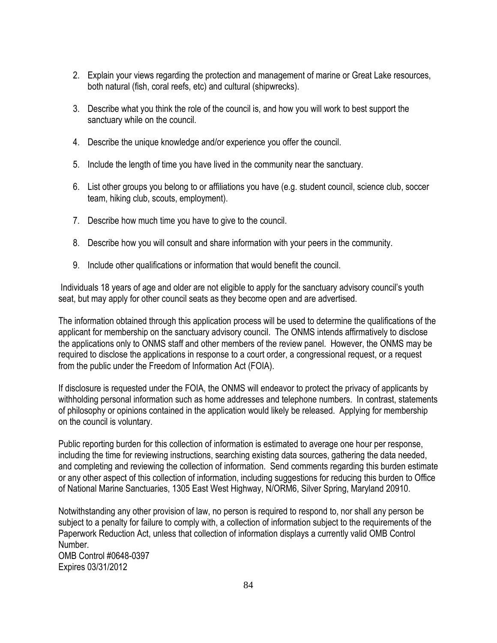- 2. Explain your views regarding the protection and management of marine or Great Lake resources, both natural (fish, coral reefs, etc) and cultural (shipwrecks).
- 3. Describe what you think the role of the council is, and how you will work to best support the sanctuary while on the council.
- 4. Describe the unique knowledge and/or experience you offer the council.
- 5. Include the length of time you have lived in the community near the sanctuary.
- 6. List other groups you belong to or affiliations you have (e.g. student council, science club, soccer team, hiking club, scouts, employment).
- 7. Describe how much time you have to give to the council.
- 8. Describe how you will consult and share information with your peers in the community.
- 9. Include other qualifications or information that would benefit the council.

Individuals 18 years of age and older are not eligible to apply for the sanctuary advisory council's youth seat, but may apply for other council seats as they become open and are advertised.

The information obtained through this application process will be used to determine the qualifications of the applicant for membership on the sanctuary advisory council. The ONMS intends affirmatively to disclose the applications only to ONMS staff and other members of the review panel. However, the ONMS may be required to disclose the applications in response to a court order, a congressional request, or a request from the public under the Freedom of Information Act (FOIA).

If disclosure is requested under the FOIA, the ONMS will endeavor to protect the privacy of applicants by withholding personal information such as home addresses and telephone numbers. In contrast, statements of philosophy or opinions contained in the application would likely be released. Applying for membership on the council is voluntary.

Public reporting burden for this collection of information is estimated to average one hour per response, including the time for reviewing instructions, searching existing data sources, gathering the data needed, and completing and reviewing the collection of information. Send comments regarding this burden estimate or any other aspect of this collection of information, including suggestions for reducing this burden to Office of National Marine Sanctuaries, 1305 East West Highway, N/ORM6, Silver Spring, Maryland 20910.

Notwithstanding any other provision of law, no person is required to respond to, nor shall any person be subject to a penalty for failure to comply with, a collection of information subject to the requirements of the Paperwork Reduction Act, unless that collection of information displays a currently valid OMB Control Number. OMB Control #0648-0397 Expires 03/31/2012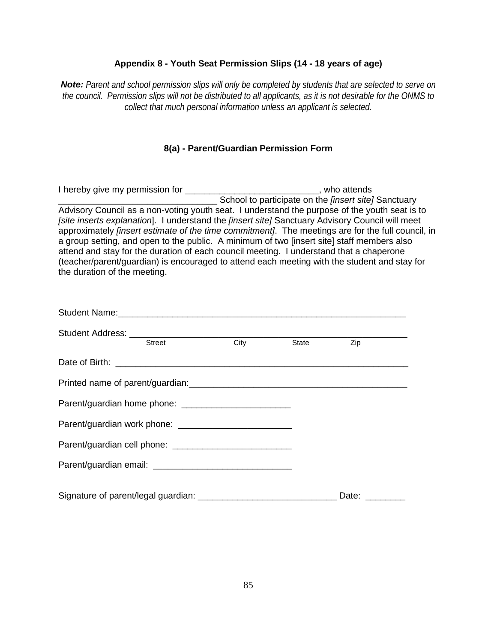#### **Appendix 8 - Youth Seat Permission Slips (14 - 18 years of age)**

*Note: Parent and school permission slips will only be completed by students that are selected to serve on the council. Permission slips will not be distributed to all applicants, as it is not desirable for the ONMS to collect that much personal information unless an applicant is selected.* 

### **8(a) - Parent/Guardian Permission Form**

I hereby give my permission for \_\_\_\_\_\_\_\_\_\_\_\_\_\_\_\_\_\_\_\_\_\_\_\_\_\_\_\_\_\_\_\_, who attends \_\_\_\_\_\_\_\_\_\_\_\_\_\_\_\_\_\_\_\_\_\_\_\_\_\_\_\_\_\_\_\_ School to participate on the *[insert site]* Sanctuary Advisory Council as a non-voting youth seat. I understand the purpose of the youth seat is to *[site inserts explanation*]. I understand the *[insert site]* Sanctuary Advisory Council will meet approximately *[insert estimate of the time commitment]*. The meetings are for the full council, in a group setting, and open to the public. A minimum of two [insert site] staff members also attend and stay for the duration of each council meeting. I understand that a chaperone (teacher/parent/guardian) is encouraged to attend each meeting with the student and stay for the duration of the meeting.

| Student Address: <u>Street City</u> |       |       |
|-------------------------------------|-------|-------|
|                                     | State | Zip   |
|                                     |       |       |
|                                     |       |       |
|                                     |       |       |
|                                     |       |       |
|                                     |       |       |
|                                     |       |       |
|                                     |       | Date: |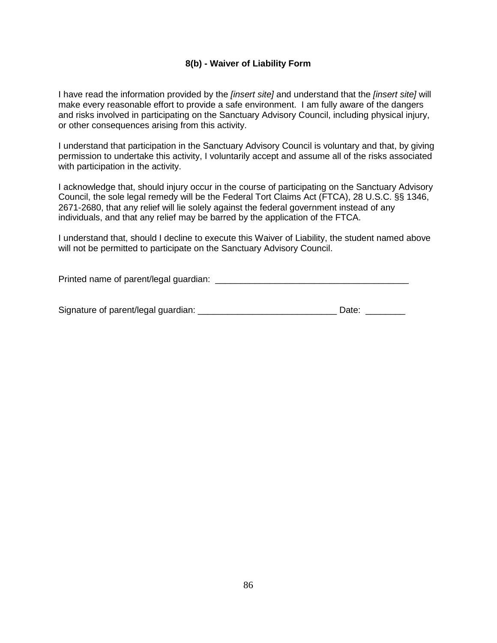#### **8(b) - Waiver of Liability Form**

I have read the information provided by the *[insert site]* and understand that the *[insert site]* will make every reasonable effort to provide a safe environment. I am fully aware of the dangers and risks involved in participating on the Sanctuary Advisory Council, including physical injury, or other consequences arising from this activity.

I understand that participation in the Sanctuary Advisory Council is voluntary and that, by giving permission to undertake this activity, I voluntarily accept and assume all of the risks associated with participation in the activity.

I acknowledge that, should injury occur in the course of participating on the Sanctuary Advisory Council, the sole legal remedy will be the Federal Tort Claims Act (FTCA), 28 U.S.C. §§ 1346, 2671-2680, that any relief will lie solely against the federal government instead of any individuals, and that any relief may be barred by the application of the FTCA.

I understand that, should I decline to execute this Waiver of Liability, the student named above will not be permitted to participate on the Sanctuary Advisory Council.

Printed name of parent/legal guardian: \_\_\_\_\_\_\_\_\_\_\_\_\_\_\_\_\_\_\_\_\_\_\_\_\_\_\_\_\_\_\_\_\_\_\_\_\_\_\_

| Signature of parent/legal guardian: | Date: |  |
|-------------------------------------|-------|--|
|                                     |       |  |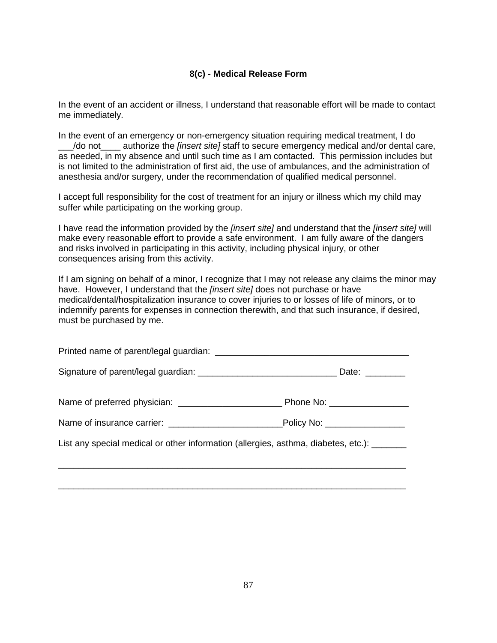#### **8(c) - Medical Release Form**

In the event of an accident or illness, I understand that reasonable effort will be made to contact me immediately.

In the event of an emergency or non-emergency situation requiring medical treatment, I do \_\_\_/do not\_\_\_\_ authorize the *[insert site]* staff to secure emergency medical and/or dental care, as needed, in my absence and until such time as I am contacted. This permission includes but is not limited to the administration of first aid, the use of ambulances, and the administration of anesthesia and/or surgery, under the recommendation of qualified medical personnel.

I accept full responsibility for the cost of treatment for an injury or illness which my child may suffer while participating on the working group.

I have read the information provided by the *[insert site]* and understand that the *[insert site]* will make every reasonable effort to provide a safe environment. I am fully aware of the dangers and risks involved in participating in this activity, including physical injury, or other consequences arising from this activity.

If I am signing on behalf of a minor, I recognize that I may not release any claims the minor may have. However, I understand that the *[insert site]* does not purchase or have medical/dental/hospitalization insurance to cover injuries to or losses of life of minors, or to indemnify parents for expenses in connection therewith, and that such insurance, if desired, must be purchased by me.

|                                                                                            | Date: _________               |  |
|--------------------------------------------------------------------------------------------|-------------------------------|--|
|                                                                                            |                               |  |
|                                                                                            | Policy No: __________________ |  |
| List any special medical or other information (allergies, asthma, diabetes, etc.): _______ |                               |  |
|                                                                                            |                               |  |
|                                                                                            |                               |  |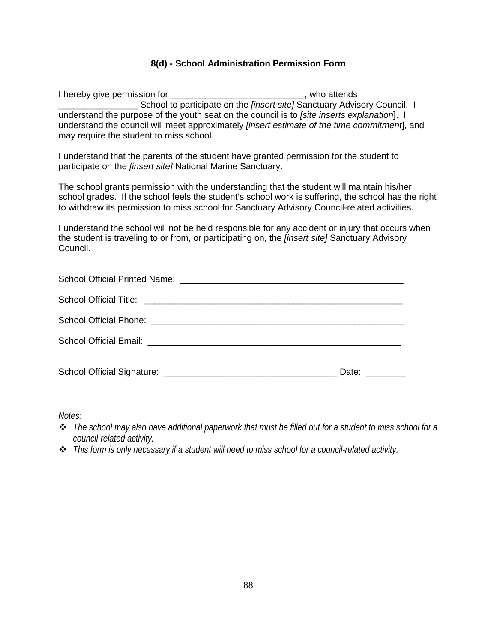### **8(d) - School Administration Permission Form**

I hereby give permission for **Example 20** attends the relationship of  $\mathbf{I}$ School to participate on the *[insert site]* Sanctuary Advisory Council. I understand the purpose of the youth seat on the council is to *[site inserts explanation*]. I understand the council will meet approximately *[insert estimate of the time commitment*], and may require the student to miss school.

I understand that the parents of the student have granted permission for the student to participate on the *[insert site]* National Marine Sanctuary.

The school grants permission with the understanding that the student will maintain his/her school grades. If the school feels the student's school work is suffering, the school has the right to withdraw its permission to miss school for Sanctuary Advisory Council-related activities.

I understand the school will not be held responsible for any accident or injury that occurs when the student is traveling to or from, or participating on, the *[insert site]* Sanctuary Advisory Council.

| Date: and the state of the state of the state of the state of the state of the state of the state of the state of the state of the state of the state of the state of the state of the state of the state of the state of the |
|-------------------------------------------------------------------------------------------------------------------------------------------------------------------------------------------------------------------------------|

*Notes:* 

- *The school may also have additional paperwork that must be filled out for a student to miss school for a council-related activity.*
- *This form is only necessary if a student will need to miss school for a council-related activity.*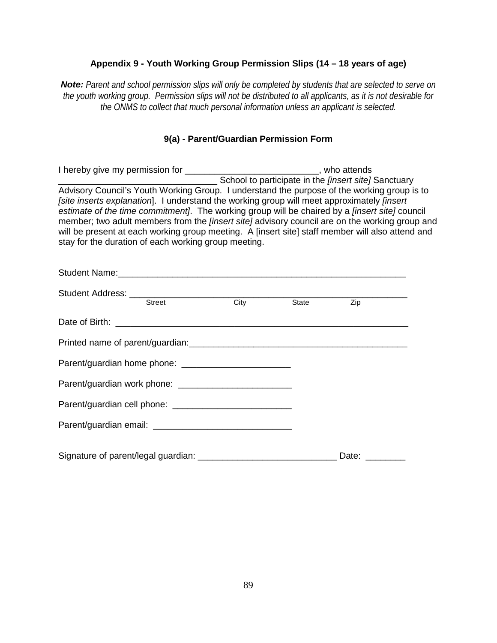### **Appendix 9 - Youth Working Group Permission Slips (14 – 18 years of age)**

*Note: Parent and school permission slips will only be completed by students that are selected to serve on the youth working group. Permission slips will not be distributed to all applicants, as it is not desirable for the ONMS to collect that much personal information unless an applicant is selected.* 

# **9(a) - Parent/Guardian Permission Form**

| I hereby give my permission for _______________________________, who attends                                                                                                                                                                                                                                                                                                                                                                                                                                                                                                    |               |      |              |                                                             |  |
|---------------------------------------------------------------------------------------------------------------------------------------------------------------------------------------------------------------------------------------------------------------------------------------------------------------------------------------------------------------------------------------------------------------------------------------------------------------------------------------------------------------------------------------------------------------------------------|---------------|------|--------------|-------------------------------------------------------------|--|
|                                                                                                                                                                                                                                                                                                                                                                                                                                                                                                                                                                                 |               |      |              | School to participate in the <i>[insert site]</i> Sanctuary |  |
| Advisory Council's Youth Working Group. I understand the purpose of the working group is to<br>[site inserts explanation]. I understand the working group will meet approximately <i>[insert</i> ]<br>estimate of the time commitment. The working group will be chaired by a <i>[insert site]</i> council<br>member; two adult members from the <i>finsert site]</i> advisory council are on the working group and<br>will be present at each working group meeting. A [insert site] staff member will also attend and<br>stay for the duration of each working group meeting. |               |      |              |                                                             |  |
|                                                                                                                                                                                                                                                                                                                                                                                                                                                                                                                                                                                 |               |      |              |                                                             |  |
| Student Address:                                                                                                                                                                                                                                                                                                                                                                                                                                                                                                                                                                |               |      |              |                                                             |  |
|                                                                                                                                                                                                                                                                                                                                                                                                                                                                                                                                                                                 | <b>Street</b> | City | <b>State</b> | Zip                                                         |  |
|                                                                                                                                                                                                                                                                                                                                                                                                                                                                                                                                                                                 |               |      |              |                                                             |  |
| Printed name of narent/quardian:                                                                                                                                                                                                                                                                                                                                                                                                                                                                                                                                                |               |      |              |                                                             |  |

Signature of parent/legal guardian: \_\_\_\_\_\_\_\_\_\_\_\_\_\_\_\_\_\_\_\_\_\_\_\_\_\_\_\_ Date: \_\_\_\_\_\_\_\_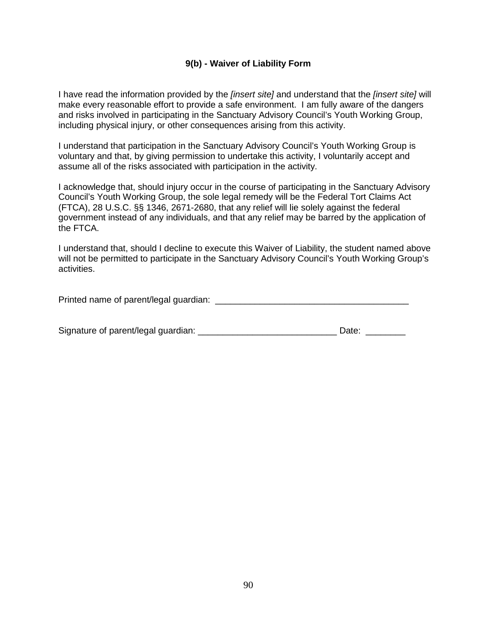#### **9(b) - Waiver of Liability Form**

I have read the information provided by the *[insert site]* and understand that the *[insert site]* will make every reasonable effort to provide a safe environment. I am fully aware of the dangers and risks involved in participating in the Sanctuary Advisory Council's Youth Working Group, including physical injury, or other consequences arising from this activity.

I understand that participation in the Sanctuary Advisory Council's Youth Working Group is voluntary and that, by giving permission to undertake this activity, I voluntarily accept and assume all of the risks associated with participation in the activity.

I acknowledge that, should injury occur in the course of participating in the Sanctuary Advisory Council's Youth Working Group, the sole legal remedy will be the Federal Tort Claims Act (FTCA), 28 U.S.C. §§ 1346, 2671-2680, that any relief will lie solely against the federal government instead of any individuals, and that any relief may be barred by the application of the FTCA.

I understand that, should I decline to execute this Waiver of Liability, the student named above will not be permitted to participate in the Sanctuary Advisory Council's Youth Working Group's activities.

Printed name of parent/legal guardian:  $\blacksquare$ 

| Signature of parent/legal guardian: | Date: |
|-------------------------------------|-------|
|                                     |       |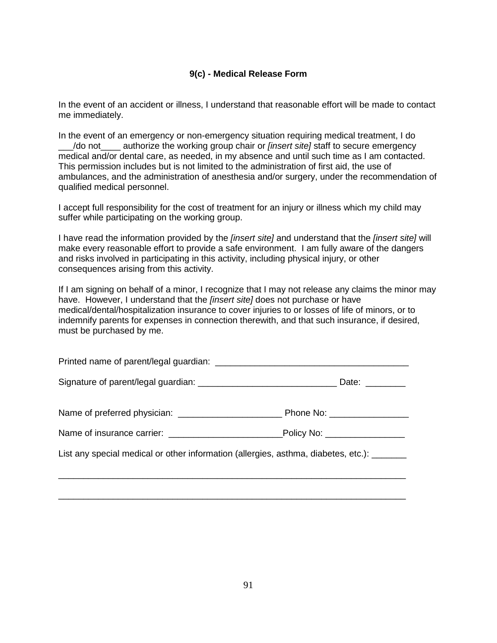#### **9(c) - Medical Release Form**

In the event of an accident or illness, I understand that reasonable effort will be made to contact me immediately.

In the event of an emergency or non-emergency situation requiring medical treatment, I do \_\_\_/do not\_\_\_\_ authorize the working group chair or *[insert site]* staff to secure emergency medical and/or dental care, as needed, in my absence and until such time as I am contacted. This permission includes but is not limited to the administration of first aid, the use of ambulances, and the administration of anesthesia and/or surgery, under the recommendation of qualified medical personnel.

I accept full responsibility for the cost of treatment for an injury or illness which my child may suffer while participating on the working group.

I have read the information provided by the *[insert site]* and understand that the *[insert site]* will make every reasonable effort to provide a safe environment. I am fully aware of the dangers and risks involved in participating in this activity, including physical injury, or other consequences arising from this activity.

If I am signing on behalf of a minor, I recognize that I may not release any claims the minor may have. However, I understand that the *[insert site]* does not purchase or have medical/dental/hospitalization insurance to cover injuries to or losses of life of minors, or to indemnify parents for expenses in connection therewith, and that such insurance, if desired, must be purchased by me.

|                                                                                            | Date: $\frac{1}{2}$         |
|--------------------------------------------------------------------------------------------|-----------------------------|
|                                                                                            | Phone No: _________________ |
|                                                                                            |                             |
| List any special medical or other information (allergies, asthma, diabetes, etc.): _______ |                             |
|                                                                                            |                             |

\_\_\_\_\_\_\_\_\_\_\_\_\_\_\_\_\_\_\_\_\_\_\_\_\_\_\_\_\_\_\_\_\_\_\_\_\_\_\_\_\_\_\_\_\_\_\_\_\_\_\_\_\_\_\_\_\_\_\_\_\_\_\_\_\_\_\_\_\_\_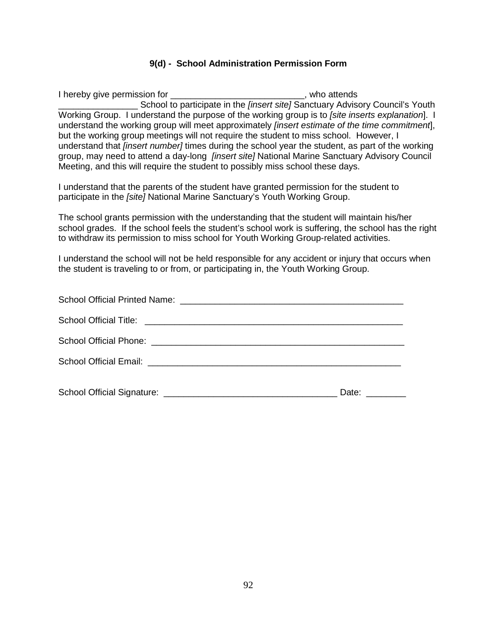#### **9(d) - School Administration Permission Form**

I hereby give permission for \_\_\_\_\_\_\_\_\_\_\_\_\_\_\_\_\_\_\_\_\_\_\_\_\_\_\_\_\_\_\_, who attends School to participate in the *[insert site]* Sanctuary Advisory Council's Youth Working Group. I understand the purpose of the working group is to *[site inserts explanation*]. I understand the working group will meet approximately *[insert estimate of the time commitment*], but the working group meetings will not require the student to miss school. However, I understand that *[insert number]* times during the school year the student, as part of the working group, may need to attend a day-long *[insert site]* National Marine Sanctuary Advisory Council Meeting, and this will require the student to possibly miss school these days.

I understand that the parents of the student have granted permission for the student to participate in the *[site]* National Marine Sanctuary's Youth Working Group.

The school grants permission with the understanding that the student will maintain his/her school grades. If the school feels the student's school work is suffering, the school has the right to withdraw its permission to miss school for Youth Working Group-related activities.

I understand the school will not be held responsible for any accident or injury that occurs when the student is traveling to or from, or participating in, the Youth Working Group.

| Date: $\frac{1}{\sqrt{1-\frac{1}{2}}\cdot\frac{1}{2}}$ |
|--------------------------------------------------------|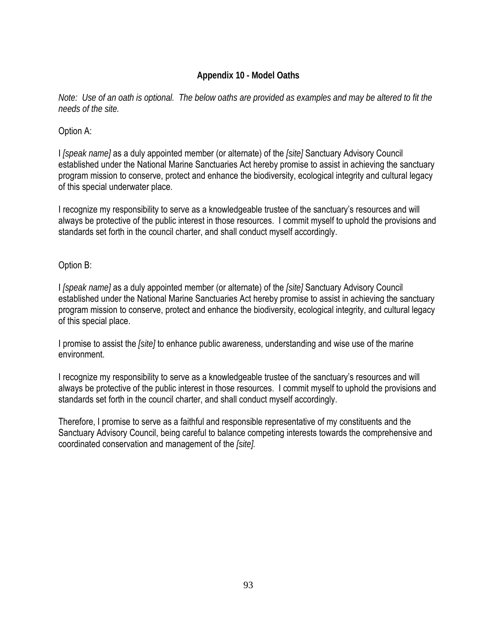# **Appendix 10 - Model Oaths**

*Note: Use of an oath is optional. The below oaths are provided as examples and may be altered to fit the needs of the site.*

### Option A:

I *[speak name]* as a duly appointed member (or alternate) of the *[site]* Sanctuary Advisory Council established under the National Marine Sanctuaries Act hereby promise to assist in achieving the sanctuary program mission to conserve, protect and enhance the biodiversity, ecological integrity and cultural legacy of this special underwater place.

I recognize my responsibility to serve as a knowledgeable trustee of the sanctuary's resources and will always be protective of the public interest in those resources. I commit myself to uphold the provisions and standards set forth in the council charter, and shall conduct myself accordingly.

### Option B:

I *[speak name]* as a duly appointed member (or alternate) of the *[site]* Sanctuary Advisory Council established under the National Marine Sanctuaries Act hereby promise to assist in achieving the sanctuary program mission to conserve, protect and enhance the biodiversity, ecological integrity, and cultural legacy of this special place.

I promise to assist the *[site]* to enhance public awareness, understanding and wise use of the marine environment.

I recognize my responsibility to serve as a knowledgeable trustee of the sanctuary's resources and will always be protective of the public interest in those resources. I commit myself to uphold the provisions and standards set forth in the council charter, and shall conduct myself accordingly.

Therefore, I promise to serve as a faithful and responsible representative of my constituents and the Sanctuary Advisory Council, being careful to balance competing interests towards the comprehensive and coordinated conservation and management of the *[site].*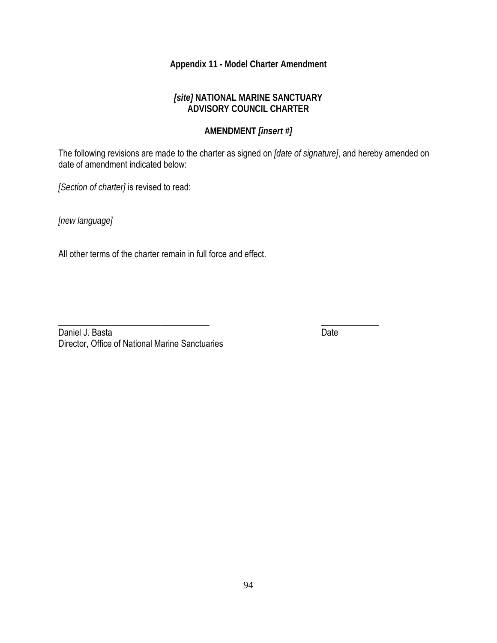# **Appendix 11 - Model Charter Amendment**

### *[site]* **NATIONAL MARINE SANCTUARY ADVISORY COUNCIL CHARTER**

# **AMENDMENT** *[insert #]*

The following revisions are made to the charter as signed on *[date of signature]*, and hereby amended on date of amendment indicated below:

*[Section of charter]* is revised to read:

*[new language]*

All other terms of the charter remain in full force and effect.

\_\_\_\_\_\_\_\_\_\_\_\_\_\_\_\_\_\_\_\_\_\_\_\_\_\_\_\_\_\_\_\_\_\_ \_\_\_\_\_\_\_\_\_\_\_\_\_ Daniel J. Basta Date Date Date Date Date Date Date Director, Office of National Marine Sanctuaries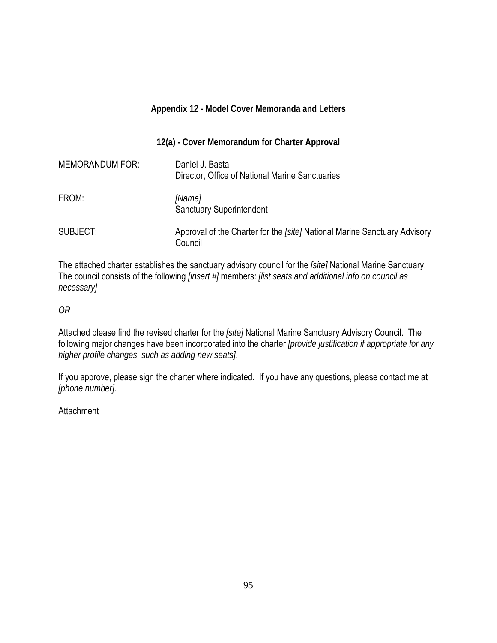|                        | Appendix 12 - Model Cover Memoranda and Letters                                      |
|------------------------|--------------------------------------------------------------------------------------|
|                        | 12(a) - Cover Memorandum for Charter Approval                                        |
| <b>MEMORANDUM FOR:</b> | Daniel J. Basta<br>Director, Office of National Marine Sanctuaries                   |
| FROM:                  | [Name]<br><b>Sanctuary Superintendent</b>                                            |
| SUBJECT:               | Approval of the Charter for the [site] National Marine Sanctuary Advisory<br>Council |

The attached charter establishes the sanctuary advisory council for the *[site]* National Marine Sanctuary. The council consists of the following *[insert #]* members: *[list seats and additional info on council as necessary]* 

*OR* 

Attached please find the revised charter for the *[site]* National Marine Sanctuary Advisory Council. The following major changes have been incorporated into the charter *[provide justification if appropriate for any higher profile changes, such as adding new seats]*.

If you approve, please sign the charter where indicated. If you have any questions, please contact me at *[phone number].*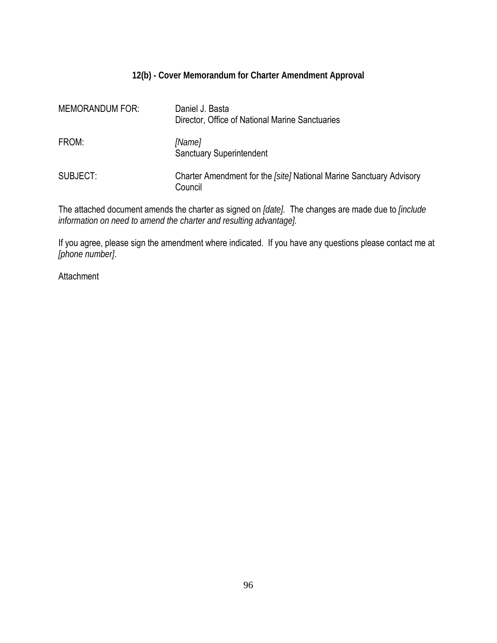### **12(b) - Cover Memorandum for Charter Amendment Approval**

| <b>MEMORANDUM FOR:</b> | Daniel J. Basta<br>Director, Office of National Marine Sanctuaries             |
|------------------------|--------------------------------------------------------------------------------|
| FROM:                  | [Name]<br><b>Sanctuary Superintendent</b>                                      |
| SUBJECT:               | Charter Amendment for the [site] National Marine Sanctuary Advisory<br>Council |

The attached document amends the charter as signed on *[date].* The changes are made due to *[include information on need to amend the charter and resulting advantage].*

If you agree, please sign the amendment where indicated. If you have any questions please contact me at *[phone number]*.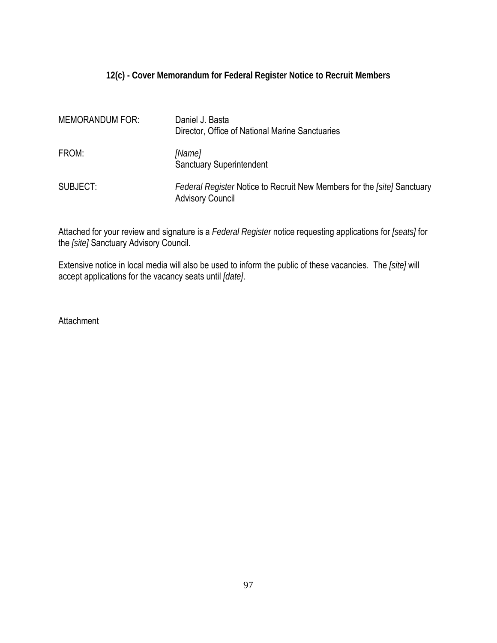# **12(c) - Cover Memorandum for Federal Register Notice to Recruit Members**

| <b>MEMORANDUM FOR:</b> | Daniel J. Basta<br>Director, Office of National Marine Sanctuaries                                 |
|------------------------|----------------------------------------------------------------------------------------------------|
| FROM:                  | [Name]<br><b>Sanctuary Superintendent</b>                                                          |
| SUBJECT:               | Federal Register Notice to Recruit New Members for the [site] Sanctuary<br><b>Advisory Council</b> |

Attached for your review and signature is a *Federal Register* notice requesting applications for *[seats]* for the *[site]* Sanctuary Advisory Council.

Extensive notice in local media will also be used to inform the public of these vacancies. The *[site]* will accept applications for the vacancy seats until *[date]*.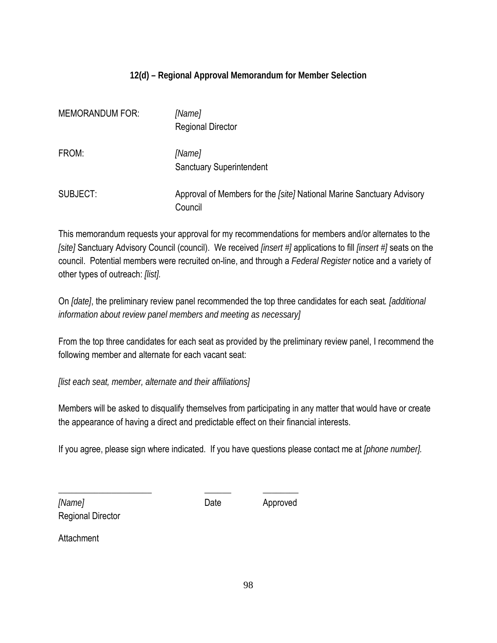# **12(d) – Regional Approval Memorandum for Member Selection**

| <b>MEMORANDUM FOR:</b> | [Name]<br><b>Regional Director</b>                                               |
|------------------------|----------------------------------------------------------------------------------|
| FROM:                  | [Name]<br><b>Sanctuary Superintendent</b>                                        |
| SUBJECT:               | Approval of Members for the [site] National Marine Sanctuary Advisory<br>Council |

This memorandum requests your approval for my recommendations for members and/or alternates to the *[site]* Sanctuary Advisory Council (council). We received *[insert #]* applications to fill *[insert #]* seats on the council. Potential members were recruited on-line, and through a *Federal Register* notice and a variety of other types of outreach: *[list].* 

On *[date]*, the preliminary review panel recommended the top three candidates for each seat*. [additional information about review panel members and meeting as necessary]*

From the top three candidates for each seat as provided by the preliminary review panel, I recommend the following member and alternate for each vacant seat:

*[list each seat, member, alternate and their affiliations]*

Members will be asked to disqualify themselves from participating in any matter that would have or create the appearance of having a direct and predictable effect on their financial interests.

If you agree, please sign where indicated. If you have questions please contact me at *[phone number].*

*[Name]* Date Approved Regional Director

\_\_\_\_\_\_\_\_\_\_\_\_\_\_\_\_\_\_\_\_\_ \_\_\_\_\_\_ \_\_\_\_\_\_\_\_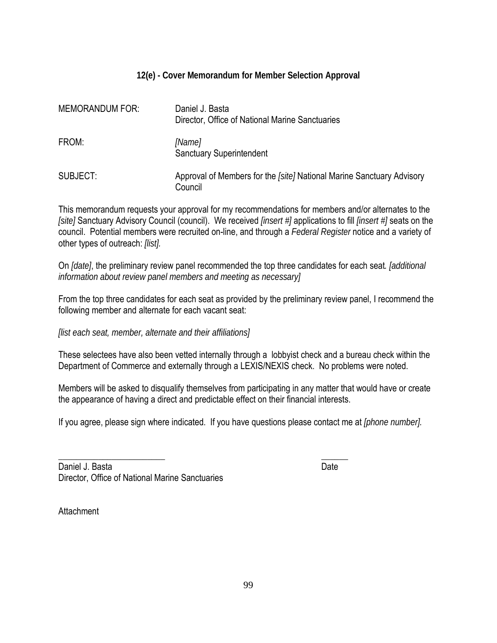# **12(e) - Cover Memorandum for Member Selection Approval**

| <b>MEMORANDUM FOR:</b> | Daniel J. Basta<br>Director, Office of National Marine Sanctuaries               |
|------------------------|----------------------------------------------------------------------------------|
| FROM:                  | [Name]<br><b>Sanctuary Superintendent</b>                                        |
| SUBJECT:               | Approval of Members for the [site] National Marine Sanctuary Advisory<br>Council |

This memorandum requests your approval for my recommendations for members and/or alternates to the *[site]* Sanctuary Advisory Council (council). We received *[insert #]* applications to fill *[insert #]* seats on the council. Potential members were recruited on-line, and through a *Federal Register* notice and a variety of other types of outreach: *[list].* 

On *[date]*, the preliminary review panel recommended the top three candidates for each seat*. [additional information about review panel members and meeting as necessary]*

From the top three candidates for each seat as provided by the preliminary review panel, I recommend the following member and alternate for each vacant seat:

*[list each seat, member, alternate and their affiliations]*

These selectees have also been vetted internally through a lobbyist check and a bureau check within the Department of Commerce and externally through a LEXIS/NEXIS check. No problems were noted.

Members will be asked to disqualify themselves from participating in any matter that would have or create the appearance of having a direct and predictable effect on their financial interests.

If you agree, please sign where indicated. If you have questions please contact me at *[phone number].*

\_\_\_\_\_\_\_\_\_\_\_\_\_\_\_\_\_\_\_\_\_\_\_\_ \_\_\_\_\_\_

| Daniel J. Basta                                 | Date |
|-------------------------------------------------|------|
| Director, Office of National Marine Sanctuaries |      |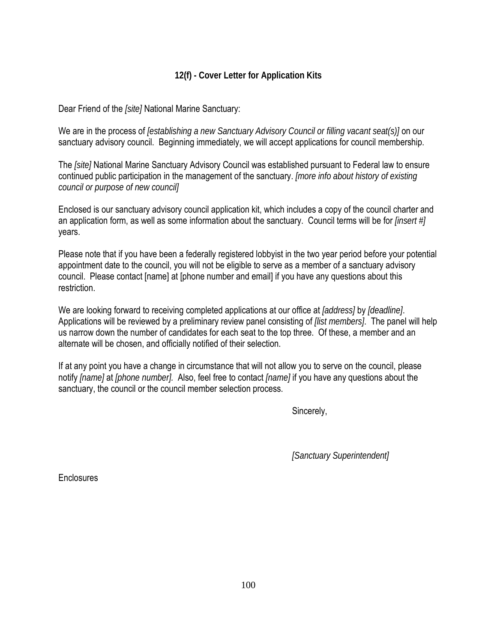# **12(f) - Cover Letter for Application Kits**

Dear Friend of the *[site]* National Marine Sanctuary:

We are in the process of *[establishing a new Sanctuary Advisory Council or filling vacant seat(s)]* on our sanctuary advisory council. Beginning immediately, we will accept applications for council membership.

The *[site]* National Marine Sanctuary Advisory Council was established pursuant to Federal law to ensure continued public participation in the management of the sanctuary. *[more info about history of existing council or purpose of new council]* 

Enclosed is our sanctuary advisory council application kit, which includes a copy of the council charter and an application form, as well as some information about the sanctuary. Council terms will be for *[insert #]* years.

Please note that if you have been a federally registered lobbyist in the two year period before your potential appointment date to the council, you will not be eligible to serve as a member of a sanctuary advisory council. Please contact [name] at [phone number and email] if you have any questions about this restriction.

We are looking forward to receiving completed applications at our office at *[address]* by *[deadline]*. Applications will be reviewed by a preliminary review panel consisting of *[list members]*. The panel will help us narrow down the number of candidates for each seat to the top three. Of these, a member and an alternate will be chosen, and officially notified of their selection.

If at any point you have a change in circumstance that will not allow you to serve on the council, please notify *[name]* at *[phone number].* Also, feel free to contact *[name]* if you have any questions about the sanctuary, the council or the council member selection process.

Sincerely,

*[Sanctuary Superintendent]*

**Enclosures**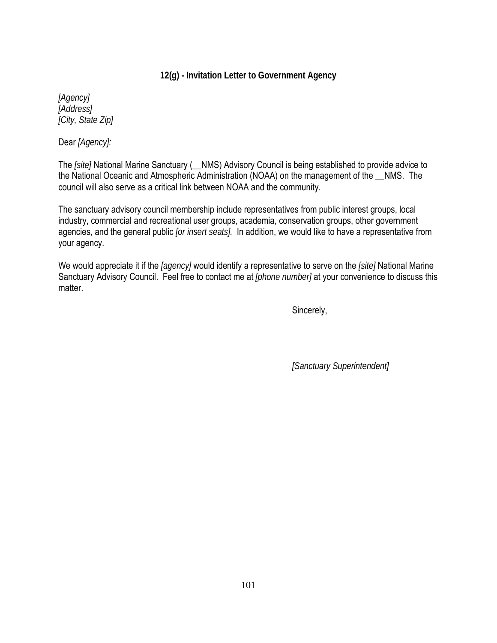# **12(g) - Invitation Letter to Government Agency**

*[Agency] [Address] [City, State Zip]*

Dear *[Agency]:*

The *[site]* National Marine Sanctuary (\_\_NMS) Advisory Council is being established to provide advice to the National Oceanic and Atmospheric Administration (NOAA) on the management of the \_\_NMS. The council will also serve as a critical link between NOAA and the community.

The sanctuary advisory council membership include representatives from public interest groups, local industry, commercial and recreational user groups, academia, conservation groups, other government agencies, and the general public *[or insert seats].* In addition, we would like to have a representative from your agency.

We would appreciate it if the *[agency]* would identify a representative to serve on the *[site]* National Marine Sanctuary Advisory Council. Feel free to contact me at *[phone number]* at your convenience to discuss this matter.

Sincerely,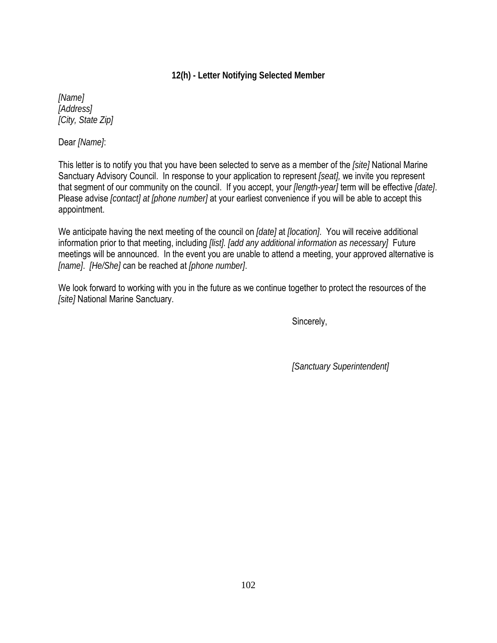# **12(h) - Letter Notifying Selected Member**

*[Name] [Address] [City, State Zip]*

Dear *[Name]*:

This letter is to notify you that you have been selected to serve as a member of the *[site]* National Marine Sanctuary Advisory Council. In response to your application to represent *[seat],* we invite you represent that segment of our community on the council. If you accept, your *[length-year]* term will be effective *[date]*. Please advise *[contact] at [phone number]* at your earliest convenience if you will be able to accept this appointment.

We anticipate having the next meeting of the council on *[date]* at *[location]*. You will receive additional information prior to that meeting, including *[list]. [add any additional information as necessary]* Future meetings will be announced. In the event you are unable to attend a meeting, your approved alternative is *[name]*. *[He/She]* can be reached at *[phone number]*.

We look forward to working with you in the future as we continue together to protect the resources of the *[site]* National Marine Sanctuary.

Sincerely,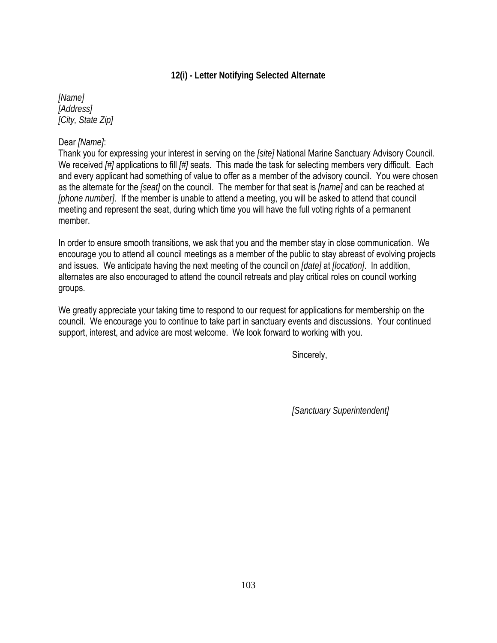## **12(i) - Letter Notifying Selected Alternate**

*[Name] [Address] [City, State Zip]*

### Dear *[Name]*:

Thank you for expressing your interest in serving on the *[site]* National Marine Sanctuary Advisory Council. We received *[#]* applications to fill *[#]* seats. This made the task for selecting members very difficult. Each and every applicant had something of value to offer as a member of the advisory council. You were chosen as the alternate for the *[seat]* on the council. The member for that seat is *[name]* and can be reached at *[phone number]*. If the member is unable to attend a meeting, you will be asked to attend that council meeting and represent the seat, during which time you will have the full voting rights of a permanent member.

In order to ensure smooth transitions, we ask that you and the member stay in close communication. We encourage you to attend all council meetings as a member of the public to stay abreast of evolving projects and issues. We anticipate having the next meeting of the council on *[date]* at *[location]*. In addition, alternates are also encouraged to attend the council retreats and play critical roles on council working groups.

We greatly appreciate your taking time to respond to our request for applications for membership on the council. We encourage you to continue to take part in sanctuary events and discussions. Your continued support, interest, and advice are most welcome. We look forward to working with you.

Sincerely,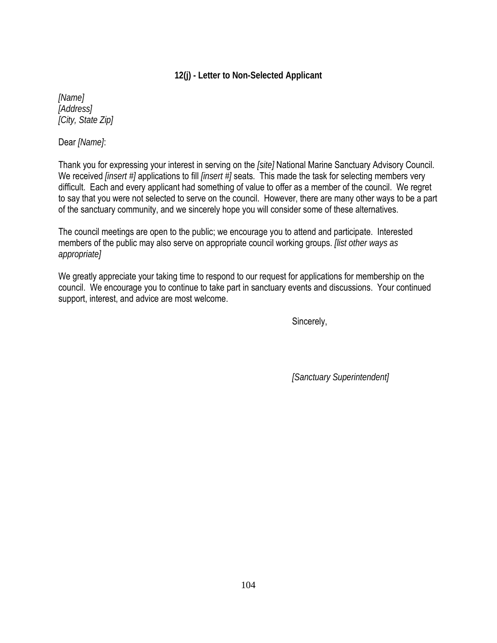# **12(j) - Letter to Non-Selected Applicant**

*[Name] [Address] [City, State Zip]*

Dear *[Name]*:

Thank you for expressing your interest in serving on the *[site]* National Marine Sanctuary Advisory Council. We received *[insert #]* applications to fill *[insert #]* seats. This made the task for selecting members very difficult. Each and every applicant had something of value to offer as a member of the council. We regret to say that you were not selected to serve on the council. However, there are many other ways to be a part of the sanctuary community, and we sincerely hope you will consider some of these alternatives.

The council meetings are open to the public; we encourage you to attend and participate. Interested members of the public may also serve on appropriate council working groups. *[list other ways as appropriate]* 

We greatly appreciate your taking time to respond to our request for applications for membership on the council. We encourage you to continue to take part in sanctuary events and discussions. Your continued support, interest, and advice are most welcome.

Sincerely,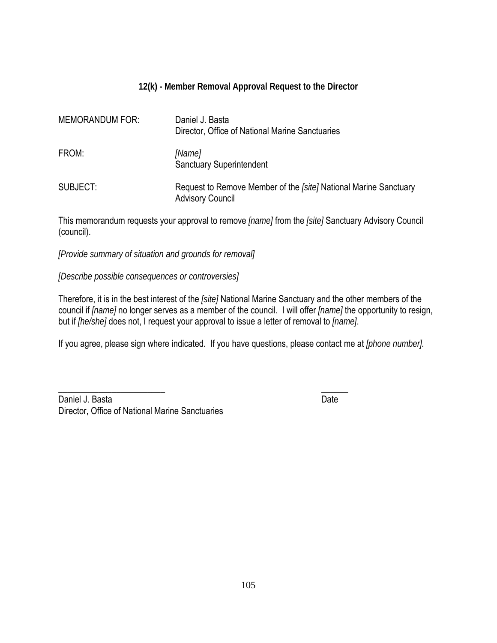# **12(k) - Member Removal Approval Request to the Director**

| <b>MEMORANDUM FOR:</b> | Daniel J. Basta<br>Director, Office of National Marine Sanctuaries                          |
|------------------------|---------------------------------------------------------------------------------------------|
| FROM:                  | [Name]<br><b>Sanctuary Superintendent</b>                                                   |
| SUBJECT:               | Request to Remove Member of the [site] National Marine Sanctuary<br><b>Advisory Council</b> |

This memorandum requests your approval to remove *[name]* from the *[site]* Sanctuary Advisory Council (council).

*[Provide summary of situation and grounds for removal]*

*[Describe possible consequences or controversies]*

Therefore, it is in the best interest of the *[site]* National Marine Sanctuary and the other members of the council if *[name]* no longer serves as a member of the council. I will offer *[name]* the opportunity to resign, but if *[he/she]* does not, I request your approval to issue a letter of removal to *[name]*.

If you agree, please sign where indicated. If you have questions, please contact me at *[phone number].*

\_\_\_\_\_\_\_\_\_\_\_\_\_\_\_\_\_\_\_\_\_\_\_\_ \_\_\_\_\_\_

Daniel J. Basta Date Director, Office of National Marine Sanctuaries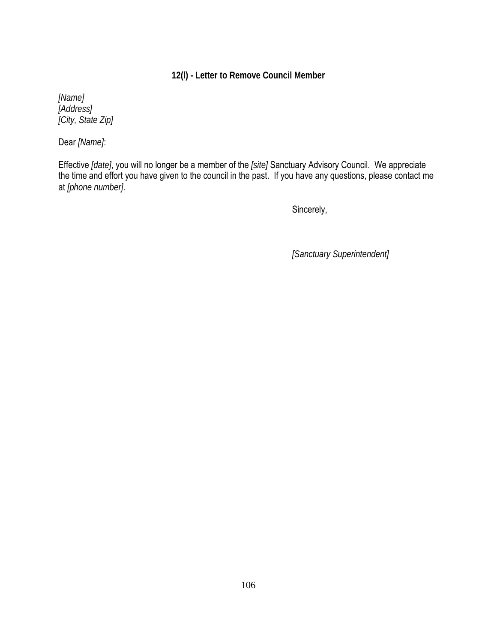# **12(l) - Letter to Remove Council Member**

*[Name] [Address] [City, State Zip]*

Dear *[Name]*:

Effective *[date]*, you will no longer be a member of the *[site]* Sanctuary Advisory Council. We appreciate the time and effort you have given to the council in the past. If you have any questions, please contact me at *[phone number]*.

Sincerely,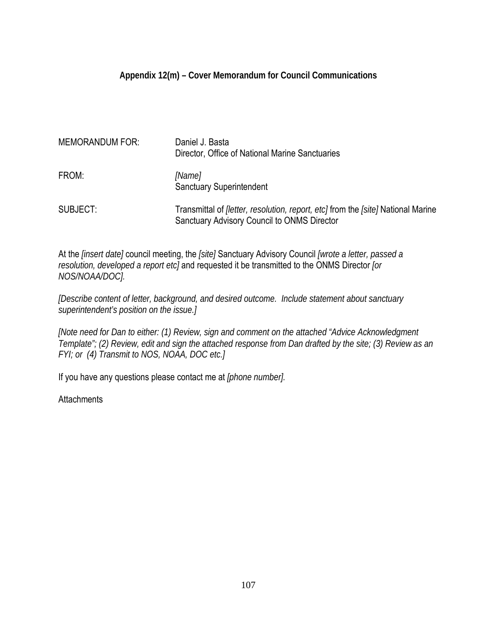## **Appendix 12(m) – Cover Memorandum for Council Communications**

| <b>MEMORANDUM FOR:</b> | Daniel J. Basta<br>Director, Office of National Marine Sanctuaries                                                                                   |
|------------------------|------------------------------------------------------------------------------------------------------------------------------------------------------|
| FROM:                  | [Name]<br><b>Sanctuary Superintendent</b>                                                                                                            |
| SUBJECT:               | Transmittal of <i>[letter, resolution, report, etc]</i> from the <i>[site]</i> National Marine<br><b>Sanctuary Advisory Council to ONMS Director</b> |

At the *[insert date]* council meeting, the *[site]* Sanctuary Advisory Council *[wrote a letter, passed a resolution, developed a report etc]* and requested it be transmitted to the ONMS Director *[or NOS/NOAA/DOC].* 

*[Describe content of letter, background, and desired outcome. Include statement about sanctuary superintendent's position on the issue.]* 

*[Note need for Dan to either: (1) Review, sign and comment on the attached "Advice Acknowledgment Template"; (2) Review, edit and sign the attached response from Dan drafted by the site; (3) Review as an FYI; or (4) Transmit to NOS, NOAA, DOC etc.]*

If you have any questions please contact me at *[phone number].*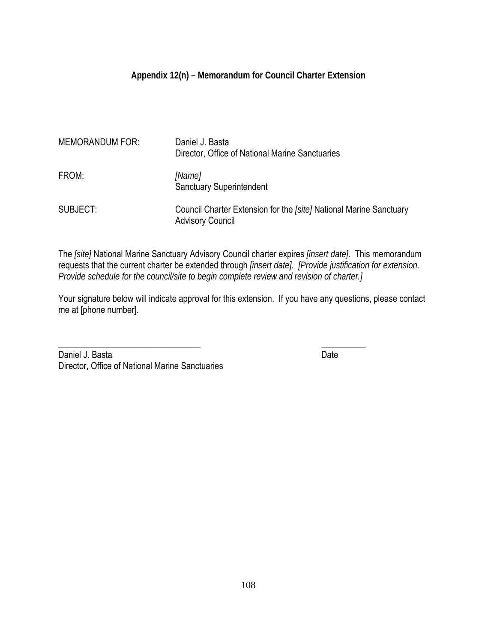# **Appendix 12(n) – Memorandum for Council Charter Extension**

| <b>MEMORANDUM FOR:</b> | Daniel J. Basta<br>Director, Office of National Marine Sanctuaries                            |
|------------------------|-----------------------------------------------------------------------------------------------|
| FROM:                  | [Name]<br><b>Sanctuary Superintendent</b>                                                     |
| SUBJECT:               | Council Charter Extension for the [site] National Marine Sanctuary<br><b>Advisory Council</b> |

The *[site]* National Marine Sanctuary Advisory Council charter expires *[insert date]*. This memorandum requests that the current charter be extended through *[insert date]. [Provide justification for extension. Provide schedule for the council/site to begin complete review and revision of charter.]*

Your signature below will indicate approval for this extension. If you have any questions, please contact me at [phone number].

 $\overline{\phantom{a}}$  , which is a set of the set of the set of the set of the set of the set of the set of the set of the set of the set of the set of the set of the set of the set of the set of the set of the set of the set of th

Daniel J. Basta Date Date Date Date Date Date Date Director, Office of National Marine Sanctuaries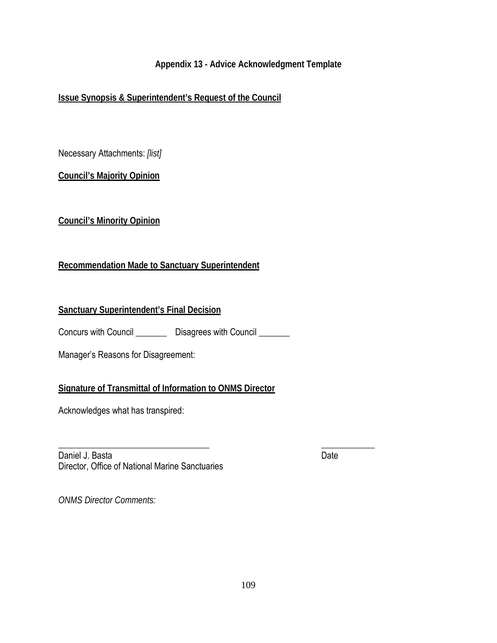## **Appendix 13 - Advice Acknowledgment Template**

# **Issue Synopsis & Superintendent's Request of the Council**

Necessary Attachments: *[list]*

**Council's Majority Opinion**

**Council's Minority Opinion**

# **Recommendation Made to Sanctuary Superintendent**

## **Sanctuary Superintendent's Final Decision**

Concurs with Council \_\_\_\_\_\_\_\_ Disagrees with Council \_\_\_\_\_\_\_

Manager's Reasons for Disagreement:

## **Signature of Transmittal of Information to ONMS Director**

Acknowledges what has transpired:

 $\overline{\phantom{a}}$  , and the contract of the contract of the contract of the contract of the contract of the contract of the contract of the contract of the contract of the contract of the contract of the contract of the contrac Daniel J. Basta Date Date Date Date Date Date Director, Office of National Marine Sanctuaries

*ONMS Director Comments:*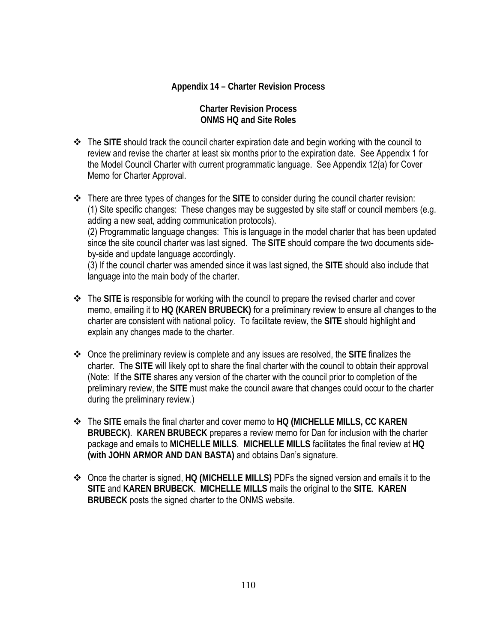#### **Appendix 14 – Charter Revision Process**

#### **Charter Revision Process ONMS HQ and Site Roles**

- The **SITE** should track the council charter expiration date and begin working with the council to review and revise the charter at least six months prior to the expiration date. See Appendix 1 for the Model Council Charter with current programmatic language. See Appendix 12(a) for Cover Memo for Charter Approval.
- There are three types of changes for the **SITE** to consider during the council charter revision: (1) Site specific changes: These changes may be suggested by site staff or council members (e.g. adding a new seat, adding communication protocols). (2) Programmatic language changes: This is language in the model charter that has been updated since the site council charter was last signed. The **SITE** should compare the two documents sideby-side and update language accordingly. (3) If the council charter was amended since it was last signed, the **SITE** should also include that

language into the main body of the charter.

- The **SITE** is responsible for working with the council to prepare the revised charter and cover memo, emailing it to **HQ (KAREN BRUBECK)** for a preliminary review to ensure all changes to the charter are consistent with national policy. To facilitate review, the **SITE** should highlight and explain any changes made to the charter.
- Once the preliminary review is complete and any issues are resolved, the **SITE** finalizes the charter. The **SITE** will likely opt to share the final charter with the council to obtain their approval (Note: If the **SITE** shares any version of the charter with the council prior to completion of the preliminary review, the **SITE** must make the council aware that changes could occur to the charter during the preliminary review.)
- The **SITE** emails the final charter and cover memo to **HQ (MICHELLE MILLS, CC KAREN BRUBECK)**. **KAREN BRUBECK** prepares a review memo for Dan for inclusion with the charter package and emails to **MICHELLE MILLS**. **MICHELLE MILLS** facilitates the final review at **HQ (with JOHN ARMOR AND DAN BASTA)** and obtains Dan's signature.
- Once the charter is signed, **HQ (MICHELLE MILLS)** PDFs the signed version and emails it to the **SITE** and **KAREN BRUBECK**. **MICHELLE MILLS** mails the original to the **SITE**. **KAREN BRUBECK** posts the signed charter to the ONMS website.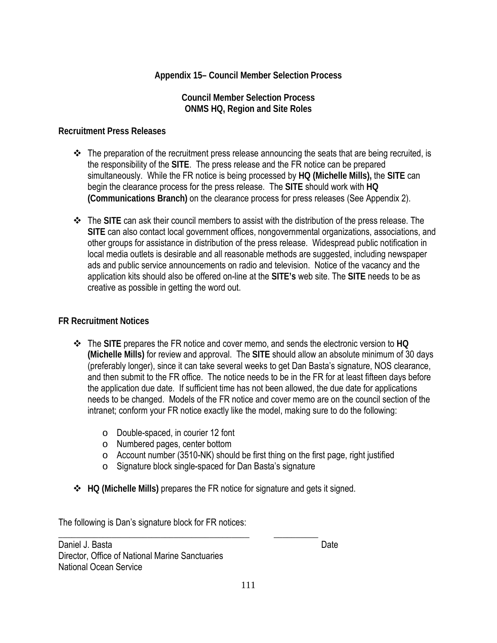## **Appendix 15– Council Member Selection Process**

#### **Council Member Selection Process ONMS HQ, Region and Site Roles**

#### **Recruitment Press Releases**

- $\div$  The preparation of the recruitment press release announcing the seats that are being recruited, is the responsibility of the **SITE**. The press release and the FR notice can be prepared simultaneously. While the FR notice is being processed by **HQ (Michelle Mills),** the **SITE** can begin the clearance process for the press release. The **SITE** should work with **HQ (Communications Branch)** on the clearance process for press releases (See Appendix 2).
- The **SITE** can ask their council members to assist with the distribution of the press release. The **SITE** can also contact local government offices, nongovernmental organizations, associations, and other groups for assistance in distribution of the press release. Widespread public notification in local media outlets is desirable and all reasonable methods are suggested, including newspaper ads and public service announcements on radio and television. Notice of the vacancy and the application kits should also be offered on-line at the **SITE's** web site. The **SITE** needs to be as creative as possible in getting the word out.

#### **FR Recruitment Notices**

- The **SITE** prepares the FR notice and cover memo, and sends the electronic version to **HQ (Michelle Mills)** for review and approval. The **SITE** should allow an absolute minimum of 30 days (preferably longer), since it can take several weeks to get Dan Basta's signature, NOS clearance, and then submit to the FR office. The notice needs to be in the FR for at least fifteen days before the application due date. If sufficient time has not been allowed, the due date for applications needs to be changed. Models of the FR notice and cover memo are on the council section of the intranet; conform your FR notice exactly like the model, making sure to do the following:
	- o Double-spaced, in courier 12 font
	- o Numbered pages, center bottom
	- o Account number (3510-NK) should be first thing on the first page, right justified
	- o Signature block single-spaced for Dan Basta's signature
- **HQ (Michelle Mills)** prepares the FR notice for signature and gets it signed.

The following is Dan's signature block for FR notices:

\_\_\_\_\_\_\_\_\_\_\_\_\_\_\_\_\_\_\_\_\_\_\_\_\_\_\_\_\_\_\_\_\_\_\_\_\_\_\_\_\_\_\_ \_\_\_\_\_\_\_\_\_\_ Daniel J. Basta Date Director, Office of National Marine Sanctuaries National Ocean Service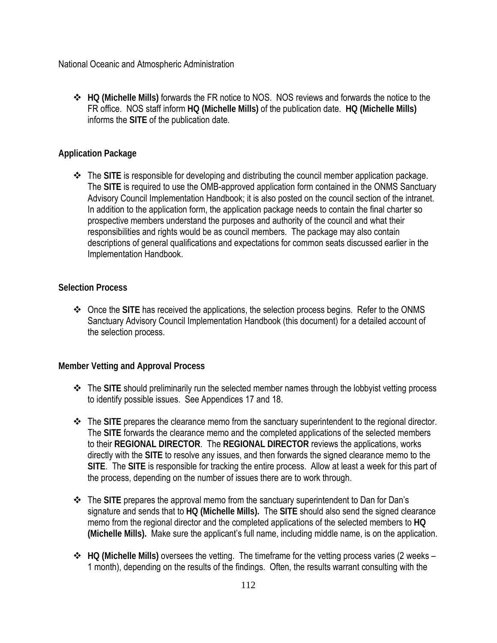National Oceanic and Atmospheric Administration

 **HQ (Michelle Mills)** forwards the FR notice to NOS. NOS reviews and forwards the notice to the FR office. NOS staff inform **HQ (Michelle Mills)** of the publication date. **HQ (Michelle Mills)** informs the **SITE** of the publication date.

#### **Application Package**

 The **SITE** is responsible for developing and distributing the council member application package. The **SITE** is required to use the OMB-approved application form contained in the ONMS Sanctuary Advisory Council Implementation Handbook; it is also posted on the council section of the intranet. In addition to the application form, the application package needs to contain the final charter so prospective members understand the purposes and authority of the council and what their responsibilities and rights would be as council members. The package may also contain descriptions of general qualifications and expectations for common seats discussed earlier in the Implementation Handbook.

#### **Selection Process**

 Once the **SITE** has received the applications, the selection process begins. Refer to the ONMS Sanctuary Advisory Council Implementation Handbook (this document) for a detailed account of the selection process.

## **Member Vetting and Approval Process**

- The **SITE** should preliminarily run the selected member names through the lobbyist vetting process to identify possible issues. See Appendices 17 and 18.
- The **SITE** prepares the clearance memo from the sanctuary superintendent to the regional director. The **SITE** forwards the clearance memo and the completed applications of the selected members to their **REGIONAL DIRECTOR**. The **REGIONAL DIRECTOR** reviews the applications, works directly with the **SITE** to resolve any issues, and then forwards the signed clearance memo to the **SITE**. The **SITE** is responsible for tracking the entire process. Allow at least a week for this part of the process, depending on the number of issues there are to work through.
- The **SITE** prepares the approval memo from the sanctuary superintendent to Dan for Dan's signature and sends that to **HQ (Michelle Mills).** The **SITE** should also send the signed clearance memo from the regional director and the completed applications of the selected members to **HQ (Michelle Mills).** Make sure the applicant's full name, including middle name, is on the application.
- **HQ (Michelle Mills)** oversees the vetting. The timeframe for the vetting process varies (2 weeks 1 month), depending on the results of the findings. Often, the results warrant consulting with the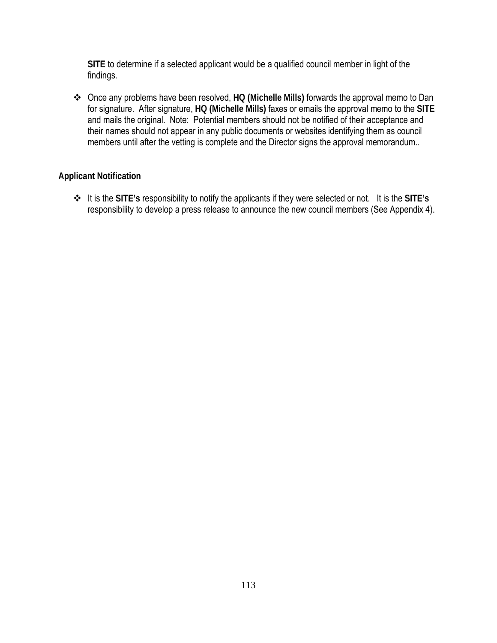**SITE** to determine if a selected applicant would be a qualified council member in light of the findings.

 Once any problems have been resolved, **HQ (Michelle Mills)** forwards the approval memo to Dan for signature. After signature, **HQ (Michelle Mills)** faxes or emails the approval memo to the **SITE**  and mails the original. Note: Potential members should not be notified of their acceptance and their names should not appear in any public documents or websites identifying them as council members until after the vetting is complete and the Director signs the approval memorandum..

## **Applicant Notification**

 It is the **SITE's** responsibility to notify the applicants if they were selected or not. It is the **SITE's**  responsibility to develop a press release to announce the new council members (See Appendix 4).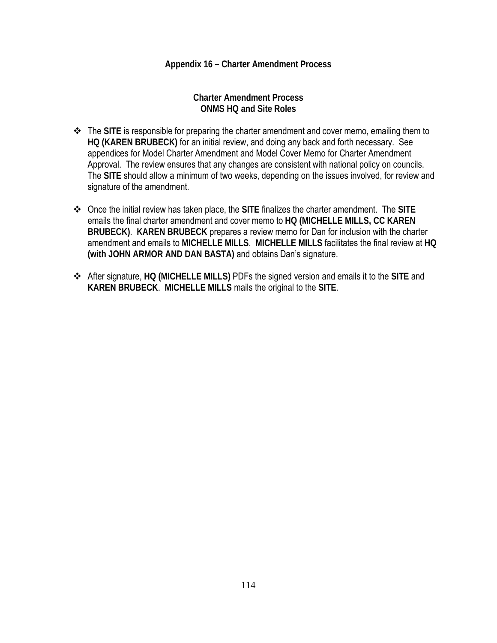#### **Appendix 16 – Charter Amendment Process**

**Charter Amendment Process ONMS HQ and Site Roles**

- The **SITE** is responsible for preparing the charter amendment and cover memo, emailing them to **HQ (KAREN BRUBECK)** for an initial review, and doing any back and forth necessary. See appendices for Model Charter Amendment and Model Cover Memo for Charter Amendment Approval. The review ensures that any changes are consistent with national policy on councils. The **SITE** should allow a minimum of two weeks, depending on the issues involved, for review and signature of the amendment.
- Once the initial review has taken place, the **SITE** finalizes the charter amendment. The **SITE** emails the final charter amendment and cover memo to **HQ (MICHELLE MILLS, CC KAREN BRUBECK)**. **KAREN BRUBECK** prepares a review memo for Dan for inclusion with the charter amendment and emails to **MICHELLE MILLS**. **MICHELLE MILLS** facilitates the final review at **HQ (with JOHN ARMOR AND DAN BASTA)** and obtains Dan's signature.
- After signature, **HQ (MICHELLE MILLS)** PDFs the signed version and emails it to the **SITE** and **KAREN BRUBECK**. **MICHELLE MILLS** mails the original to the **SITE**.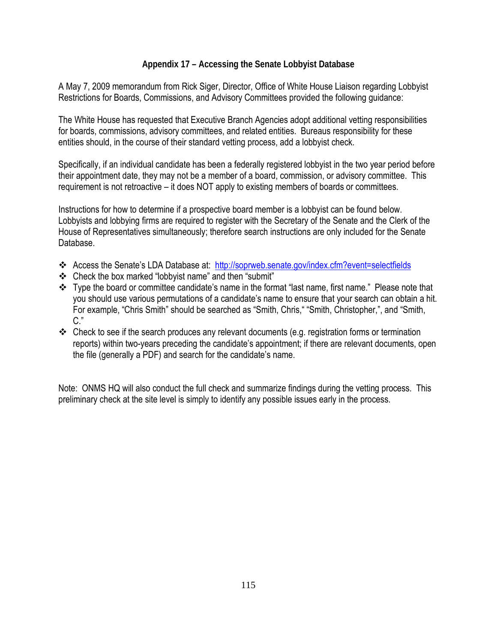## **Appendix 17 – Accessing the Senate Lobbyist Database**

A May 7, 2009 memorandum from Rick Siger, Director, Office of White House Liaison regarding Lobbyist Restrictions for Boards, Commissions, and Advisory Committees provided the following guidance:

The White House has requested that Executive Branch Agencies adopt additional vetting responsibilities for boards, commissions, advisory committees, and related entities. Bureaus responsibility for these entities should, in the course of their standard vetting process, add a lobbyist check.

Specifically, if an individual candidate has been a federally registered lobbyist in the two year period before their appointment date, they may not be a member of a board, commission, or advisory committee. This requirement is not retroactive – it does NOT apply to existing members of boards or committees.

Instructions for how to determine if a prospective board member is a lobbyist can be found below. Lobbyists and lobbying firms are required to register with the Secretary of the Senate and the Clerk of the House of Representatives simultaneously; therefore search instructions are only included for the Senate Database.

- Access the Senate's LDA Database at: <http://soprweb.senate.gov/index.cfm?event=selectfields>
- Check the box marked "lobbyist name" and then "submit"
- \* Type the board or committee candidate's name in the format "last name, first name." Please note that you should use various permutations of a candidate's name to ensure that your search can obtain a hit. For example, "Chris Smith" should be searched as "Smith, Chris," "Smith, Christopher,", and "Smith, C."
- Check to see if the search produces any relevant documents (e.g. registration forms or termination reports) within two-years preceding the candidate's appointment; if there are relevant documents, open the file (generally a PDF) and search for the candidate's name.

Note: ONMS HQ will also conduct the full check and summarize findings during the vetting process. This preliminary check at the site level is simply to identify any possible issues early in the process.